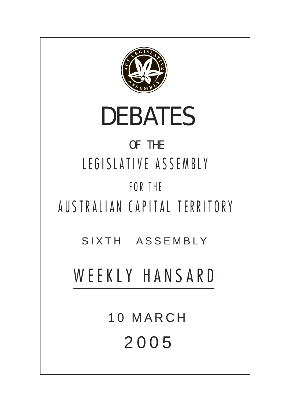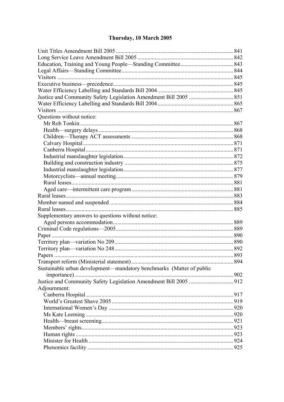# Thursday, 10 March 2005

|                                                                      | 841 |
|----------------------------------------------------------------------|-----|
|                                                                      |     |
|                                                                      |     |
|                                                                      |     |
|                                                                      |     |
|                                                                      |     |
|                                                                      |     |
|                                                                      |     |
|                                                                      |     |
|                                                                      |     |
| Questions without notice:                                            |     |
|                                                                      |     |
|                                                                      |     |
|                                                                      |     |
|                                                                      |     |
|                                                                      |     |
|                                                                      |     |
|                                                                      |     |
|                                                                      |     |
|                                                                      |     |
|                                                                      |     |
|                                                                      |     |
|                                                                      |     |
|                                                                      |     |
|                                                                      |     |
| Supplementary answers to questions without notice:                   |     |
|                                                                      |     |
|                                                                      |     |
|                                                                      |     |
|                                                                      |     |
|                                                                      |     |
|                                                                      |     |
|                                                                      | 894 |
| Sustainable urban development-mandatory benchmarks (Matter of public |     |
|                                                                      |     |
|                                                                      |     |
| Adjournment:                                                         |     |
|                                                                      |     |
|                                                                      |     |
|                                                                      |     |
|                                                                      |     |
|                                                                      |     |
|                                                                      |     |
|                                                                      |     |
|                                                                      |     |
|                                                                      |     |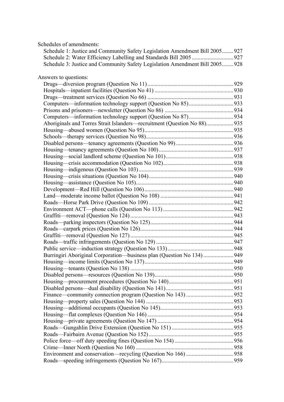| Schedules of amendments:                                                     |  |
|------------------------------------------------------------------------------|--|
| Schedule 1: Justice and Community Safety Legislation Amendment Bill 2005 927 |  |
|                                                                              |  |
| Schedule 3: Justice and Community Safety Legislation Amendment Bill 2005 928 |  |
|                                                                              |  |
| Answers to questions:                                                        |  |
|                                                                              |  |
|                                                                              |  |
|                                                                              |  |
|                                                                              |  |
|                                                                              |  |
|                                                                              |  |
| Aboriginals and Torres Strait Islanders—recruitment (Question No 88) 935     |  |
|                                                                              |  |
|                                                                              |  |
|                                                                              |  |
|                                                                              |  |
|                                                                              |  |
|                                                                              |  |
|                                                                              |  |
|                                                                              |  |
|                                                                              |  |
|                                                                              |  |
|                                                                              |  |
|                                                                              |  |
|                                                                              |  |
|                                                                              |  |
|                                                                              |  |
|                                                                              |  |
|                                                                              |  |
|                                                                              |  |
|                                                                              |  |
| Burringiri Aboriginal Corporation-business plan (Question No 134) 949        |  |
|                                                                              |  |
|                                                                              |  |
|                                                                              |  |
|                                                                              |  |
|                                                                              |  |
|                                                                              |  |
|                                                                              |  |
|                                                                              |  |
|                                                                              |  |
|                                                                              |  |
|                                                                              |  |
|                                                                              |  |
|                                                                              |  |
|                                                                              |  |
|                                                                              |  |
|                                                                              |  |
|                                                                              |  |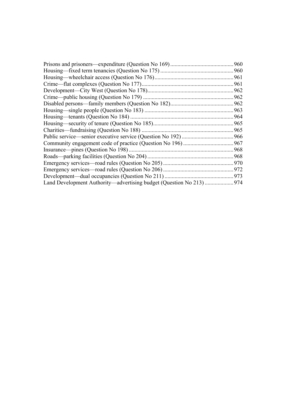| 960                                                                     |
|-------------------------------------------------------------------------|
|                                                                         |
| 961                                                                     |
| 961                                                                     |
| 962                                                                     |
| .962                                                                    |
| 962                                                                     |
| 963                                                                     |
| 964                                                                     |
| 965                                                                     |
| 965                                                                     |
| .966                                                                    |
| 967                                                                     |
| 968                                                                     |
| 968                                                                     |
| 970                                                                     |
| 972                                                                     |
| 973                                                                     |
| Land Development Authority—advertising budget (Question No 213)<br>.974 |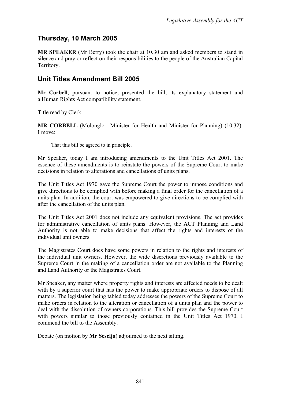# **Thursday, 10 March 2005**

**MR SPEAKER** (Mr Berry) took the chair at 10.30 am and asked members to stand in silence and pray or reflect on their responsibilities to the people of the Australian Capital Territory.

## <span id="page-4-0"></span>**Unit Titles Amendment Bill 2005**

**Mr Corbell**, pursuant to notice, presented the bill, its explanatory statement and a Human Rights Act compatibility statement.

Title read by Clerk.

**MR CORBELL** (Molonglo—Minister for Health and Minister for Planning) (10.32): I move:

That this bill be agreed to in principle.

Mr Speaker, today I am introducing amendments to the Unit Titles Act 2001. The essence of these amendments is to reinstate the powers of the Supreme Court to make decisions in relation to alterations and cancellations of units plans.

The Unit Titles Act 1970 gave the Supreme Court the power to impose conditions and give directions to be complied with before making a final order for the cancellation of a units plan. In addition, the court was empowered to give directions to be complied with after the cancellation of the units plan.

The Unit Titles Act 2001 does not include any equivalent provisions. The act provides for administrative cancellation of units plans. However, the ACT Planning and Land Authority is not able to make decisions that affect the rights and interests of the individual unit owners.

The Magistrates Court does have some powers in relation to the rights and interests of the individual unit owners. However, the wide discretions previously available to the Supreme Court in the making of a cancellation order are not available to the Planning and Land Authority or the Magistrates Court.

Mr Speaker, any matter where property rights and interests are affected needs to be dealt with by a superior court that has the power to make appropriate orders to dispose of all matters. The legislation being tabled today addresses the powers of the Supreme Court to make orders in relation to the alteration or cancellation of a units plan and the power to deal with the dissolution of owners corporations. This bill provides the Supreme Court with powers similar to those previously contained in the Unit Titles Act 1970. I commend the bill to the Assembly.

Debate (on motion by **Mr Seselja**) adjourned to the next sitting.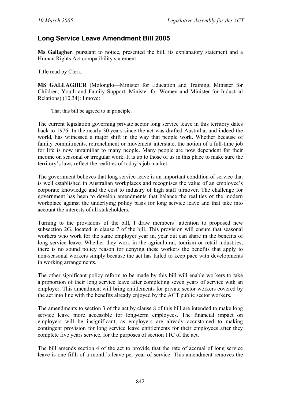# <span id="page-5-0"></span>**Long Service Leave Amendment Bill 2005**

**Ms Gallagher**, pursuant to notice, presented the bill, its explanatory statement and a Human Rights Act compatibility statement.

Title read by Clerk.

**MS GALLAGHER** (Molonglo—Minister for Education and Training, Minister for Children, Youth and Family Support, Minister for Women and Minister for Industrial Relations) (10.34): I move:

That this bill be agreed to in principle.

The current legislation governing private sector long service leave in this territory dates back to 1976. In the nearly 30 years since the act was drafted Australia, and indeed the world, has witnessed a major shift in the way that people work. Whether because of family commitments, retrenchment or movement interstate, the notion of a full-time job for life is now unfamiliar to many people. Many people are now dependent for their income on seasonal or irregular work. It is up to those of us in this place to make sure the territory's laws reflect the realities of today's job market.

The government believes that long service leave is an important condition of service that is well established in Australian workplaces and recognises the value of an employee's corporate knowledge and the cost to industry of high staff turnover. The challenge for government has been to develop amendments that balance the realities of the modern workplace against the underlying policy basis for long service leave and that take into account the interests of all stakeholders.

Turning to the provisions of the bill, I draw members' attention to proposed new subsection 2G, located in clause 7 of the bill. This provision will ensure that seasonal workers who work for the same employer year in, year out can share in the benefits of long service leave. Whether they work in the agricultural, tourism or retail industries, there is no sound policy reason for denying these workers the benefits that apply to non-seasonal workers simply because the act has failed to keep pace with developments in working arrangements.

The other significant policy reform to be made by this bill will enable workers to take a proportion of their long service leave after completing seven years of service with an employer. This amendment will bring entitlements for private sector workers covered by the act into line with the benefits already enjoyed by the ACT public sector workers.

The amendments to section 3 of the act by clause 8 of this bill are intended to make long service leave more accessible for long-term employees. The financial impact on employers will be insignificant, as employers are already accustomed to making contingent provision for long service leave entitlements for their employees after they complete five years service, for the purposes of section 11C of the act.

The bill amends section 4 of the act to provide that the rate of accrual of long service leave is one-fifth of a month's leave per year of service. This amendment removes the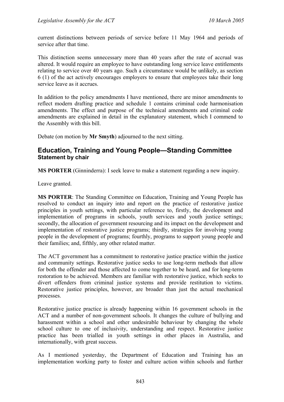current distinctions between periods of service before 11 May 1964 and periods of service after that time.

This distinction seems unnecessary more than 40 years after the rate of accrual was altered. It would require an employee to have outstanding long service leave entitlements relating to service over 40 years ago. Such a circumstance would be unlikely, as section 6 (1) of the act actively encourages employers to ensure that employees take their long service leave as it accrues.

In addition to the policy amendments I have mentioned, there are minor amendments to reflect modern drafting practice and schedule 1 contains criminal code harmonisation amendments. The effect and purpose of the technical amendments and criminal code amendments are explained in detail in the explanatory statement, which I commend to the Assembly with this bill.

Debate (on motion by **Mr Smyth**) adjourned to the next sitting.

## <span id="page-6-0"></span>**Education, Training and Young People—Standing Committee Statement by chair**

**MS PORTER** (Ginninderra): I seek leave to make a statement regarding a new inquiry.

Leave granted.

**MS PORTER**: The Standing Committee on Education, Training and Young People has resolved to conduct an inquiry into and report on the practice of restorative justice principles in youth settings, with particular reference to, firstly, the development and implementation of programs in schools, youth services and youth justice settings; secondly, the allocation of government resourcing and its impact on the development and implementation of restorative justice programs; thirdly, strategies for involving young people in the development of programs; fourthly, programs to support young people and their families; and, fifthly, any other related matter.

The ACT government has a commitment to restorative justice practice within the justice and community settings. Restorative justice seeks to use long-term methods that allow for both the offender and those affected to come together to be heard, and for long-term restoration to be achieved. Members are familiar with restorative justice, which seeks to divert offenders from criminal justice systems and provide restitution to victims. Restorative justice principles, however, are broader than just the actual mechanical processes.

Restorative justice practice is already happening within 16 government schools in the ACT and a number of non-government schools. It changes the culture of bullying and harassment within a school and other undesirable behaviour by changing the whole school culture to one of inclusivity, understanding and respect. Restorative justice practice has been trialled in youth settings in other places in Australia, and internationally, with great success.

As I mentioned yesterday, the Department of Education and Training has an implementation working party to foster and culture action within schools and further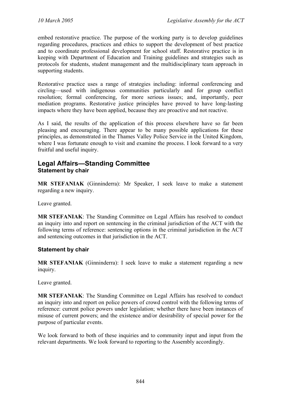embed restorative practice. The purpose of the working party is to develop guidelines regarding procedures, practices and ethics to support the development of best practice and to coordinate professional development for school staff. Restorative practice is in keeping with Department of Education and Training guidelines and strategies such as protocols for students, student management and the multidisciplinary team approach in supporting students.

Restorative practice uses a range of strategies including: informal conferencing and circling—used with indigenous communities particularly and for group conflict resolution; formal conferencing, for more serious issues; and, importantly, peer mediation programs. Restorative justice principles have proved to have long-lasting impacts where they have been applied, because they are proactive and not reactive.

As I said, the results of the application of this process elsewhere have so far been pleasing and encouraging. There appear to be many possible applications for these principles, as demonstrated in the Thames Valley Police Service in the United Kingdom, where I was fortunate enough to visit and examine the process. I look forward to a very fruitful and useful inquiry.

## <span id="page-7-0"></span>**Legal Affairs—Standing Committee Statement by chair**

**MR STEFANIAK** (Ginninderra): Mr Speaker, I seek leave to make a statement regarding a new inquiry.

Leave granted.

**MR STEFANIAK**: The Standing Committee on Legal Affairs has resolved to conduct an inquiry into and report on sentencing in the criminal jurisdiction of the ACT with the following terms of reference: sentencing options in the criminal jurisdiction in the ACT and sentencing outcomes in that jurisdiction in the ACT.

### **Statement by chair**

**MR STEFANIAK** (Ginninderra): I seek leave to make a statement regarding a new inquiry.

Leave granted.

**MR STEFANIAK**: The Standing Committee on Legal Affairs has resolved to conduct an inquiry into and report on police powers of crowd control with the following terms of reference: current police powers under legislation; whether there have been instances of misuse of current powers; and the existence and/or desirability of special power for the purpose of particular events.

We look forward to both of these inquiries and to community input and input from the relevant departments. We look forward to reporting to the Assembly accordingly.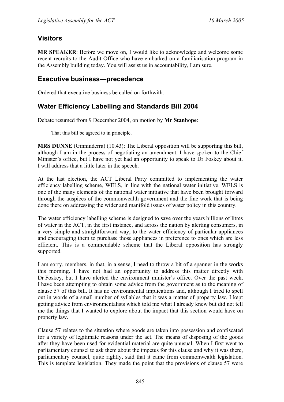# <span id="page-8-0"></span>**Visitors**

**MR SPEAKER**: Before we move on, I would like to acknowledge and welcome some recent recruits to the Audit Office who have embarked on a familiarisation program in the Assembly building today. You will assist us in accountability, I am sure.

## <span id="page-8-1"></span>**Executive business—precedence**

Ordered that executive business be called on forthwith.

# <span id="page-8-2"></span>**Water Efficiency Labelling and Standards Bill 2004**

Debate resumed from 9 December 2004, on motion by **Mr Stanhope**:

That this bill be agreed to in principle.

**MRS DUNNE** (Ginninderra) (10.43): The Liberal opposition will be supporting this bill, although I am in the process of negotiating an amendment. I have spoken to the Chief Minister's office, but I have not yet had an opportunity to speak to Dr Foskey about it. I will address that a little later in the speech.

At the last election, the ACT Liberal Party committed to implementing the water efficiency labelling scheme, WELS, in line with the national water initiative. WELS is one of the many elements of the national water initiative that have been brought forward through the auspices of the commonwealth government and the fine work that is being done there on addressing the wider and manifold issues of water policy in this country.

The water efficiency labelling scheme is designed to save over the years billions of litres of water in the ACT, in the first instance, and across the nation by alerting consumers, in a very simple and straightforward way, to the water efficiency of particular appliances and encouraging them to purchase those appliances in preference to ones which are less efficient. This is a commendable scheme that the Liberal opposition has strongly supported.

I am sorry, members, in that, in a sense, I need to throw a bit of a spanner in the works this morning. I have not had an opportunity to address this matter directly with Dr Foskey, but I have alerted the environment minister's office. Over the past week, I have been attempting to obtain some advice from the government as to the meaning of clause 57 of this bill. It has no environmental implications and, although I tried to spell out in words of a small number of syllables that it was a matter of property law, I kept getting advice from environmentalists which told me what I already knew but did not tell me the things that I wanted to explore about the impact that this section would have on property law.

Clause 57 relates to the situation where goods are taken into possession and confiscated for a variety of legitimate reasons under the act. The means of disposing of the goods after they have been used for evidential material are quite unusual. When I first went to parliamentary counsel to ask them about the impetus for this clause and why it was there, parliamentary counsel, quite rightly, said that it came from commonwealth legislation. This is template legislation. They made the point that the provisions of clause 57 were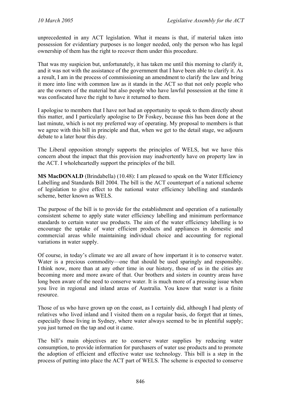unprecedented in any ACT legislation. What it means is that, if material taken into possession for evidentiary purposes is no longer needed, only the person who has legal ownership of them has the right to recover them under this procedure.

That was my suspicion but, unfortunately, it has taken me until this morning to clarify it, and it was not with the assistance of the government that I have been able to clarify it. As a result, I am in the process of commissioning an amendment to clarify the law and bring it more into line with common law as it stands in the ACT so that not only people who are the owners of the material but also people who have lawful possession at the time it was confiscated have the right to have it returned to them.

I apologise to members that I have not had an opportunity to speak to them directly about this matter, and I particularly apologise to Dr Foskey, because this has been done at the last minute, which is not my preferred way of operating. My proposal to members is that we agree with this bill in principle and that, when we get to the detail stage, we adjourn debate to a later hour this day.

The Liberal opposition strongly supports the principles of WELS, but we have this concern about the impact that this provision may inadvertently have on property law in the ACT. I wholeheartedly support the principles of the bill.

**MS MacDONALD** (Brindabella) (10.48): I am pleased to speak on the Water Efficiency Labelling and Standards Bill 2004. The bill is the ACT counterpart of a national scheme of legislation to give effect to the national water efficiency labelling and standards scheme, better known as WELS.

The purpose of the bill is to provide for the establishment and operation of a nationally consistent scheme to apply state water efficiency labelling and minimum performance standards to certain water use products. The aim of the water efficiency labelling is to encourage the uptake of water efficient products and appliances in domestic and commercial areas while maintaining individual choice and accounting for regional variations in water supply.

Of course, in today's climate we are all aware of how important it is to conserve water. Water is a precious commodity—one that should be used sparingly and responsibly. I think now, more than at any other time in our history, those of us in the cities are becoming more and more aware of that. Our brothers and sisters in country areas have long been aware of the need to conserve water. It is much more of a pressing issue when you live in regional and inland areas of Australia. You know that water is a finite resource.

Those of us who have grown up on the coast, as I certainly did, although I had plenty of relatives who lived inland and I visited them on a regular basis, do forget that at times, especially those living in Sydney, where water always seemed to be in plentiful supply; you just turned on the tap and out it came.

The bill's main objectives are to conserve water supplies by reducing water consumption, to provide information for purchasers of water use products and to promote the adoption of efficient and effective water use technology. This bill is a step in the process of putting into place the ACT part of WELS. The scheme is expected to conserve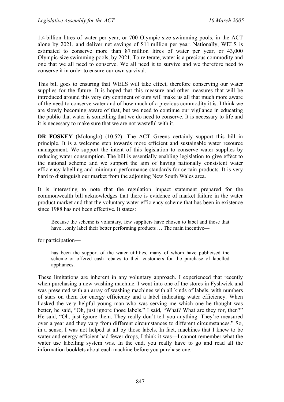1.4 billion litres of water per year, or 700 Olympic-size swimming pools, in the ACT alone by 2021, and deliver net savings of \$11 million per year. Nationally, WELS is estimated to conserve more than 87 million litres of water per year, or 43,000 Olympic-size swimming pools, by 2021. To reiterate, water is a precious commodity and one that we all need to conserve. We all need it to survive and we therefore need to conserve it in order to ensure our own survival.

This bill goes to ensuring that WELS will take effect, therefore conserving our water supplies for the future. It is hoped that this measure and other measures that will be introduced around this very dry continent of ours will make us all that much more aware of the need to conserve water and of how much of a precious commodity it is. I think we are slowly becoming aware of that, but we need to continue our vigilance in educating the public that water is something that we do need to conserve. It is necessary to life and it is necessary to make sure that we are not wasteful with it.

**DR FOSKEY** (Molonglo) (10.52): The ACT Greens certainly support this bill in principle. It is a welcome step towards more efficient and sustainable water resource management. We support the intent of this legislation to conserve water supplies by reducing water consumption. The bill is essentially enabling legislation to give effect to the national scheme and we support the aim of having nationally consistent water efficiency labelling and minimum performance standards for certain products. It is very hard to distinguish our market from the adjoining New South Wales area.

It is interesting to note that the regulation impact statement prepared for the commonwealth bill acknowledges that there is evidence of market failure in the water product market and that the voluntary water efficiency scheme that has been in existence since 1988 has not been effective. It states:

Because the scheme is voluntary, few suppliers have chosen to label and those that have...only label their better performing products ... The main incentive—

for participation—

has been the support of the water utilities, many of whom have publicised the scheme or offered cash rebates to their customers for the purchase of labelled appliances.

These limitations are inherent in any voluntary approach. I experienced that recently when purchasing a new washing machine. I went into one of the stores in Fyshwick and was presented with an array of washing machines with all kinds of labels, with numbers of stars on them for energy efficiency and a label indicating water efficiency. When I asked the very helpful young man who was serving me which one he thought was better, he said, "Oh, just ignore those labels." I said, "What? What are they for, then?" He said, "Oh, just ignore them. They really don't tell you anything. They're measured over a year and they vary from different circumstances to different circumstances." So, in a sense, I was not helped at all by those labels. In fact, machines that I knew to be water and energy efficient had fewer drops, I think it was—I cannot remember what the water use labelling system was. In the end, you really have to go and read all the information booklets about each machine before you purchase one.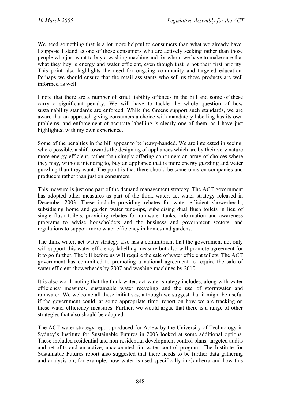We need something that is a lot more helpful to consumers than what we already have. I suppose I stand as one of those consumers who are actively seeking rather than those people who just want to buy a washing machine and for whom we have to make sure that what they buy is energy and water efficient, even though that is not their first priority. This point also highlights the need for ongoing community and targeted education. Perhaps we should ensure that the retail assistants who sell us these products are well informed as well.

I note that there are a number of strict liability offences in the bill and some of these carry a significant penalty. We will have to tackle the whole question of how sustainability standards are enforced. While the Greens support such standards, we are aware that an approach giving consumers a choice with mandatory labelling has its own problems, and enforcement of accurate labelling is clearly one of them, as I have just highlighted with my own experience.

Some of the penalties in the bill appear to be heavy-handed. We are interested in seeing, where possible, a shift towards the designing of appliances which are by their very nature more energy efficient, rather than simply offering consumers an array of choices where they may, without intending to, buy an appliance that is more energy guzzling and water guzzling than they want. The point is that there should be some onus on companies and producers rather than just on consumers.

This measure is just one part of the demand management strategy. The ACT government has adopted other measures as part of the think water, act water strategy released in December 2003. These include providing rebates for water efficient showerheads, subsidising home and garden water tune-ups, subsidising dual flush toilets in lieu of single flush toilets, providing rebates for rainwater tanks, information and awareness programs to advise householders and the business and government sectors, and regulations to support more water efficiency in homes and gardens.

The think water, act water strategy also has a commitment that the government not only will support this water efficiency labelling measure but also will promote agreement for it to go further. The bill before us will require the sale of water efficient toilets. The ACT government has committed to promoting a national agreement to require the sale of water efficient showerheads by 2007 and washing machines by 2010.

It is also worth noting that the think water, act water strategy includes, along with water efficiency measures, sustainable water recycling and the use of stormwater and rainwater. We welcome all these initiatives, although we suggest that it might be useful if the government could, at some appropriate time, report on how we are tracking on these water-efficiency measures. Further, we would argue that there is a range of other strategies that also should be adopted.

The ACT water strategy report produced for Actew by the University of Technology in Sydney's Institute for Sustainable Futures in 2003 looked at some additional options. These included residential and non-residential development control plans, targeted audits and retrofits and an active, unaccounted for water control program. The Institute for Sustainable Futures report also suggested that there needs to be further data gathering and analysis on, for example, how water is used specifically in Canberra and how this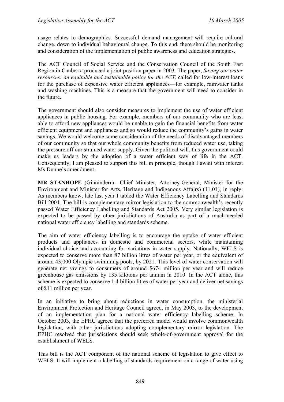usage relates to demographics. Successful demand management will require cultural change, down to individual behavioural change. To this end, there should be monitoring and consideration of the implementation of public awareness and education strategies.

The ACT Council of Social Service and the Conservation Council of the South East Region in Canberra produced a joint position paper in 2003. The paper, *Saving our water resources: an equitable and sustainable policy for the ACT*, called for low-interest loans for the purchase of expensive water efficient appliances—for example, rainwater tanks and washing machines. This is a measure that the government will need to consider in the future.

The government should also consider measures to implement the use of water efficient appliances in public housing. For example, members of our community who are least able to afford new appliances would be unable to gain the financial benefits from water efficient equipment and appliances and so would reduce the community's gains in water savings. We would welcome some consideration of the needs of disadvantaged members of our community so that our whole community benefits from reduced water use, taking the pressure off our strained water supply. Given the political will, this government could make us leaders by the adoption of a water efficient way of life in the ACT. Consequently, I am pleased to support this bill in principle, though I await with interest Ms Dunne's amendment.

**MR STANHOPE** (Ginninderra—Chief Minister, Attorney-General, Minister for the Environment and Minister for Arts, Heritage and Indigenous Affairs) (11.01), in reply: As members know, late last year I tabled the Water Efficiency Labelling and Standards Bill 2004. The bill is complementary mirror legislation to the commonwealth's recently passed Water Efficiency Labelling and Standards Act 2005. Very similar legislation is expected to be passed by other jurisdictions of Australia as part of a much-needed national water efficiency labelling and standards scheme.

The aim of water efficiency labelling is to encourage the uptake of water efficient products and appliances in domestic and commercial sectors, while maintaining individual choice and accounting for variations in water supply. Nationally, WELS is expected to conserve more than 87 billion litres of water per year, or the equivalent of around 43,000 Olympic swimming pools, by 2021. This level of water conservation will generate net savings to consumers of around \$674 million per year and will reduce greenhouse gas emissions by 135 kilotons per annum in 2010. In the ACT alone, this scheme is expected to conserve 1.4 billion litres of water per year and deliver net savings of \$11 million per year.

In an initiative to bring about reductions in water consumption, the ministerial Environment Protection and Heritage Council agreed, in May 2003, to the development of an implementation plan for a national water efficiency labelling scheme. In October 2003, the EPHC agreed that the preferred model would involve commonwealth legislation, with other jurisdictions adopting complementary mirror legislation. The EPHC resolved that jurisdictions should seek whole-of-government approval for the establishment of WELS.

This bill is the ACT component of the national scheme of legislation to give effect to WELS. It will implement a labelling of standards requirement on a range of water using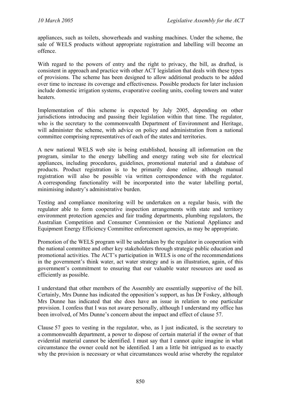appliances, such as toilets, showerheads and washing machines. Under the scheme, the sale of WELS products without appropriate registration and labelling will become an offence.

With regard to the powers of entry and the right to privacy, the bill, as drafted, is consistent in approach and practice with other ACT legislation that deals with these types of provisions. The scheme has been designed to allow additional products to be added over time to increase its coverage and effectiveness. Possible products for later inclusion include domestic irrigation systems, evaporative cooling units, cooling towers and water heaters.

Implementation of this scheme is expected by July 2005, depending on other jurisdictions introducing and passing their legislation within that time. The regulator, who is the secretary to the commonwealth Department of Environment and Heritage, will administer the scheme, with advice on policy and administration from a national committee comprising representatives of each of the states and territories.

A new national WELS web site is being established, housing all information on the program, similar to the energy labelling and energy rating web site for electrical appliances, including procedures, guidelines, promotional material and a database of products. Product registration is to be primarily done online, although manual registration will also be possible via written correspondence with the regulator. A corresponding functionality will be incorporated into the water labelling portal, minimising industry's administrative burden.

Testing and compliance monitoring will be undertaken on a regular basis, with the regulator able to form cooperative inspection arrangements with state and territory environment protection agencies and fair trading departments, plumbing regulators, the Australian Competition and Consumer Commission or the National Appliance and Equipment Energy Efficiency Committee enforcement agencies, as may be appropriate.

Promotion of the WELS program will be undertaken by the regulator in cooperation with the national committee and other key stakeholders through strategic public education and promotional activities. The ACT's participation in WELS is one of the recommendations in the government's think water, act water strategy and is an illustration, again, of this government's commitment to ensuring that our valuable water resources are used as efficiently as possible.

I understand that other members of the Assembly are essentially supportive of the bill. Certainly, Mrs Dunne has indicated the opposition's support, as has Dr Foskey, although Mrs Dunne has indicated that she does have an issue in relation to one particular provision. I confess that I was not aware personally, although I understand my office has been involved, of Mrs Dunne's concern about the impact and effect of clause 57.

Clause 57 goes to vesting in the regulator, who, as I just indicated, is the secretary to a commonwealth department, a power to dispose of certain material if the owner of that evidential material cannot be identified. I must say that I cannot quite imagine in what circumstance the owner could not be identified. I am a little bit intrigued as to exactly why the provision is necessary or what circumstances would arise whereby the regulator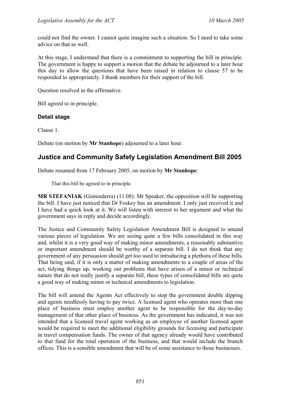could not find the owner. I cannot quite imagine such a situation. So I need to take some advice on that as well.

At this stage, I understand that there is a commitment to supporting the bill in principle. The government is happy to support a motion that the debate be adjourned to a later hour this day to allow the questions that have been raised in relation to clause 57 to be responded to appropriately. I thank members for their support of the bill.

Question resolved in the affirmative.

Bill agreed to in principle.

### **Detail stage**

Clause 1.

Debate (on motion by **Mr Stanhope**) adjourned to a later hour.

# <span id="page-14-0"></span>**Justice and Community Safety Legislation Amendment Bill 2005**

Debate resumed from 17 February 2005, on motion by **Mr Stanhope**:

That this bill be agreed to in principle.

**MR STEFANIAK** (Ginninderra) (11.08): Mr Speaker, the opposition will be supporting the bill. I have just noticed that Dr Foskey has an amendment. I only just received it and I have had a quick look at it. We will listen with interest to her argument and what the government says in reply and decide accordingly.

The Justice and Community Safety Legislation Amendment Bill is designed to amend various pieces of legislation. We are seeing quite a few bills consolidated in this way and, whilst it is a very good way of making minor amendments, a reasonably substantive or important amendment should be worthy of a separate bill. I do not think that any government of any persuasion should get too used to introducing a plethora of these bills. That being said, if it is only a matter of making amendments to a couple of areas of the act, tidying things up, working out problems that have arisen of a minor or technical nature that do not really justify a separate bill, these types of consolidated bills are quite a good way of making minor or technical amendments to legislation.

The bill will amend the Agents Act effectively to stop the government double dipping and agents needlessly having to pay twice. A licensed agent who operates more than one place of business must employ another agent to be responsible for the day-to-day management of that other place of business. As the government has indicated, it was not intended that a licensed travel agent working as an employee of another licensed agent would be required to meet the additional eligibility grounds for licensing and participate in travel compensation funds. The owner of that agency already would have contributed to that fund for the total operation of the business, and that would include the branch offices. This is a sensible amendment that will be of some assistance to those businesses.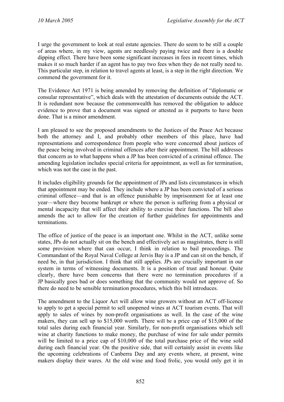I urge the government to look at real estate agencies. There do seem to be still a couple of areas where, in my view, agents are needlessly paying twice and there is a double dipping effect. There have been some significant increases in fees in recent times, which makes it so much harder if an agent has to pay two fees when they do not really need to. This particular step, in relation to travel agents at least, is a step in the right direction. We commend the government for it.

The Evidence Act 1971 is being amended by removing the definition of "diplomatic or consular representative", which deals with the attestation of documents outside the ACT. It is redundant now because the commonwealth has removed the obligation to adduce evidence to prove that a document was signed or attested as it purports to have been done. That is a minor amendment.

I am pleased to see the proposed amendments to the Justices of the Peace Act because both the attorney and I, and probably other members of this place, have had representations and correspondence from people who were concerned about justices of the peace being involved in criminal offences after their appointment. The bill addresses that concern as to what happens when a JP has been convicted of a criminal offence. The amending legislation includes special criteria for appointment, as well as for termination, which was not the case in the past.

It includes eligibility grounds for the appointment of JPs and lists circumstances in which that appointment may be ended. They include where a JP has been convicted of a serious criminal offence—and that is an offence punishable by imprisonment for at least one year—where they become bankrupt or where the person is suffering from a physical or mental incapacity that will affect their ability to exercise their functions. The bill also amends the act to allow for the creation of further guidelines for appointments and terminations.

The office of justice of the peace is an important one. Whilst in the ACT, unlike some states, JPs do not actually sit on the bench and effectively act as magistrates, there is still some provision where that can occur, I think in relation to bail proceedings. The Commandant of the Royal Naval College at Jervis Bay is a JP and can sit on the bench, if need be, in that jurisdiction. I think that still applies. JPs are crucially important in our system in terms of witnessing documents. It is a position of trust and honour. Quite clearly, there have been concerns that there were no termination procedures if a JP basically goes bad or does something that the community would not approve of. So there do need to be sensible termination procedures, which this bill introduces.

The amendment to the Liquor Act will allow wine growers without an ACT off-licence to apply to get a special permit to sell unopened wines at ACT tourism events. That will apply to sales of wines by non-profit organisations as well. In the case of the wine makers, they can sell up to \$15,000 worth. There will be a price cap of \$15,000 of the total sales during each financial year. Similarly, for non-profit organisations which sell wine at charity functions to make money, the purchase of wine for sale under permits will be limited to a price cap of \$10,000 of the total purchase price of the wine sold during each financial year. On the positive side, that will certainly assist in events like the upcoming celebrations of Canberra Day and any events where, at present, wine makers display their wares. At the old wine and food frolic, you would only get it in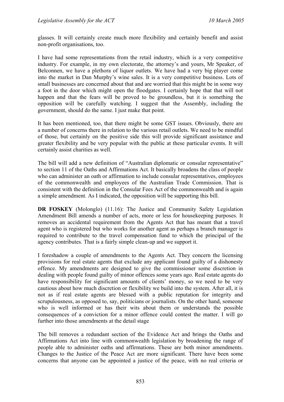glasses. It will certainly create much more flexibility and certainly benefit and assist non-profit organisations, too.

I have had some representations from the retail industry, which is a very competitive industry. For example, in my own electorate, the attorney's and yours, Mr Speaker, of Belconnen, we have a plethora of liquor outlets. We have had a very big player come into the market in Dan Murphy's wine sales. It is a very competitive business. Lots of small businesses are concerned about that and are worried that this might be in some way a foot in the door which might open the floodgates. I certainly hope that that will not happen and that the fears will be proved to be groundless, but it is something the opposition will be carefully watching. I suggest that the Assembly, including the government, should do the same. I just make that point.

It has been mentioned, too, that there might be some GST issues. Obviously, there are a number of concerns there in relation to the various retail outlets. We need to be mindful of those, but certainly on the positive side this will provide significant assistance and greater flexibility and be very popular with the public at these particular events. It will certainly assist charities as well.

The bill will add a new definition of "Australian diplomatic or consular representative" to section 11 of the Oaths and Affirmations Act. It basically broadens the class of people who can administer an oath or affirmation to include consular representatives, employees of the commonwealth and employees of the Australian Trade Commission. That is consistent with the definition in the Consular Fees Act of the commonwealth and is again a simple amendment. As I indicated, the opposition will be supporting this bill.

**DR FOSKEY** (Molonglo) (11.16): The Justice and Community Safety Legislation Amendment Bill amends a number of acts, more or less for housekeeping purposes. It removes an accidental requirement from the Agents Act that has meant that a travel agent who is registered but who works for another agent as perhaps a branch manager is required to contribute to the travel compensation fund to which the principal of the agency contributes. That is a fairly simple clean-up and we support it.

I foreshadow a couple of amendments to the Agents Act. They concern the licensing provisions for real estate agents that exclude any applicant found guilty of a dishonesty offence. My amendments are designed to give the commissioner some discretion in dealing with people found guilty of minor offences some years ago. Real estate agents do have responsibility for significant amounts of clients' money, so we need to be very cautious about how much discretion or flexibility we build into the system. After all, it is not as if real estate agents are blessed with a public reputation for integrity and scrupulousness, as opposed to, say, politicians or journalists. On the other hand, someone who is well informed or has their wits about them or understands the possible consequences of a conviction for a minor offence could contest the matter. I will go further into those amendments at the detail stage

The bill removes a redundant section of the Evidence Act and brings the Oaths and Affirmations Act into line with commonwealth legislation by broadening the range of people able to administer oaths and affirmations. These are both minor amendments. Changes to the Justice of the Peace Act are more significant. There have been some concerns that anyone can be appointed a justice of the peace, with no real criteria or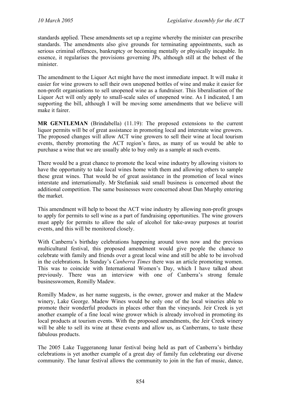standards applied. These amendments set up a regime whereby the minister can prescribe standards. The amendments also give grounds for terminating appointments, such as serious criminal offences, bankruptcy or becoming mentally or physically incapable. In essence, it regularises the provisions governing JPs, although still at the behest of the minister.

The amendment to the Liquor Act might have the most immediate impact. It will make it easier for wine growers to sell their own unopened bottles of wine and make it easier for non-profit organisations to sell unopened wine as a fundraiser. This liberalisation of the Liquor Act will only apply to small-scale sales of unopened wine. As I indicated, I am supporting the bill, although I will be moving some amendments that we believe will make it fairer.

**MR GENTLEMAN** (Brindabella) (11.19): The proposed extensions to the current liquor permits will be of great assistance in promoting local and interstate wine growers. The proposed changes will allow ACT wine growers to sell their wine at local tourism events, thereby promoting the ACT region's fares, as many of us would be able to purchase a wine that we are usually able to buy only as a sample at such events.

There would be a great chance to promote the local wine industry by allowing visitors to have the opportunity to take local wines home with them and allowing others to sample these great wines. That would be of great assistance in the promotion of local wines interstate and internationally. Mr Stefaniak said small business is concerned about the additional competition. The same businesses were concerned about Dan Murphy entering the market.

This amendment will help to boost the ACT wine industry by allowing non-profit groups to apply for permits to sell wine as a part of fundraising opportunities. The wine growers must apply for permits to allow the sale of alcohol for take-away purposes at tourist events, and this will be monitored closely.

With Canberra's birthday celebrations happening around town now and the previous multicultural festival, this proposed amendment would give people the chance to celebrate with family and friends over a great local wine and still be able to be involved in the celebrations. In Sunday's *Canberra Times* there was an article promoting women. This was to coincide with International Women's Day, which I have talked about previously. There was an interview with one of Canberra's strong female businesswomen, Romilly Madew.

Romilly Madew, as her name suggests, is the owner, grower and maker at the Madew winery, Lake George. Madew Wines would be only one of the local wineries able to promote their wonderful products in places other than the vineyards. Jeir Creek is yet another example of a fine local wine grower which is already involved in promoting its local products at tourism events. With the proposed amendments, the Jeir Creek winery will be able to sell its wine at these events and allow us, as Canberrans, to taste these fabulous products.

The 2005 Lake Tuggeranong lunar festival being held as part of Canberra's birthday celebrations is yet another example of a great day of family fun celebrating our diverse community. The lunar festival allows the community to join in the fun of music, dance,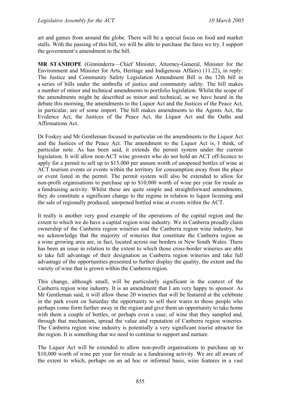art and games from around the globe. There will be a special focus on food and market stalls. With the passing of this bill, we will be able to purchase the fares we try. I support the government's amendment to the bill.

**MR STANHOPE** (Ginninderra—Chief Minister, Attorney-General, Minister for the Environment and Minister for Arts, Heritage and Indigenous Affairs) (11.22), in reply: The Justice and Community Safety Legislation Amendment Bill is the 12th bill in a series of bills under the umbrella of justice and community safety. The bill makes a number of minor and technical amendments to portfolio legislation. Whilst the scope of the amendments might be described as minor and technical, as we have heard in the debate this morning, the amendments to the Liquor Act and the Justices of the Peace Act, in particular, are of some import. The bill makes amendments to the Agents Act, the Evidence Act, the Justices of the Peace Act, the Liquor Act and the Oaths and Affirmations Act.

Dr Foskey and Mr Gentleman focused in particular on the amendments to the Liquor Act and the Justices of the Peace Act. The amendment to the Liquor Act is, I think, of particular note. As has been said, it extends the permit system under the current legislation. It will allow non-ACT wine growers who do not hold an ACT off-licence to apply for a permit to sell up to \$15,000 per annum worth of unopened bottles of wine at ACT tourism events or events within the territory for consumption away from the place or event listed in the permit. The permit system will also be extended to allow for non-profit organisations to purchase up to \$10,000 worth of wine per year for resale as a fundraising activity. Whilst these are quite simple and straightforward amendments, they do constitute a significant change to the regime in relation to liquor licensing and the sale of regionally produced, unopened bottled wine at events within the ACT.

It really is another very good example of the operations of the capital region and the extent to which we do have a capital region wine industry. We in Canberra proudly claim ownership of the Canberra region wineries and the Canberra region wine industry, but we acknowledge that the majority of wineries that constitute the Canberra region as a wine growing area are, in fact, located across our borders in New South Wales. There has been an issue in relation to the extent to which those cross-border wineries are able to take full advantage of their designation as Canberra region wineries and take full advantage of the opportunities presented to further display the quality, the extent and the variety of wine that is grown within the Canberra region.

This change, although small, will be particularly significant in the context of the Canberra region wine industry. It is an amendment that I am very happy to sponsor. As Mr Gentleman said, it will allow those 20 wineries that will be featured at the celebrate in the park event on Saturday the opportunity to sell their wares to those people who perhaps come form further away in the region and give them an opportunity to take home with them a couple of bottles, or perhaps even a case, of wine that they sampled and, through that mechanism, spread the value and reputation of Canberra region wineries. The Canberra region wine industry is potentially a very significant tourist attractor for the region. It is something that we need to continue to support and nurture.

The Liquor Act will be extended to allow non-profit organisations to purchase up to \$10,000 worth of wine per year for resale as a fundraising activity. We are all aware of the extent to which, perhaps on an ad hoc or informal basis, wine features in a vast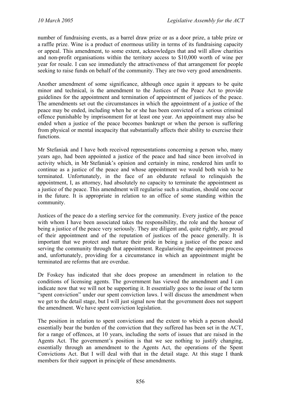number of fundraising events, as a barrel draw prize or as a door prize, a table prize or a raffle prize. Wine is a product of enormous utility in terms of its fundraising capacity or appeal. This amendment, to some extent, acknowledges that and will allow charities and non-profit organisations within the territory access to \$10,000 worth of wine per year for resale. I can see immediately the attractiveness of that arrangement for people seeking to raise funds on behalf of the community. They are two very good amendments.

Another amendment of some significance, although once again it appears to be quite minor and technical, is the amendment to the Justices of the Peace Act to provide guidelines for the appointment and termination of appointment of justices of the peace. The amendments set out the circumstances in which the appointment of a justice of the peace may be ended, including when he or she has been convicted of a serious criminal offence punishable by imprisonment for at least one year. An appointment may also be ended when a justice of the peace becomes bankrupt or when the person is suffering from physical or mental incapacity that substantially affects their ability to exercise their functions.

Mr Stefaniak and I have both received representations concerning a person who, many years ago, had been appointed a justice of the peace and had since been involved in activity which, in Mr Stefaniak's opinion and certainly in mine, rendered him unfit to continue as a justice of the peace and whose appointment we would both wish to be terminated. Unfortunately, in the face of an obdurate refusal to relinquish the appointment, I, as attorney, had absolutely no capacity to terminate the appointment as a justice of the peace. This amendment will regularise such a situation, should one occur in the future. It is appropriate in relation to an office of some standing within the community.

Justices of the peace do a sterling service for the community. Every justice of the peace with whom I have been associated takes the responsibility, the role and the honour of being a justice of the peace very seriously. They are diligent and, quite rightly, are proud of their appointment and of the reputation of justices of the peace generally. It is important that we protect and nurture their pride in being a justice of the peace and serving the community through that appointment. Regularising the appointment process and, unfortunately, providing for a circumstance in which an appointment might be terminated are reforms that are overdue.

Dr Foskey has indicated that she does propose an amendment in relation to the conditions of licensing agents. The government has viewed the amendment and I can indicate now that we will not be supporting it. It essentially goes to the issue of the term "spent conviction" under our spent conviction laws. I will discuss the amendment when we get to the detail stage, but I will just signal now that the government does not support the amendment. We have spent conviction legislation.

The position in relation to spent convictions and the extent to which a person should essentially bear the burden of the conviction that they suffered has been set in the ACT, for a range of offences, at 10 years, including the sorts of issues that are raised in the Agents Act. The government's position is that we see nothing to justify changing, essentially through an amendment to the Agents Act, the operations of the Spent Convictions Act. But I will deal with that in the detail stage. At this stage I thank members for their support in principle of these amendments.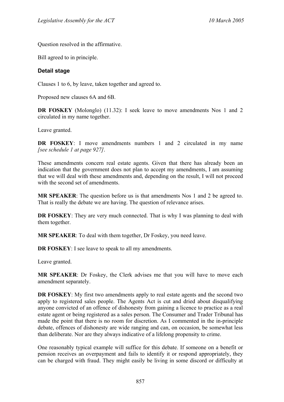Question resolved in the affirmative.

Bill agreed to in principle.

#### **Detail stage**

Clauses 1 to 6, by leave, taken together and agreed to.

Proposed new clauses 6A and 6B.

**DR FOSKEY** (Molonglo) (11.32): I seek leave to move amendments Nos 1 and 2 circulated in my name together.

Leave granted.

**DR FOSKEY:** I move amendments numbers 1 and 2 circulated in my name *[see schedule 1 at page 927]*.

These amendments concern real estate agents. Given that there has already been an indication that the government does not plan to accept my amendments, I am assuming that we will deal with these amendments and, depending on the result, I will not proceed with the second set of amendments.

**MR SPEAKER**: The question before us is that amendments Nos 1 and 2 be agreed to. That is really the debate we are having. The question of relevance arises.

**DR FOSKEY**: They are very much connected. That is why I was planning to deal with them together.

**MR SPEAKER**: To deal with them together, Dr Foskey, you need leave.

**DR FOSKEY**: I see leave to speak to all my amendments.

Leave granted.

**MR SPEAKER**: Dr Foskey, the Clerk advises me that you will have to move each amendment separately.

**DR FOSKEY**: My first two amendments apply to real estate agents and the second two apply to registered sales people. The Agents Act is cut and dried about disqualifying anyone convicted of an offence of dishonesty from gaining a licence to practice as a real estate agent or being registered as a sales person. The Consumer and Trader Tribunal has made the point that there is no room for discretion. As I commented in the in-principle debate, offences of dishonesty are wide ranging and can, on occasion, be somewhat less than deliberate. Nor are they always indicative of a lifelong propensity to crime.

One reasonably typical example will suffice for this debate. If someone on a benefit or pension receives an overpayment and fails to identify it or respond appropriately, they can be charged with fraud. They might easily be living in some discord or difficulty at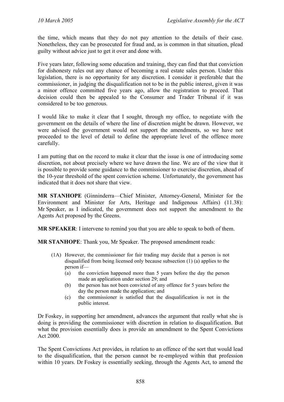the time, which means that they do not pay attention to the details of their case. Nonetheless, they can be prosecuted for fraud and, as is common in that situation, plead guilty without advice just to get it over and done with.

Five years later, following some education and training, they can find that that conviction for dishonesty rules out any chance of becoming a real estate sales person. Under this legislation, there is no opportunity for any discretion. I consider it preferable that the commissioner, in judging the disqualification not to be in the public interest, given it was a minor offence committed five years ago, allow the registration to proceed. That decision could then be appealed to the Consumer and Trader Tribunal if it was considered to be too generous.

I would like to make it clear that I sought, through my office, to negotiate with the government on the details of where the line of discretion might be drawn. However, we were advised the government would not support the amendments, so we have not proceeded to the level of detail to define the appropriate level of the offence more carefully.

I am putting that on the record to make it clear that the issue is one of introducing some discretion, not about precisely where we have drawn the line. We are of the view that it is possible to provide some guidance to the commissioner to exercise discretion, ahead of the 10-year threshold of the spent conviction scheme. Unfortunately, the government has indicated that it does not share that view.

**MR STANHOPE** (Ginninderra—Chief Minister, Attorney-General, Minister for the Environment and Minister for Arts, Heritage and Indigenous Affairs) (11.38): Mr Speaker, as I indicated, the government does not support the amendment to the Agents Act proposed by the Greens.

**MR SPEAKER**: I intervene to remind you that you are able to speak to both of them.

**MR STANHOPE**: Thank you, Mr Speaker. The proposed amendment reads:

- (1A) However, the commissioner for fair trading may decide that a person is not disqualified from being licensed only because subsection (1) (a) applies to the person if—
	- (a) the conviction happened more than 5 years before the day the person made an application under section 29; and
	- (b) the person has not been convicted of any offence for 5 years before the day the person made the application; and
	- (c) the commissioner is satisfied that the disqualification is not in the public interest.

Dr Foskey, in supporting her amendment, advances the argument that really what she is doing is providing the commissioner with discretion in relation to disqualification. But what the provision essentially does is provide an amendment to the Spent Convictions Act 2000.

The Spent Convictions Act provides, in relation to an offence of the sort that would lead to the disqualification, that the person cannot be re-employed within that profession within 10 years. Dr Foskey is essentially seeking, through the Agents Act, to amend the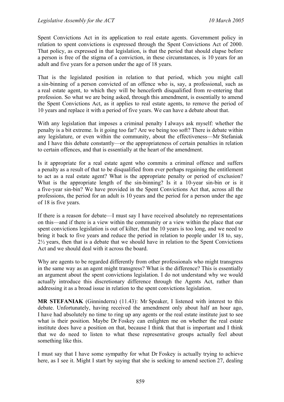Spent Convictions Act in its application to real estate agents. Government policy in relation to spent convictions is expressed through the Spent Convictions Act of 2000. That policy, as expressed in that legislation, is that the period that should elapse before a person is free of the stigma of a conviction, in these circumstances, is 10 years for an adult and five years for a person under the age of 18 years.

That is the legislated position in relation to that period, which you might call a sin-binning of a person convicted of an offence who is, say, a professional, such as a real estate agent, to which they will be henceforth disqualified from re-entering that profession. So what we are being asked, through this amendment, is essentially to amend the Spent Convictions Act, as it applies to real estate agents, to remove the period of 10 years and replace it with a period of five years. We can have a debate about that.

With any legislation that imposes a criminal penalty I always ask myself: whether the penalty is a bit extreme. Is it going too far? Are we being too soft? There is debate within any legislature, or even within the community, about the effectiveness—Mr Stefaniak and I have this debate constantly—or the appropriateness of certain penalties in relation to certain offences, and that is essentially at the heart of the amendment.

Is it appropriate for a real estate agent who commits a criminal offence and suffers a penalty as a result of that to be disqualified from ever perhaps regaining the entitlement to act as a real estate agent? What is the appropriate penalty or period of exclusion? What is the appropriate length of the sin-binning? Is it a 10-year sin-bin or is it a five-year sin-bin? We have provided in the Spent Convictions Act that, across all the professions, the period for an adult is 10 years and the period for a person under the age of 18 is five years.

If there is a reason for debate—I must say I have received absolutely no representations on this—and if there is a view within the community or a view within the place that our spent convictions legislation is out of kilter, that the 10 years is too long, and we need to bring it back to five years and reduce the period in relation to people under 18 to, say, 2½ years, then that is a debate that we should have in relation to the Spent Convictions Act and we should deal with it across the board.

Why are agents to be regarded differently from other professionals who might transgress in the same way as an agent might transgress? What is the difference? This is essentially an argument about the spent convictions legislation. I do not understand why we would actually introduce this discretionary difference through the Agents Act, rather than addressing it as a broad issue in relation to the spent convictions legislation.

**MR STEFANIAK** (Ginninderra) (11.43): Mr Speaker, I listened with interest to this debate. Unfortunately, having received the amendment only about half an hour ago, I have had absolutely no time to ring up any agents or the real estate institute just to see what is their position. Maybe Dr Foskey can enlighten me on whether the real estate institute does have a position on that, because I think that that is important and I think that we do need to listen to what these representative groups actually feel about something like this.

I must say that I have some sympathy for what Dr Foskey is actually trying to achieve here, as I see it. Might I start by saying that she is seeking to amend section 27, dealing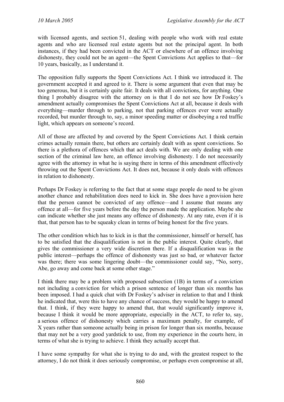with licensed agents, and section 51, dealing with people who work with real estate agents and who are licensed real estate agents but not the principal agent. In both instances, if they had been convicted in the ACT or elsewhere of an offence involving dishonesty, they could not be an agent—the Spent Convictions Act applies to that—for 10 years, basically, as I understand it.

The opposition fully supports the Spent Convictions Act. I think we introduced it. The government accepted it and agreed to it. There is some argument that even that may be too generous, but it is certainly quite fair. It deals with all convictions, for anything. One thing I probably disagree with the attorney on is that I do not see how Dr Foskey's amendment actually compromises the Spent Convictions Act at all, because it deals with everything—murder through to parking, not that parking offences ever were actually recorded, but murder through to, say, a minor speeding matter or disobeying a red traffic light, which appears on someone's record.

All of those are affected by and covered by the Spent Convictions Act. I think certain crimes actually remain there, but others are certainly dealt with as spent convictions. So there is a plethora of offences which that act deals with. We are only dealing with one section of the criminal law here, an offence involving dishonesty. I do not necessarily agree with the attorney in what he is saying there in terms of this amendment effectively throwing out the Spent Convictions Act. It does not, because it only deals with offences in relation to dishonesty.

Perhaps Dr Foskey is referring to the fact that at some stage people do need to be given another chance and rehabilitation does need to kick in. She does have a provision here that the person cannot be convicted of any offence—and I assume that means any offence at all—for five years before the day the person made the application. Maybe she can indicate whether she just means any offence of dishonesty. At any rate, even if it is that, that person has to be squeaky clean in terms of being honest for the five years.

The other condition which has to kick in is that the commissioner, himself or herself, has to be satisfied that the disqualification is not in the public interest. Quite clearly, that gives the commissioner a very wide discretion there. If a disqualification was in the public interest—perhaps the offence of dishonesty was just so bad, or whatever factor was there; there was some lingering doubt—the commissioner could say, "No, sorry, Abe, go away and come back at some other stage."

I think there may be a problem with proposed subsection (1B) in terms of a conviction not including a conviction for which a prison sentence of longer than six months has been imposed. I had a quick chat with Dr Foskey's adviser in relation to that and I think he indicated that, were this to have any chance of success, they would be happy to amend that. I think, if they were happy to amend that, that would significantly improve it, because I think it would be more appropriate, especially in the ACT, to refer to, say, a serious offence of dishonesty which carries a maximum penalty, for example, of X years rather than someone actually being in prison for longer than six months, because that may not be a very good yardstick to use, from my experience in the courts here, in terms of what she is trying to achieve. I think they actually accept that.

I have some sympathy for what she is trying to do and, with the greatest respect to the attorney, I do not think it does seriously compromise, or perhaps even compromise at all,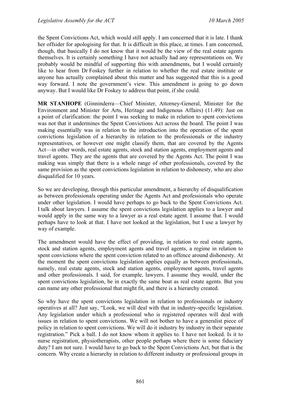the Spent Convictions Act, which would still apply. I am concerned that it is late. I thank her offsider for apologising for that. It is difficult in this place, at times. I am concerned, though, that basically I do not know that it would be the view of the real estate agents themselves. It is certainly something I have not actually had any representations on. We probably would be mindful of supporting this with amendments, but I would certainly like to hear from Dr Foskey further in relation to whether the real estate institute or anyone has actually complained about this matter and has suggested that this is a good way forward. I note the government's view. This amendment is going to go down anyway. But I would like Dr Foskey to address that point, if she could.

**MR STANHOPE** (Ginninderra—Chief Minister, Attorney-General, Minister for the Environment and Minister for Arts, Heritage and Indigenous Affairs) (11.49): Just on a point of clarification: the point I was seeking to make in relation to spent convictions was not that it undermines the Spent Convictions Act across the board. The point I was making essentially was in relation to the introduction into the operation of the spent convictions legislation of a hierarchy in relation to the professionals or the industry representatives, or however one might classify them, that are covered by the Agents Act—in other words, real estate agents, stock and station agents, employment agents and travel agents. They are the agents that are covered by the Agents Act. The point I was making was simply that there is a whole range of other professionals, covered by the same provision as the spent convictions legislation in relation to dishonesty, who are also disqualified for 10 years.

So we are developing, through this particular amendment, a hierarchy of disqualification as between professionals operating under the Agents Act and professionals who operate under other legislation. I would have perhaps to go back to the Spent Convictions Act. I talk about lawyers. I assume the spent convictions legislation applies to a lawyer and would apply in the same way to a lawyer as a real estate agent. I assume that. I would perhaps have to look at that. I have not looked at the legislation, but I use a lawyer by way of example.

The amendment would have the effect of providing, in relation to real estate agents, stock and station agents, employment agents and travel agents, a regime in relation to spent convictions where the spent conviction related to an offence around dishonesty. At the moment the spent convictions legislation applies equally as between professionals, namely, real estate agents, stock and station agents, employment agents, travel agents and other professionals. I said, for example, lawyers. I assume they would, under the spent convictions legislation, be in exactly the same boat as real estate agents. But you can name any other professional that might fit, and there is a hierarchy created.

So why have the spent convictions legislation in relation to professionals or industry operatives at all? Just say, "Look, we will deal with that in industry-specific legislation. Any legislation under which a professional who is registered operates will deal with issues in relation to spent convictions. We will not bother to have a generalist piece of policy in relation to spent convictions. We will do it industry by industry in their separate registration." Pick a ball. I do not know whom it applies to. I have not looked. Is it to nurse registration, physiotherapists, other people perhaps where there is some fiduciary duty? I am not sure. I would have to go back to the Spent Convictions Act, but that is the concern. Why create a hierarchy in relation to different industry or professional groups in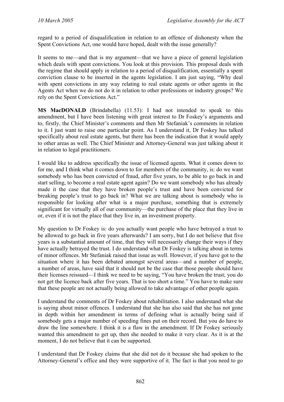regard to a period of disqualification in relation to an offence of dishonesty when the Spent Convictions Act, one would have hoped, dealt with the issue generally?

It seems to me—and that is my argument—that we have a piece of general legislation which deals with spent convictions. You look at this provision. This proposal deals with the regime that should apply in relation to a period of disqualification, essentially a spent conviction clause to be inserted in the agents legislation. I am just saying, "Why deal with spent convictions in any way relating to real estate agents or other agents in the Agents Act when we do not do it in relation to other professions or industry groups? We rely on the Spent Convictions Act."

**MS MacDONALD** (Brindabella) (11.53): I had not intended to speak to this amendment, but I have been listening with great interest to Dr Foskey's arguments and to, firstly, the Chief Minister's comments and then Mr Stefaniak's comments in relation to it. I just want to raise one particular point. As I understand it, Dr Foskey has talked specifically about real estate agents, but there has been the indication that it would apply to other areas as well. The Chief Minister and Attorney-General was just talking about it in relation to legal practitioners.

I would like to address specifically the issue of licensed agents. What it comes down to for me, and I think what it comes down to for members of the community, is: do we want somebody who has been convicted of fraud, after five years, to be able to go back in and start selling, to become a real estate agent again? Do we want somebody who has already made it the case that they have broken people's trust and have been convicted for breaking people's trust to go back in? What we are talking about is somebody who is responsible for looking after what is a major purchase, something that is extremely significant for virtually all of our community—the purchase of the place that they live in or, even if it is not the place that they live in, an investment property.

My question to Dr Foskey is: do you actually want people who have betrayed a trust to be allowed to go back in five years afterwards? I am sorry, but I do not believe that five years is a substantial amount of time, that they will necessarily change their ways if they have actually betrayed the trust. I do understand what Dr Foskey is talking about in terms of minor offences. Mr Stefaniak raised that issue as well. However, if you have got to the situation where it has been debated amongst several areas—and a number of people, a number of areas, have said that it should not be the case that those people should have their licenses reissued—I think we need to be saying, "You have broken the trust; you do not get the licence back after five years. That is too short a time." You have to make sure that these people are not actually being allowed to take advantage of other people again.

I understand the comments of Dr Foskey about rehabilitation. I also understand what she is saying about minor offences. I understand that she has also said that she has not gone in depth within her amendment in terms of defining what is actually being said if somebody gets a major number of speeding fines put on their record. But you do have to draw the line somewhere. I think it is a flaw in the amendment. If Dr Foskey seriously wanted this amendment to get up, then she needed to make it very clear. As it is at the moment, I do not believe that it can be supported.

I understand that Dr Foskey claims that she did not do it because she had spoken to the Attorney-General's office and they were supportive of it. The fact is that you need to go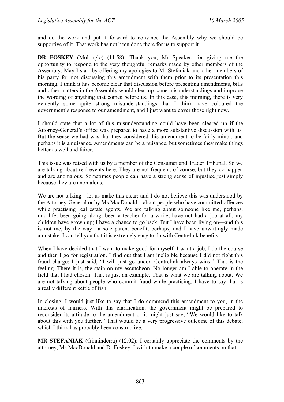and do the work and put it forward to convince the Assembly why we should be supportive of it. That work has not been done there for us to support it.

**DR FOSKEY** (Molonglo) (11.58): Thank you, Mr Speaker, for giving me the opportunity to respond to the very thoughtful remarks made by other members of the Assembly. May I start by offering my apologies to Mr Stefaniak and other members of his party for not discussing this amendment with them prior to its presentation this morning. I think it has become clear that discussion before presenting amendments, bills and other matters in the Assembly would clear up some misunderstandings and improve the wording of anything that comes before us. In this case, this morning, there is very evidently some quite strong misunderstandings that I think have coloured the government's response to our amendment, and I just want to cover those right now.

I should state that a lot of this misunderstanding could have been cleared up if the Attorney-General's office was prepared to have a more substantive discussion with us. But the sense we had was that they considered this amendment to be fairly minor, and perhaps it is a nuisance. Amendments can be a nuisance, but sometimes they make things better as well and fairer.

This issue was raised with us by a member of the Consumer and Trader Tribunal. So we are talking about real events here. They are not frequent, of course, but they do happen and are anomalous. Sometimes people can have a strong sense of injustice just simply because they are anomalous.

We are not talking—let us make this clear; and I do not believe this was understood by the Attorney-General or by Ms MacDonald—about people who have committed offences while practising real estate agents. We are talking about someone like me, perhaps, mid-life; been going along; been a teacher for a while; have not had a job at all; my children have grown up; I have a chance to go back. But I have been living on—and this is not me, by the way—a sole parent benefit, perhaps, and I have unwittingly made a mistake. I can tell you that it is extremely easy to do with Centrelink benefits.

When I have decided that I want to make good for myself, I want a job, I do the course and then I go for registration. I find out that I am ineligible because I did not fight this fraud charge; I just said, "I will just go under. Centrelink always wins." That is the feeling. There it is, the stain on my escutcheon. No longer am I able to operate in the field that I had chosen. That is just an example. That is what we are talking about. We are not talking about people who commit fraud while practising. I have to say that is a really different kettle of fish.

In closing, I would just like to say that I do commend this amendment to you, in the interests of fairness. With this clarification, the government might be prepared to reconsider its attitude to the amendment or it might just say, "We would like to talk about this with you further." That would be a very progressive outcome of this debate, which I think has probably been constructive.

**MR STEFANIAK** (Ginninderra) (12.02): I certainly appreciate the comments by the attorney, Ms MacDonald and Dr Foskey. I wish to make a couple of comments on that.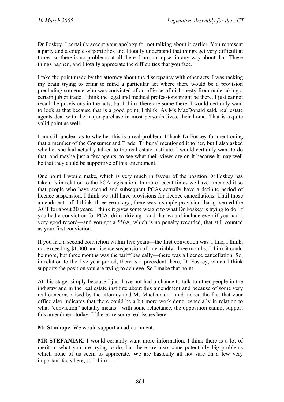Dr Foskey, I certainly accept your apology for not talking about it earlier. You represent a party and a couple of portfolios and I totally understand that things get very difficult at times; so there is no problems at all there. I am not upset in any way about that. These things happen, and I totally appreciate the difficulties that you face.

I take the point made by the attorney about the discrepancy with other acts. I was racking my brain trying to bring to mind a particular act where there would be a provision precluding someone who was convicted of an offence of dishonesty from undertaking a certain job or trade. I think the legal and medical professions might be there. I just cannot recall the provisions in the acts, but I think there are some there. I would certainly want to look at that because that is a good point, I think. As Ms MacDonald said, real estate agents deal with the major purchase in most person's lives, their home. That is a quite valid point as well.

I am still unclear as to whether this is a real problem. I thank Dr Foskey for mentioning that a member of the Consumer and Trader Tribunal mentioned it to her, but I also asked whether she had actually talked to the real estate institute. I would certainly want to do that, and maybe just a few agents, to see what their views are on it because it may well be that they could be supportive of this amendment.

One point I would make, which is very much in favour of the position Dr Foskey has taken, is in relation to the PCA legislation. In more recent times we have amended it so that people who have second and subsequent PCAs actually have a definite period of licence suspension. I think we still have provisions for licence cancellations. Until those amendments of, I think, three years ago, there was a simple provision that governed the ACT for about 30 years. I think it gives some weight to what Dr Foskey is trying to do. If you had a conviction for PCA, drink driving—and that would include even if you had a very good record—and you got a 556A, which is no penalty recorded, that still counted as your first conviction.

If you had a second conviction within five years—the first conviction was a fine, I think, not exceeding \$1,000 and licence suspension of, invariably, three months; I think it could be more, but three months was the tariff basically—there was a licence cancellation. So, in relation to the five-year period, there is a precedent there, Dr Foskey, which I think supports the position you are trying to achieve. So I make that point.

At this stage, simply because I just have not had a chance to talk to other people in the industry and in the real estate institute about this amendment and because of some very real concerns raised by the attorney and Ms MacDonald—and indeed the fact that your office also indicates that there could be a bit more work done, especially in relation to what "conviction" actually means—with some reluctance, the opposition cannot support this amendment today. If there are some real issues here—

**Mr Stanhope**: We would support an adjournment.

**MR STEFANIAK**: I would certainly want more information. I think there is a lot of merit in what you are trying to do, but there are also some potentially big problems which none of us seem to appreciate. We are basically all not sure on a few very important facts here, so I think—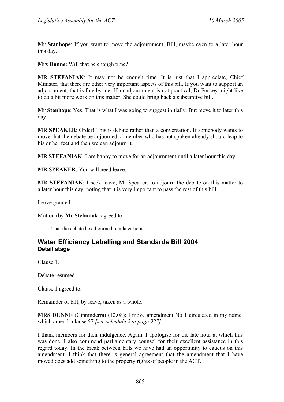**Mr Stanhope**: If you want to move the adjournment, Bill, maybe even to a later hour this day.

**Mrs Dunne**: Will that be enough time?

**MR STEFANIAK**: It may not be enough time. It is just that I appreciate, Chief Minister, that there are other very important aspects of this bill. If you want to support an adjournment, that is fine by me. If an adjournment is not practical, Dr Foskey might like to do a bit more work on this matter. She could bring back a substantive bill.

**Mr Stanhope**: Yes. That is what I was going to suggest initially. But move it to later this day.

**MR SPEAKER**: Order! This is debate rather than a conversation. If somebody wants to move that the debate be adjourned, a member who has not spoken already should leap to his or her feet and then we can adjourn it.

**MR STEFANIAK**: I am happy to move for an adjournment until a later hour this day.

**MR SPEAKER**: You will need leave.

**MR STEFANIAK**: I seek leave, Mr Speaker, to adjourn the debate on this matter to a later hour this day, noting that it is very important to pass the rest of this bill.

Leave granted.

Motion (by **Mr Stefaniak**) agreed to:

That the debate be adjourned to a later hour.

## <span id="page-28-0"></span>**Water Efficiency Labelling and Standards Bill 2004 Detail stage**

Clause 1.

Debate resumed.

Clause 1 agreed to.

Remainder of bill, by leave, taken as a whole.

**MRS DUNNE** (Ginninderra) (12.08): I move amendment No 1 circulated in my name, which amends clause 57 *[see schedule 2 at page 927].*

I thank members for their indulgence. Again, I apologise for the late hour at which this was done. I also commend parliamentary counsel for their excellent assistance in this regard today. In the break between bills we have had an opportunity to caucus on this amendment. I think that there is general agreement that the amendment that I have moved does add something to the property rights of people in the ACT.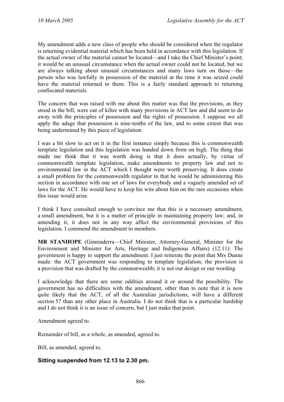My amendment adds a new class of people who should be considered when the regulator is returning evidential material which has been held in accordance with this legislation. If the actual owner of the material cannot be located—and I take the Chief Minister's point; it would be an unusual circumstance when the actual owner could not be located, but we are always talking about unusual circumstances and many laws turn on those—the person who was lawfully in possession of the material at the time it was seized could have the material returned to them. This is a fairly standard approach to returning confiscated materials.

The concern that was raised with me about this matter was that the provisions, as they stood in the bill, were out of kilter with many provisions in ACT law and did seem to do away with the principles of possession and the rights of possession. I suppose we all apply the adage that possession is nine-tenths of the law, and to some extent that was being undermined by this piece of legislation.

I was a bit slow to act on it in the first instance simply because this is commonwealth template legislation and this legislation was handed down from on high. The thing that made me think that it was worth doing is that it does actually, by virtue of commonwealth template legislation, make amendments to property law and not to environmental law in the ACT which I thought were worth preserving. It does create a small problem for the commonwealth regulator in that he would be administering this section in accordance with one set of laws for everybody and a vaguely amended set of laws for the ACT. He would have to keep his wits about him on the rare occasions when this issue would arise.

I think I have consulted enough to convince me that this is a necessary amendment, a small amendment, but it is a matter of principle in maintaining property law; and, in amending it, it does not in any way affect the environmental provisions of this legislation. I commend the amendment to members.

**MR STANHOPE** (Ginninderra—Chief Minister, Attorney-General, Minister for the Environment and Minister for Arts, Heritage and Indigenous Affairs) (12.11): The government is happy to support the amendment. I just reiterate the point that Mrs Dunne made: the ACT government was responding to template legislation; the provision is a provision that was drafted by the commonwealth; it is not our design or our wording.

I acknowledge that there are some oddities around it or around the possibility. The government has no difficulties with the amendment, other than to note that it is now quite likely that the ACT, of all the Australian jurisdictions, will have a different section 57 than any other place in Australia. I do not think that is a particular hardship and I do not think it is an issue of concern, but I just make that point.

Amendment agreed to.

Remainder of bill, as a whole, as amended, agreed to.

Bill, as amended, agreed to.

#### **Sitting suspended from 12.13 to 2.30 pm.**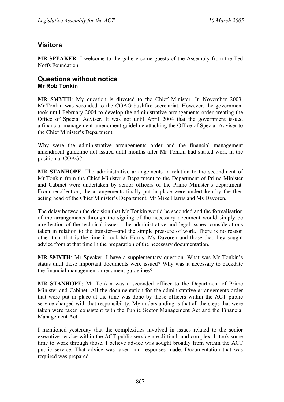# <span id="page-30-0"></span>**Visitors**

**MR SPEAKER**: I welcome to the gallery some guests of the Assembly from the Ted Noffs Foundation.

## <span id="page-30-1"></span>**Questions without notice Mr Rob Tonkin**

**MR SMYTH**: My question is directed to the Chief Minister. In November 2003, Mr Tonkin was seconded to the COAG bushfire secretariat. However, the government took until February 2004 to develop the administrative arrangements order creating the Office of Special Adviser. It was not until April 2004 that the government issued a financial management amendment guideline attaching the Office of Special Adviser to the Chief Minister's Department.

Why were the administrative arrangements order and the financial management amendment guideline not issued until months after Mr Tonkin had started work in the position at COAG?

**MR STANHOPE**: The administrative arrangements in relation to the secondment of Mr Tonkin from the Chief Minister's Department to the Department of Prime Minister and Cabinet were undertaken by senior officers of the Prime Minister's department. From recollection, the arrangements finally put in place were undertaken by the then acting head of the Chief Minister's Department, Mr Mike Harris and Ms Davoren.

The delay between the decision that Mr Tonkin would be seconded and the formalisation of the arrangements through the signing of the necessary document would simply be a reflection of the technical issues—the administrative and legal issues; considerations taken in relation to the transfer—and the simple pressure of work. There is no reason other than that is the time it took Mr Harris, Ms Davoren and those that they sought advice from at that time in the preparation of the necessary documentation.

**MR SMYTH**: Mr Speaker, I have a supplementary question. What was Mr Tonkin's status until these important documents were issued? Why was it necessary to backdate the financial management amendment guidelines?

**MR STANHOPE**: Mr Tonkin was a seconded officer to the Department of Prime Minister and Cabinet. All the documentation for the administrative arrangements order that were put in place at the time was done by those officers within the ACT public service charged with that responsibility. My understanding is that all the steps that were taken were taken consistent with the Public Sector Management Act and the Financial Management Act.

I mentioned yesterday that the complexities involved in issues related to the senior executive service within the ACT public service are difficult and complex. It took some time to work through those. I believe advice was sought broadly from within the ACT public service. That advice was taken and responses made. Documentation that was required was prepared.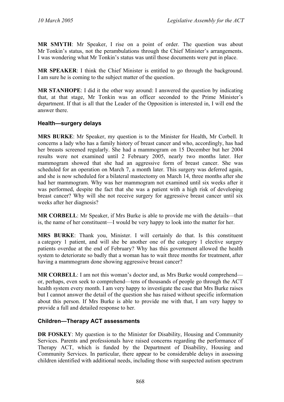**MR SMYTH**: Mr Speaker, I rise on a point of order. The question was about Mr Tonkin's status, not the perambulations through the Chief Minister's arrangements. I was wondering what Mr Tonkin's status was until those documents were put in place.

**MR SPEAKER**: I think the Chief Minister is entitled to go through the background. I am sure he is coming to the subject matter of the question.

**MR STANHOPE**: I did it the other way around: I answered the question by indicating that, at that stage, Mr Tonkin was an officer seconded to the Prime Minister's department. If that is all that the Leader of the Opposition is interested in, I will end the answer there.

### <span id="page-31-0"></span>**Health—surgery delays**

**MRS BURKE**: Mr Speaker, my question is to the Minister for Health, Mr Corbell. It concerns a lady who has a family history of breast cancer and who, accordingly, has had her breasts screened regularly. She had a mammogram on 15 December but her 2004 results were not examined until 2 February 2005, nearly two months later. Her mammogram showed that she had an aggressive form of breast cancer. She was scheduled for an operation on March 7, a month later. This surgery was deferred again, and she is now scheduled for a bilateral mastectomy on March 14, three months after she had her mammogram. Why was her mammogram not examined until six weeks after it was performed, despite the fact that she was a patient with a high risk of developing breast cancer? Why will she not receive surgery for aggressive breast cancer until six weeks after her diagnosis?

**MR CORBELL**: Mr Speaker, if Mrs Burke is able to provide me with the details—that is, the name of her constituent—I would be very happy to look into the matter for her.

**MRS BURKE**: Thank you, Minister. I will certainly do that. Is this constituent a category 1 patient, and will she be another one of the category 1 elective surgery patients overdue at the end of February? Why has this government allowed the health system to deteriorate so badly that a woman has to wait three months for treatment, after having a mammogram done showing aggressive breast cancer?

**MR CORBELL**: I am not this woman's doctor and, as Mrs Burke would comprehend or, perhaps, even seek to comprehend—tens of thousands of people go through the ACT health system every month. I am very happy to investigate the case that Mrs Burke raises but I cannot answer the detail of the question she has raised without specific information about this person. If Mrs Burke is able to provide me with that, I am very happy to provide a full and detailed response to her.

### <span id="page-31-1"></span>**Children—Therapy ACT assessments**

**DR FOSKEY:** My question is to the Minister for Disability, Housing and Community Services. Parents and professionals have raised concerns regarding the performance of Therapy ACT, which is funded by the Department of Disability, Housing and Community Services. In particular, there appear to be considerable delays in assessing children identified with additional needs, including those with suspected autism spectrum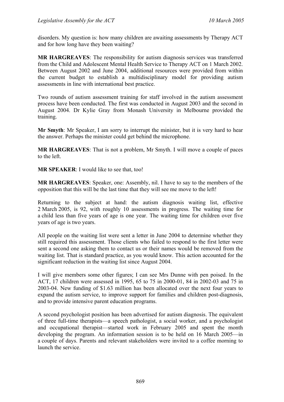disorders. My question is: how many children are awaiting assessments by Therapy ACT and for how long have they been waiting?

**MR HARGREAVES**: The responsibility for autism diagnosis services was transferred from the Child and Adolescent Mental Health Service to Therapy ACT on 1 March 2002. Between August 2002 and June 2004, additional resources were provided from within the current budget to establish a multidisciplinary model for providing autism assessments in line with international best practice.

Two rounds of autism assessment training for staff involved in the autism assessment process have been conducted. The first was conducted in August 2003 and the second in August 2004. Dr Kylie Gray from Monash University in Melbourne provided the training.

**Mr Smyth**: Mr Speaker, I am sorry to interrupt the minister, but it is very hard to hear the answer. Perhaps the minister could get behind the microphone.

**MR HARGREAVES**: That is not a problem, Mr Smyth. I will move a couple of paces to the left.

**MR SPEAKER**: I would like to see that, too!

**MR HARGREAVES**: Speaker, one: Assembly, nil. I have to say to the members of the opposition that this will be the last time that they will see me move to the left!

Returning to the subject at hand: the autism diagnosis waiting list, effective 2 March 2005, is 92, with roughly 10 assessments in progress. The waiting time for a child less than five years of age is one year. The waiting time for children over five years of age is two years.

All people on the waiting list were sent a letter in June 2004 to determine whether they still required this assessment. Those clients who failed to respond to the first letter were sent a second one asking them to contact us or their names would be removed from the waiting list. That is standard practice, as you would know. This action accounted for the significant reduction in the waiting list since August 2004.

I will give members some other figures; I can see Mrs Dunne with pen poised. In the ACT, 17 children were assessed in 1995, 65 to 75 in 2000-01, 84 in 2002-03 and 75 in 2003-04. New funding of \$1.63 million has been allocated over the next four years to expand the autism service, to improve support for families and children post-diagnosis, and to provide intensive parent education programs.

A second psychologist position has been advertised for autism diagnosis. The equivalent of three full-time therapists—a speech pathologist, a social worker, and a psychologist and occupational therapist—started work in February 2005 and spent the month developing the program. An information session is to be held on 16 March 2005—in a couple of days. Parents and relevant stakeholders were invited to a coffee morning to launch the service.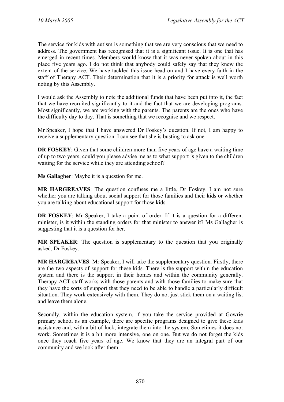The service for kids with autism is something that we are very conscious that we need to address. The government has recognised that it is a significant issue. It is one that has emerged in recent times. Members would know that it was never spoken about in this place five years ago. I do not think that anybody could safely say that they knew the extent of the service. We have tackled this issue head on and I have every faith in the staff of Therapy ACT. Their determination that it is a priority for attack is well worth noting by this Assembly.

I would ask the Assembly to note the additional funds that have been put into it, the fact that we have recruited significantly to it and the fact that we are developing programs. Most significantly, we are working with the parents. The parents are the ones who have the difficulty day to day. That is something that we recognise and we respect.

Mr Speaker, I hope that I have answered Dr Foskey's question. If not, I am happy to receive a supplementary question. I can see that she is busting to ask one.

**DR FOSKEY**: Given that some children more than five years of age have a waiting time of up to two years, could you please advise me as to what support is given to the children waiting for the service while they are attending school?

**Ms Gallagher**: Maybe it is a question for me.

**MR HARGREAVES**: The question confuses me a little, Dr Foskey. I am not sure whether you are talking about social support for those families and their kids or whether you are talking about educational support for those kids.

**DR FOSKEY**: Mr Speaker, I take a point of order. If it is a question for a different minister, is it within the standing orders for that minister to answer it? Ms Gallagher is suggesting that it is a question for her.

**MR SPEAKER**: The question is supplementary to the question that you originally asked, Dr Foskey.

**MR HARGREAVES**: Mr Speaker, I will take the supplementary question. Firstly, there are the two aspects of support for these kids. There is the support within the education system and there is the support in their homes and within the community generally. Therapy ACT staff works with those parents and with those families to make sure that they have the sorts of support that they need to be able to handle a particularly difficult situation. They work extensively with them. They do not just stick them on a waiting list and leave them alone.

Secondly, within the education system, if you take the service provided at Gowrie primary school as an example, there are specific programs designed to give these kids assistance and, with a bit of luck, integrate them into the system. Sometimes it does not work. Sometimes it is a bit more intensive, one on one. But we do not forget the kids once they reach five years of age. We know that they are an integral part of our community and we look after them.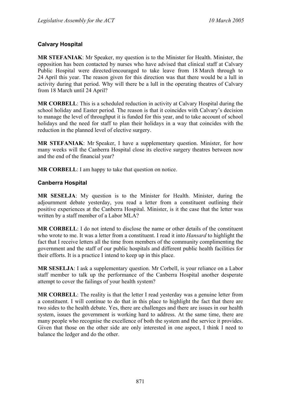### <span id="page-34-0"></span>**Calvary Hospital**

**MR STEFANIAK**: Mr Speaker, my question is to the Minister for Health. Minister, the opposition has been contacted by nurses who have advised that clinical staff at Calvary Public Hospital were directed/encouraged to take leave from 18 March through to 24 April this year. The reason given for this direction was that there would be a lull in activity during that period. Why will there be a lull in the operating theatres of Calvary from 18 March until 24 April?

**MR CORBELL**: This is a scheduled reduction in activity at Calvary Hospital during the school holiday and Easter period. The reason is that it coincides with Calvary's decision to manage the level of throughput it is funded for this year, and to take account of school holidays and the need for staff to plan their holidays in a way that coincides with the reduction in the planned level of elective surgery.

**MR STEFANIAK**: Mr Speaker, I have a supplementary question. Minister, for how many weeks will the Canberra Hospital close its elective surgery theatres between now and the end of the financial year?

**MR CORBELL:** I am happy to take that question on notice.

### <span id="page-34-1"></span>**Canberra Hospital**

**MR SESELJA**: My question is to the Minister for Health. Minister, during the adjournment debate yesterday, you read a letter from a constituent outlining their positive experiences at the Canberra Hospital. Minister, is it the case that the letter was written by a staff member of a Labor MLA?

**MR CORBELL**: I do not intend to disclose the name or other details of the constituent who wrote to me. It was a letter from a constituent. I read it into *Hansard* to highlight the fact that I receive letters all the time from members of the community complimenting the government and the staff of our public hospitals and different public health facilities for their efforts. It is a practice I intend to keep up in this place.

**MR SESELJA**: I ask a supplementary question. Mr Corbell, is your reliance on a Labor staff member to talk up the performance of the Canberra Hospital another desperate attempt to cover the failings of your health system?

**MR CORBELL**: The reality is that the letter I read yesterday was a genuine letter from a constituent. I will continue to do that in this place to highlight the fact that there are two sides to the health debate. Yes, there are challenges and there are issues in our health system, issues the government is working hard to address. At the same time, there are many people who recognise the excellence of both the system and the service it provides. Given that those on the other side are only interested in one aspect, I think I need to balance the ledger and do the other.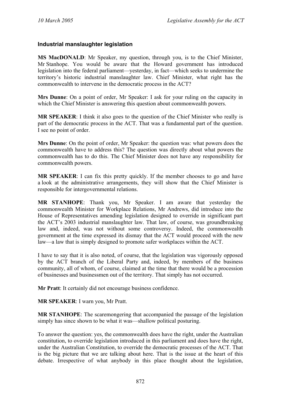### <span id="page-35-0"></span>**Industrial manslaughter legislation**

**MS MacDONALD**: Mr Speaker, my question, through you, is to the Chief Minister, Mr Stanhope. You would be aware that the Howard government has introduced legislation into the federal parliament—yesterday, in fact—which seeks to undermine the territory's historic industrial manslaughter law. Chief Minister, what right has the commonwealth to intervene in the democratic process in the ACT?

**Mrs Dunne**: On a point of order, Mr Speaker: I ask for your ruling on the capacity in which the Chief Minister is answering this question about commonwealth powers.

**MR SPEAKER**: I think it also goes to the question of the Chief Minister who really is part of the democratic process in the ACT. That was a fundamental part of the question. I see no point of order.

**Mrs Dunne**: On the point of order, Mr Speaker: the question was: what powers does the commonwealth have to address this? The question was directly about what powers the commonwealth has to do this. The Chief Minister does not have any responsibility for commonwealth powers.

**MR SPEAKER**: I can fix this pretty quickly. If the member chooses to go and have a look at the administrative arrangements, they will show that the Chief Minister is responsible for intergovernmental relations.

**MR STANHOPE**: Thank you, Mr Speaker. I am aware that yesterday the commonwealth Minister for Workplace Relations, Mr Andrews, did introduce into the House of Representatives amending legislation designed to override in significant part the ACT's 2003 industrial manslaughter law. That law, of course, was groundbreaking law and, indeed, was not without some controversy. Indeed, the commonwealth government at the time expressed its dismay that the ACT would proceed with the new law—a law that is simply designed to promote safer workplaces within the ACT.

I have to say that it is also noted, of course, that the legislation was vigorously opposed by the ACT branch of the Liberal Party and, indeed, by members of the business community, all of whom, of course, claimed at the time that there would be a procession of businesses and businessmen out of the territory. That simply has not occurred.

**Mr Pratt**: It certainly did not encourage business confidence.

**MR SPEAKER**: I warn you, Mr Pratt.

**MR STANHOPE**: The scaremongering that accompanied the passage of the legislation simply has since shown to be what it was—shallow political posturing.

To answer the question: yes, the commonwealth does have the right, under the Australian constitution, to override legislation introduced in this parliament and does have the right, under the Australian Constitution, to override the democratic processes of the ACT. That is the big picture that we are talking about here. That is the issue at the heart of this debate. Irrespective of what anybody in this place thought about the legislation,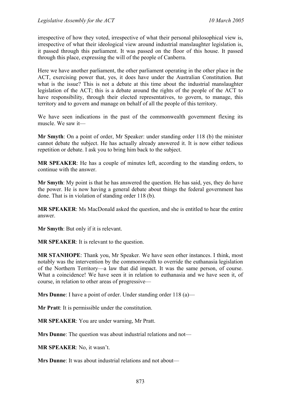irrespective of how they voted, irrespective of what their personal philosophical view is, irrespective of what their ideological view around industrial manslaughter legislation is, it passed through this parliament. It was passed on the floor of this house. It passed through this place, expressing the will of the people of Canberra.

Here we have another parliament, the other parliament operating in the other place in the ACT, exercising power that, yes, it does have under the Australian Constitution. But what is the issue? This is not a debate at this time about the industrial manslaughter legislation of the ACT; this is a debate around the rights of the people of the ACT to have responsibility, through their elected representatives, to govern, to manage, this territory and to govern and manage on behalf of all the people of this territory.

We have seen indications in the past of the commonwealth government flexing its muscle. We saw it—

**Mr Smyth**: On a point of order, Mr Speaker: under standing order 118 (b) the minister cannot debate the subject. He has actually already answered it. It is now either tedious repetition or debate. I ask you to bring him back to the subject.

**MR SPEAKER**: He has a couple of minutes left, according to the standing orders, to continue with the answer.

**Mr Smyth**: My point is that he has answered the question. He has said, yes, they do have the power. He is now having a general debate about things the federal government has done. That is in violation of standing order 118 (b).

**MR SPEAKER**: Ms MacDonald asked the question, and she is entitled to hear the entire answer.

**Mr Smyth**: But only if it is relevant.

**MR SPEAKER**: It is relevant to the question.

**MR STANHOPE**: Thank you, Mr Speaker. We have seen other instances. I think, most notably was the intervention by the commonwealth to override the euthanasia legislation of the Northern Territory—a law that did impact. It was the same person, of course. What a coincidence! We have seen it in relation to euthanasia and we have seen it, of course, in relation to other areas of progressive—

**Mrs Dunne**: I have a point of order. Under standing order 118 (a)—

**Mr Pratt**: It is permissible under the constitution.

**MR SPEAKER**: You are under warning, Mr Pratt.

**Mrs Dunne**: The question was about industrial relations and not—

**MR SPEAKER**: No, it wasn't.

**Mrs Dunne**: It was about industrial relations and not about—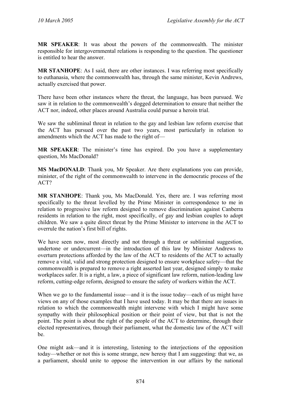**MR SPEAKER**: It was about the powers of the commonwealth. The minister responsible for intergovernmental relations is responding to the question. The questioner is entitled to hear the answer.

**MR STANHOPE**: As I said, there are other instances. I was referring most specifically to euthanasia, where the commonwealth has, through the same minister, Kevin Andrews, actually exercised that power.

There have been other instances where the threat, the language, has been pursued. We saw it in relation to the commonwealth's dogged determination to ensure that neither the ACT nor, indeed, other places around Australia could pursue a heroin trial.

We saw the subliminal threat in relation to the gay and lesbian law reform exercise that the ACT has pursued over the past two years, most particularly in relation to amendments which the ACT has made to the right of—

**MR SPEAKER**: The minister's time has expired. Do you have a supplementary question, Ms MacDonald?

**MS MacDONALD**: Thank you, Mr Speaker. Are there explanations you can provide, minister, of the right of the commonwealth to intervene in the democratic process of the ACT?

**MR STANHOPE**: Thank you, Ms MacDonald. Yes, there are. I was referring most specifically to the threat levelled by the Prime Minister in correspondence to me in relation to progressive law reform designed to remove discrimination against Canberra residents in relation to the right, most specifically, of gay and lesbian couples to adopt children. We saw a quite direct threat by the Prime Minister to intervene in the ACT to overrule the nation's first bill of rights.

We have seen now, most directly and not through a threat or subliminal suggestion, undertone or undercurrent—in the introduction of this law by Minister Andrews to overturn protections afforded by the law of the ACT to residents of the ACT to actually remove a vital, valid and strong protection designed to ensure workplace safety—that the commonwealth is prepared to remove a right asserted last year, designed simply to make workplaces safer. It is a right, a law, a piece of significant law reform, nation-leading law reform, cutting-edge reform, designed to ensure the safety of workers within the ACT.

When we go to the fundamental issue—and it is the issue today—each of us might have views on any of those examples that I have used today. It may be that there are issues in relation to which the commonwealth might intervene with which I might have some sympathy with their philosophical position or their point of view, but that is not the point. The point is about the right of the people of the ACT to determine, through their elected representatives, through their parliament, what the domestic law of the ACT will be.

One might ask—and it is interesting, listening to the interjections of the opposition today—whether or not this is some strange, new heresy that I am suggesting: that we, as a parliament, should unite to oppose the intervention in our affairs by the national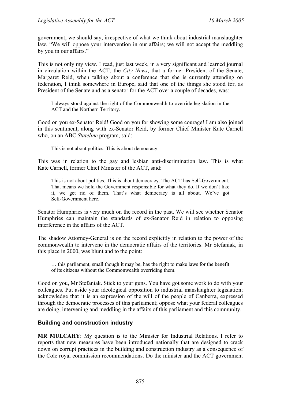government; we should say, irrespective of what we think about industrial manslaughter law, "We will oppose your intervention in our affairs; we will not accept the meddling by you in our affairs."

This is not only my view. I read, just last week, in a very significant and learned journal in circulation within the ACT, the *City News*, that a former President of the Senate, Margaret Reid, when talking about a conference that she is currently attending on federation, I think somewhere in Europe, said that one of the things she stood for, as President of the Senate and as a senator for the ACT over a couple of decades, was:

I always stood against the right of the Commonwealth to override legislation in the ACT and the Northern Territory.

Good on you ex-Senator Reid! Good on you for showing some courage! I am also joined in this sentiment, along with ex-Senator Reid, by former Chief Minister Kate Carnell who, on an ABC *Stateline* program, said:

This is not about politics. This is about democracy.

This was in relation to the gay and lesbian anti-discrimination law. This is what Kate Carnell, former Chief Minister of the ACT, said:

This is not about politics. This is about democracy. The ACT has Self-Government. That means we hold the Government responsible for what they do. If we don't like it, we get rid of them. That's what democracy is all about. We've got Self-Government here.

Senator Humphries is very much on the record in the past. We will see whether Senator Humphries can maintain the standards of ex-Senator Reid in relation to opposing interference in the affairs of the ACT.

The shadow Attorney-General is on the record explicitly in relation to the power of the commonwealth to intervene in the democratic affairs of the territories. Mr Stefaniak, in this place in 2000, was blunt and to the point:

… this parliament, small though it may be, has the right to make laws for the benefit of its citizens without the Commonwealth overriding them.

Good on you, Mr Stefaniak. Stick to your guns. You have got some work to do with your colleagues. Put aside your ideological opposition to industrial manslaughter legislation; acknowledge that it is an expression of the will of the people of Canberra, expressed through the democratic processes of this parliament; oppose what your federal colleagues are doing, intervening and meddling in the affairs of this parliament and this community.

#### **Building and construction industry**

**MR MULCAHY**: My question is to the Minister for Industrial Relations. I refer to reports that new measures have been introduced nationally that are designed to crack down on corrupt practices in the building and construction industry as a consequence of the Cole royal commission recommendations. Do the minister and the ACT government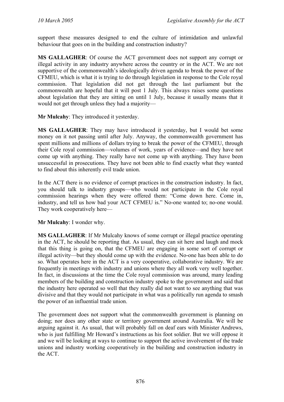support these measures designed to end the culture of intimidation and unlawful behaviour that goes on in the building and construction industry?

**MS GALLAGHER**: Of course the ACT government does not support any corrupt or illegal activity in any industry anywhere across the country or in the ACT. We are not supportive of the commonwealth's ideologically driven agenda to break the power of the CFMEU, which is what it is trying to do through legislation in response to the Cole royal commission. That legislation did not get through the last parliament but the commonwealth are hopeful that it will post 1 July. This always raises some questions about legislation that they are sitting on until 1 July, because it usually means that it would not get through unless they had a majority—

**Mr Mulcahy**: They introduced it yesterday.

**MS GALLAGHER**: They may have introduced it yesterday, but I would bet some money on it not passing until after July. Anyway, the commonwealth government has spent millions and millions of dollars trying to break the power of the CFMEU, through their Cole royal commission—volumes of work, years of evidence—and they have not come up with anything. They really have not come up with anything. They have been unsuccessful in prosecutions. They have not been able to find exactly what they wanted to find about this inherently evil trade union.

In the ACT there is no evidence of corrupt practices in the construction industry. In fact, you should talk to industry groups—who would not participate in the Cole royal commission hearings when they were offered them: "Come down here. Come in, industry, and tell us how bad your ACT CFMEU is." No-one wanted to; no-one would. They work cooperatively here—

**Mr Mulcahy**: I wonder why.

**MS GALLAGHER**: If Mr Mulcahy knows of some corrupt or illegal practice operating in the ACT, he should be reporting that. As usual, they can sit here and laugh and mock that this thing is going on, that the CFMEU are engaging in some sort of corrupt or illegal activity—but they should come up with the evidence. No-one has been able to do so. What operates here in the ACT is a very cooperative, collaborative industry. We are frequently in meetings with industry and unions where they all work very well together. In fact, in discussions at the time the Cole royal commission was around, many leading members of the building and construction industry spoke to the government and said that the industry here operated so well that they really did not want to see anything that was divisive and that they would not participate in what was a politically run agenda to smash the power of an influential trade union.

The government does not support what the commonwealth government is planning on doing; nor does any other state or territory government around Australia. We will be arguing against it. As usual, that will probably fall on deaf ears with Minister Andrews, who is just fulfilling Mr Howard's instructions as his foot soldier. But we will oppose it and we will be looking at ways to continue to support the active involvement of the trade unions and industry working cooperatively in the building and construction industry in the ACT.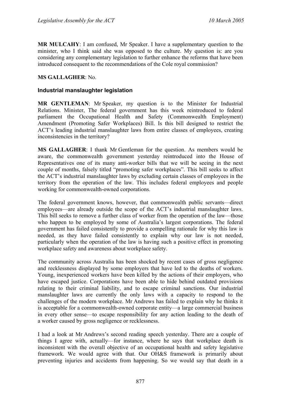**MR MULCAHY**: I am confused, Mr Speaker. I have a supplementary question to the minister, who I think said she was opposed to the culture. My question is: are you considering any complementary legislation to further enhance the reforms that have been introduced consequent to the recommendations of the Cole royal commission?

#### **MS GALLAGHER**: No.

#### **Industrial manslaughter legislation**

**MR GENTLEMAN**: Mr Speaker, my question is to the Minister for Industrial Relations. Minister, The federal government has this week reintroduced to federal parliament the Occupational Health and Safety (Commonwealth Employment) Amendment (Promoting Safer Workplaces) Bill. Is this bill designed to restrict the ACT's leading industrial manslaughter laws from entire classes of employees, creating inconsistencies in the territory?

**MS GALLAGHER**: I thank Mr Gentleman for the question. As members would be aware, the commonwealth government yesterday reintroduced into the House of Representatives one of its many anti-worker bills that we will be seeing in the next couple of months, falsely titled "promoting safer workplaces". This bill seeks to affect the ACT's industrial manslaughter laws by excluding certain classes of employees in the territory from the operation of the law. This includes federal employees and people working for commonwealth-owned corporations.

The federal government knows, however, that commonwealth public servants—direct employees—are already outside the scope of the ACT's industrial manslaughter laws. This bill seeks to remove a further class of worker from the operation of the law—those who happen to be employed by some of Australia's largest corporations. The federal government has failed consistently to provide a compelling rationale for why this law is needed, as they have failed consistently to explain why our law is not needed, particularly when the operation of the law is having such a positive effect in promoting workplace safety and awareness about workplace safety.

The community across Australia has been shocked by recent cases of gross negligence and recklessness displayed by some employers that have led to the deaths of workers. Young, inexperienced workers have been killed by the actions of their employers, who have escaped justice. Corporations have been able to hide behind outdated provisions relating to their criminal liability, and to escape criminal sanctions. Our industrial manslaughter laws are currently the only laws with a capacity to respond to the challenges of the modern workplace. Mr Andrews has failed to explain why he thinks it is acceptable for a commonwealth-owned corporate entity—a large commercial business in every other sense—to escape responsibility for any action leading to the death of a worker caused by gross negligence or recklessness.

I had a look at Mr Andrews's second reading speech yesterday. There are a couple of things I agree with, actually—for instance, where he says that workplace death is inconsistent with the overall objective of an occupational health and safety legislative framework. We would agree with that. Our OH&S framework is primarily about preventing injuries and accidents from happening. So we would say that death in a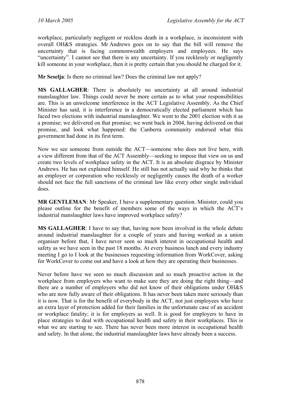workplace, particularly negligent or reckless death in a workplace, is inconsistent with overall OH&S strategies. Mr Andrews goes on to say that the bill will remove the uncertainty that is facing commonwealth employers and employees. He says "uncertainty". I cannot see that there is any uncertainty. If you recklessly or negligently kill someone in your workplace, then it is pretty certain that you should be charged for it.

**Mr Seselja**: Is there no criminal law? Does the criminal law not apply?

**MS GALLAGHER**: There is absolutely no uncertainty at all around industrial manslaughter law. Things could never be more certain as to what your responsibilities are. This is an unwelcome interference in the ACT Legislative Assembly. As the Chief Minister has said, it is interference in a democratically elected parliament which has faced two elections with industrial manslaughter. We went to the 2001 election with it as a promise; we delivered on that promise; we went back in 2004, having delivered on that promise, and look what happened: the Canberra community endorsed what this government had done in its first term.

Now we see someone from outside the ACT—someone who does not live here, with a view different from that of the ACT Assembly—seeking to impose that view on us and create two levels of workplace safety in the ACT. It is an absolute disgrace by Minister Andrews. He has not explained himself. He still has not actually said why he thinks that an employer or corporation who recklessly or negligently causes the death of a worker should not face the full sanctions of the criminal law like every other single individual does.

**MR GENTLEMAN:** Mr Speaker, I have a supplementary question. Minister, could you please outline for the benefit of members some of the ways in which the ACT's industrial manslaughter laws have improved workplace safety?

**MS GALLAGHER**: I have to say that, having now been involved in the whole debate around industrial manslaughter for a couple of years and having worked as a union organiser before that, I have never seen so much interest in occupational health and safety as we have seen in the past 18 months. At every business lunch and every industry meeting I go to I look at the businesses requesting information from WorkCover, asking for WorkCover to come out and have a look at how they are operating their businesses.

Never before have we seen so much discussion and so much proactive action in the workplace from employers who want to make sure they are doing the right thing—and there are a number of employers who did not know of their obligations under OH&S who are now fully aware of their obligations. It has never been taken more seriously than it is now. That is for the benefit of everybody in the ACT, not just employees who have an extra layer of protection added for their families in the unfortunate case of an accident or workplace fatality; it is for employers as well. It is good for employers to have in place strategies to deal with occupational health and safety in their workplaces. This is what we are starting to see. There has never been more interest in occupational health and safety. In that alone, the industrial manslaughter laws have already been a success.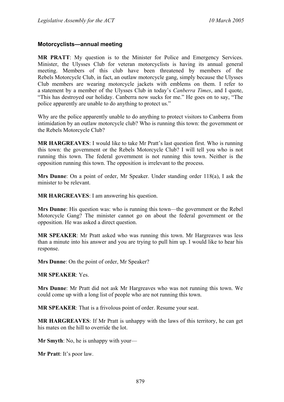#### **Motorcyclists—annual meeting**

**MR PRATT**: My question is to the Minister for Police and Emergency Services. Minister, the Ulysses Club for veteran motorcyclists is having its annual general meeting. Members of this club have been threatened by members of the Rebels Motorcycle Club, in fact, an outlaw motorcycle gang, simply because the Ulysses Club members are wearing motorcycle jackets with emblems on them. I refer to a statement by a member of the Ulysses Club in today's *Canberra Times*, and I quote, "This has destroyed our holiday. Canberra now sucks for me." He goes on to say, "The police apparently are unable to do anything to protect us."

Why are the police apparently unable to do anything to protect visitors to Canberra from intimidation by an outlaw motorcycle club? Who is running this town: the government or the Rebels Motorcycle Club?

**MR HARGREAVES**: I would like to take Mr Pratt's last question first. Who is running this town: the government or the Rebels Motorcycle Club? I will tell you who is not running this town. The federal government is not running this town. Neither is the opposition running this town. The opposition is irrelevant to the process.

**Mrs Dunne**: On a point of order, Mr Speaker. Under standing order 118(a), I ask the minister to be relevant.

**MR HARGREAVES**: I am answering his question.

**Mrs Dunne**: His question was: who is running this town—the government or the Rebel Motorcycle Gang? The minister cannot go on about the federal government or the opposition. He was asked a direct question.

**MR SPEAKER**: Mr Pratt asked who was running this town. Mr Hargreaves was less than a minute into his answer and you are trying to pull him up. I would like to hear his response.

**Mrs Dunne**: On the point of order, Mr Speaker?

**MR SPEAKER**: Yes.

**Mrs Dunne**: Mr Pratt did not ask Mr Hargreaves who was not running this town. We could come up with a long list of people who are not running this town.

**MR SPEAKER**: That is a frivolous point of order. Resume your seat.

**MR HARGREAVES**: If Mr Pratt is unhappy with the laws of this territory, he can get his mates on the hill to override the lot.

**Mr Smyth**: No, he is unhappy with your—

**Mr Pratt**: It's poor law.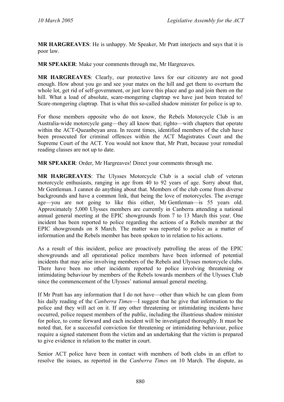**MR HARGREAVES**: He is unhappy. Mr Speaker, Mr Pratt interjects and says that it is poor law.

**MR SPEAKER**: Make your comments through me, Mr Hargreaves.

**MR HARGREAVES**: Clearly, our protective laws for our citizenry are not good enough. How about you go and see your mates on the hill and get them to overturn the whole lot, get rid of self-government, or just leave this place and go and join them on the hill. What a load of absolute, scare-mongering claptrap we have just been treated to! Scare-mongering claptrap. That is what this so-called shadow minister for police is up to.

For those members opposite who do not know, the Rebels Motorcycle Club is an Australia-wide motorcycle gang—they all know that; righto—with chapters that operate within the ACT-Queanbeyan area. In recent times, identified members of the club have been prosecuted for criminal offences within the ACT Magistrates Court and the Supreme Court of the ACT. You would not know that, Mr Pratt, because your remedial reading classes are not up to date.

**MR SPEAKER**: Order, Mr Hargreaves! Direct your comments through me.

**MR HARGREAVES**: The Ulysses Motorcycle Club is a social club of veteran motorcycle enthusiasts, ranging in age from 40 to 92 years of age. Sorry about that, Mr Gentleman. I cannot do anything about that. Members of the club come from diverse backgrounds and have a common link, that being the love of motorcycles. The average age—you are not going to like this either, Mr Gentleman—is 55 years old. Approximately 5,000 Ulysses members are currently in Canberra attending a national annual general meeting at the EPIC showgrounds from 7 to 13 March this year. One incident has been reported to police regarding the actions of a Rebels member at the EPIC showgrounds on 8 March. The matter was reported to police as a matter of information and the Rebels member has been spoken to in relation to his actions.

As a result of this incident, police are proactively patrolling the areas of the EPIC showgrounds and all operational police members have been informed of potential incidents that may arise involving members of the Rebels and Ulysses motorcycle clubs. There have been no other incidents reported to police involving threatening or intimidating behaviour by members of the Rebels towards members of the Ulysses Club since the commencement of the Ulysses' national annual general meeting.

If Mr Pratt has any information that I do not have—other than which he can glean from his daily reading of the *Canberra Times*—I suggest that he give that information to the police and they will act on it. If any other threatening or intimidating incidents have occurred, police request members of the public, including the illustrious shadow minister for police, to come forward and each incident will be investigated thoroughly. It must be noted that, for a successful conviction for threatening or intimidating behaviour, police require a signed statement from the victim and an undertaking that the victim is prepared to give evidence in relation to the matter in court.

Senior ACT police have been in contact with members of both clubs in an effort to resolve the issues, as reported in the *Canberra Times* on 10 March. The dispute, as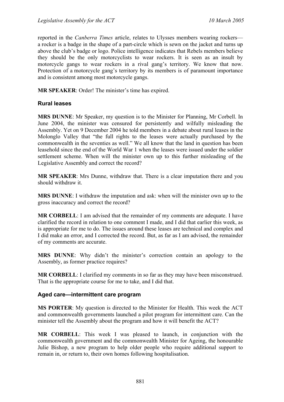reported in the *Canberra Times* article, relates to Ulysses members wearing rockers a rocker is a badge in the shape of a part-circle which is sewn on the jacket and turns up above the club's badge or logo. Police intelligence indicates that Rebels members believe they should be the only motorcyclists to wear rockers. It is seen as an insult by motorcycle gangs to wear rockers in a rival gang's territory. We know that now. Protection of a motorcycle gang's territory by its members is of paramount importance and is consistent among most motorcycle gangs.

**MR SPEAKER**: Order! The minister's time has expired.

### **Rural leases**

**MRS DUNNE**: Mr Speaker, my question is to the Minister for Planning, Mr Corbell. In June 2004, the minister was censured for persistently and wilfully misleading the Assembly. Yet on 9 December 2004 he told members in a debate about rural leases in the Molonglo Valley that "the full rights to the leases were actually purchased by the commonwealth in the seventies as well." We all know that the land in question has been leasehold since the end of the World War 1 when the leases were issued under the soldier settlement scheme. When will the minister own up to this further misleading of the Legislative Assembly and correct the record?

**MR SPEAKER**: Mrs Dunne, withdraw that. There is a clear imputation there and you should withdraw it.

**MRS DUNNE**: I withdraw the imputation and ask: when will the minister own up to the gross inaccuracy and correct the record?

**MR CORBELL**: I am advised that the remainder of my comments are adequate. I have clarified the record in relation to one comment I made, and I did that earlier this week, as is appropriate for me to do. The issues around these leases are technical and complex and I did make an error, and I corrected the record. But, as far as I am advised, the remainder of my comments are accurate.

**MRS DUNNE**: Why didn't the minister's correction contain an apology to the Assembly, as former practice requires?

**MR CORBELL**: I clarified my comments in so far as they may have been misconstrued. That is the appropriate course for me to take, and I did that.

### **Aged care—intermittent care program**

**MS PORTER**: My question is directed to the Minister for Health. This week the ACT and commonwealth governments launched a pilot program for intermittent care. Can the minister tell the Assembly about the program and how it will benefit the ACT?

**MR CORBELL**: This week I was pleased to launch, in conjunction with the commonwealth government and the commonwealth Minister for Ageing, the honourable Julie Bishop, a new program to help older people who require additional support to remain in, or return to, their own homes following hospitalisation.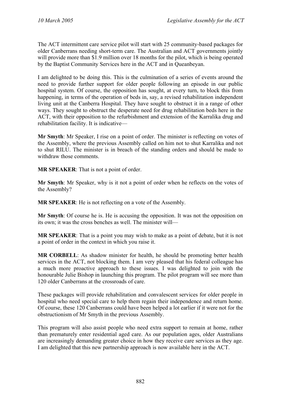The ACT intermittent care service pilot will start with 25 community-based packages for older Canberrans needing short-term care. The Australian and ACT governments jointly will provide more than \$1.9 million over 18 months for the pilot, which is being operated by the Baptist Community Services here in the ACT and in Queanbeyan.

I am delighted to be doing this. This is the culmination of a series of events around the need to provide further support for older people following an episode in our public hospital system. Of course, the opposition has sought, at every turn, to block this from happening, in terms of the operation of beds in, say, a revised rehabilitation independent living unit at the Canberra Hospital. They have sought to obstruct it in a range of other ways. They sought to obstruct the desperate need for drug rehabilitation beds here in the ACT, with their opposition to the refurbishment and extension of the Karralika drug and rehabilitation facility. It is indicative—

**Mr Smyth**: Mr Speaker, I rise on a point of order. The minister is reflecting on votes of the Assembly, where the previous Assembly called on him not to shut Karralika and not to shut RILU. The minister is in breach of the standing orders and should be made to withdraw those comments.

**MR SPEAKER**: That is not a point of order.

**Mr Smyth**: Mr Speaker, why is it not a point of order when he reflects on the votes of the Assembly?

**MR SPEAKER**: He is not reflecting on a vote of the Assembly.

**Mr Smyth**: Of course he is. He is accusing the opposition. It was not the opposition on its own; it was the cross benches as well. The minister will—

**MR SPEAKER**: That is a point you may wish to make as a point of debate, but it is not a point of order in the context in which you raise it.

**MR CORBELL**: As shadow minister for health, he should be promoting better health services in the ACT, not blocking them. I am very pleased that his federal colleague has a much more proactive approach to these issues. I was delighted to join with the honourable Julie Bishop in launching this program. The pilot program will see more than 120 older Canberrans at the crossroads of care.

These packages will provide rehabilitation and convalescent services for older people in hospital who need special care to help them regain their independence and return home. Of course, these 120 Canberrans could have been helped a lot earlier if it were not for the obstructionism of Mr Smyth in the previous Assembly.

This program will also assist people who need extra support to remain at home, rather than prematurely enter residential aged care. As our population ages, older Australians are increasingly demanding greater choice in how they receive care services as they age. I am delighted that this new partnership approach is now available here in the ACT.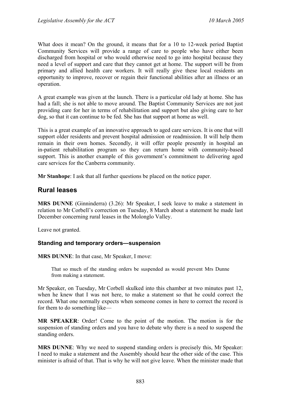What does it mean? On the ground, it means that for a 10 to 12-week period Baptist Community Services will provide a range of care to people who have either been discharged from hospital or who would otherwise need to go into hospital because they need a level of support and care that they cannot get at home. The support will be from primary and allied health care workers. It will really give these local residents an opportunity to improve, recover or regain their functional abilities after an illness or an operation.

A great example was given at the launch. There is a particular old lady at home. She has had a fall; she is not able to move around. The Baptist Community Services are not just providing care for her in terms of rehabilitation and support but also giving care to her dog, so that it can continue to be fed. She has that support at home as well.

This is a great example of an innovative approach to aged care services. It is one that will support older residents and prevent hospital admission or readmission. It will help them remain in their own homes. Secondly, it will offer people presently in hospital an in-patient rehabilitation program so they can return home with community-based support. This is another example of this government's commitment to delivering aged care services for the Canberra community.

**Mr Stanhope**: I ask that all further questions be placed on the notice paper.

# **Rural leases**

**MRS DUNNE** (Ginninderra) (3.26): Mr Speaker, I seek leave to make a statement in relation to Mr Corbell's correction on Tuesday, 8 March about a statement he made last December concerning rural leases in the Molonglo Valley.

Leave not granted.

### **Standing and temporary orders—suspension**

**MRS DUNNE**: In that case, Mr Speaker, I move:

That so much of the standing orders be suspended as would prevent Mrs Dunne from making a statement.

Mr Speaker, on Tuesday, Mr Corbell skulked into this chamber at two minutes past 12, when he knew that I was not here, to make a statement so that he could correct the record. What one normally expects when someone comes in here to correct the record is for them to do something like—

**MR SPEAKER**: Order! Come to the point of the motion. The motion is for the suspension of standing orders and you have to debate why there is a need to suspend the standing orders.

**MRS DUNNE**: Why we need to suspend standing orders is precisely this, Mr Speaker: I need to make a statement and the Assembly should hear the other side of the case. This minister is afraid of that. That is why he will not give leave. When the minister made that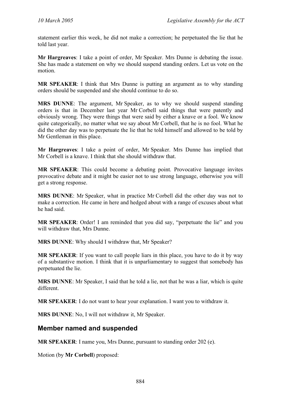statement earlier this week, he did not make a correction; he perpetuated the lie that he told last year.

**Mr Hargreaves**: I take a point of order, Mr Speaker. Mrs Dunne is debating the issue. She has made a statement on why we should suspend standing orders. Let us vote on the motion.

**MR SPEAKER**: I think that Mrs Dunne is putting an argument as to why standing orders should be suspended and she should continue to do so.

**MRS DUNNE**: The argument, Mr Speaker, as to why we should suspend standing orders is that in December last year Mr Corbell said things that were patently and obviously wrong. They were things that were said by either a knave or a fool. We know quite categorically, no matter what we say about Mr Corbell, that he is no fool. What he did the other day was to perpetuate the lie that he told himself and allowed to be told by Mr Gentleman in this place.

**Mr Hargreaves**: I take a point of order, Mr Speaker. Mrs Dunne has implied that Mr Corbell is a knave. I think that she should withdraw that.

**MR SPEAKER**: This could become a debating point. Provocative language invites provocative debate and it might be easier not to use strong language, otherwise you will get a strong response.

**MRS DUNNE**: Mr Speaker, what in practice Mr Corbell did the other day was not to make a correction. He came in here and hedged about with a range of excuses about what he had said.

**MR SPEAKER:** Order! I am reminded that you did say, "perpetuate the lie" and you will withdraw that, Mrs Dunne.

**MRS DUNNE**: Why should I withdraw that, Mr Speaker?

**MR SPEAKER**: If you want to call people liars in this place, you have to do it by way of a substantive motion. I think that it is unparliamentary to suggest that somebody has perpetuated the lie.

**MRS DUNNE**: Mr Speaker, I said that he told a lie, not that he was a liar, which is quite different.

**MR SPEAKER**: I do not want to hear your explanation. I want you to withdraw it.

**MRS DUNNE**: No, I will not withdraw it, Mr Speaker.

# **Member named and suspended**

**MR SPEAKER**: I name you, Mrs Dunne, pursuant to standing order 202 (e).

Motion (by **Mr Corbell**) proposed: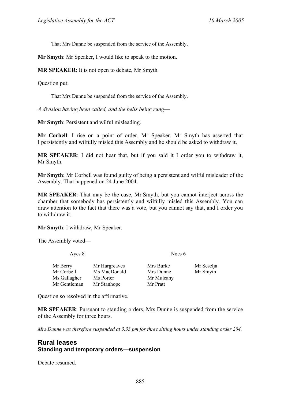That Mrs Dunne be suspended from the service of the Assembly.

**Mr Smyth**: Mr Speaker, I would like to speak to the motion.

**MR SPEAKER**: It is not open to debate, Mr Smyth.

Question put:

That Mrs Dunne be suspended from the service of the Assembly.

*A division having been called, and the bells being rung*—

**Mr Smyth**: Persistent and wilful misleading.

**Mr Corbell**: I rise on a point of order, Mr Speaker. Mr Smyth has asserted that I persistently and wilfully misled this Assembly and he should be asked to withdraw it.

**MR SPEAKER**: I did not hear that, but if you said it I order you to withdraw it, Mr Smyth.

**Mr Smyth**: Mr Corbell was found guilty of being a persistent and wilful misleader of the Assembly. That happened on 24 June 2004.

**MR SPEAKER**: That may be the case, Mr Smyth, but you cannot interject across the chamber that somebody has persistently and wilfully misled this Assembly. You can draw attention to the fact that there was a vote, but you cannot say that, and I order you to withdraw it.

**Mr Smyth**: I withdraw, Mr Speaker.

The Assembly voted—

Ayes 8 Noes 6

| Mr Berry     | Mr Hargreaves | Mrs Burke  | Mr Seselja |
|--------------|---------------|------------|------------|
| Mr Corbell   | Ms MacDonald  | Mrs Dunne  | Mr Smyth   |
| Ms Gallagher | Ms Porter     | Mr Mulcahy |            |
| Mr Gentleman | Mr Stanhope   | Mr Pratt   |            |
|              |               |            |            |

Question so resolved in the affirmative.

**MR SPEAKER**: Pursuant to standing orders, Mrs Dunne is suspended from the service of the Assembly for three hours.

*Mrs Dunne was therefore suspended at 3.33 pm for three sitting hours under standing order 204.*

## **Rural leases Standing and temporary orders—suspension**

Debate resumed.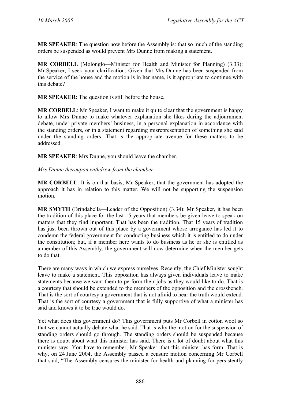**MR SPEAKER**: The question now before the Assembly is: that so much of the standing orders be suspended as would prevent Mrs Dunne from making a statement.

**MR CORBELL** (Molonglo—Minister for Health and Minister for Planning) (3.33): Mr Speaker, I seek your clarification. Given that Mrs Dunne has been suspended from the service of the house and the motion is in her name, is it appropriate to continue with this debate?

**MR SPEAKER**: The question is still before the house.

**MR CORBELL**: Mr Speaker, I want to make it quite clear that the government is happy to allow Mrs Dunne to make whatever explanation she likes during the adjournment debate, under private members' business, in a personal explanation in accordance with the standing orders, or in a statement regarding misrepresentation of something she said under the standing orders. That is the appropriate avenue for these matters to be addressed.

**MR SPEAKER**: Mrs Dunne, you should leave the chamber.

*Mrs Dunne thereupon withdrew from the chamber.* 

**MR CORBELL**: It is on that basis, Mr Speaker, that the government has adopted the approach it has in relation to this matter. We will not be supporting the suspension motion.

**MR SMYTH** (Brindabella—Leader of the Opposition) (3.34): Mr Speaker, it has been the tradition of this place for the last 15 years that members be given leave to speak on matters that they find important. That has been the tradition. That 15 years of tradition has just been thrown out of this place by a government whose arrogance has led it to condemn the federal government for conducting business which it is entitled to do under the constitution; but, if a member here wants to do business as he or she is entitled as a member of this Assembly, the government will now determine when the member gets to do that.

There are many ways in which we express ourselves. Recently, the Chief Minister sought leave to make a statement. This opposition has always given individuals leave to make statements because we want them to perform their jobs as they would like to do. That is a courtesy that should be extended to the members of the opposition and the crossbench. That is the sort of courtesy a government that is not afraid to hear the truth would extend. That is the sort of courtesy a government that is fully supportive of what a minister has said and knows it to be true would do.

Yet what does this government do? This government puts Mr Corbell in cotton wool so that we cannot actually debate what he said. That is why the motion for the suspension of standing orders should go through. The standing orders should be suspended because there is doubt about what this minister has said. There is a lot of doubt about what this minister says. You have to remember, Mr Speaker, that this minister has form. That is why, on 24 June 2004, the Assembly passed a censure motion concerning Mr Corbell that said, "The Assembly censures the minister for health and planning for persistently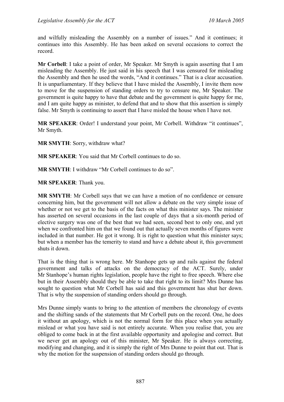and wilfully misleading the Assembly on a number of issues." And it continues; it continues into this Assembly. He has been asked on several occasions to correct the record.

**Mr Corbell**: I take a point of order, Mr Speaker. Mr Smyth is again asserting that I am misleading the Assembly. He just said in his speech that I was censured for misleading the Assembly and then he used the words, "And it continues." That is a clear accusation. It is unparliamentary. If they believe that I have misled the Assembly, I invite them now to move for the suspension of standing orders to try to censure me, Mr Speaker. The government is quite happy to have that debate and the government is quite happy for me, and I am quite happy as minister, to defend that and to show that this assertion is simply false. Mr Smyth is continuing to assert that I have misled the house when I have not.

**MR SPEAKER**: Order! I understand your point, Mr Corbell. Withdraw "it continues", Mr Smyth.

**MR SMYTH**: Sorry, withdraw what?

**MR SPEAKER**: You said that Mr Corbell continues to do so.

**MR SMYTH**: I withdraw "Mr Corbell continues to do so".

**MR SPEAKER**: Thank you.

**MR SMYTH**: Mr Corbell says that we can have a motion of no confidence or censure concerning him, but the government will not allow a debate on the very simple issue of whether or not we get to the basis of the facts on what this minister says. The minister has asserted on several occasions in the last couple of days that a six-month period of elective surgery was one of the best that we had seen, second best to only one, and yet when we confronted him on that we found out that actually seven months of figures were included in that number. He got it wrong. It is right to question what this minister says; but when a member has the temerity to stand and have a debate about it, this government shuts it down.

That is the thing that is wrong here. Mr Stanhope gets up and rails against the federal government and talks of attacks on the democracy of the ACT. Surely, under Mr Stanhope's human rights legislation, people have the right to free speech. Where else but in their Assembly should they be able to take that right to its limit? Mrs Dunne has sought to question what Mr Corbell has said and this government has shut her down. That is why the suspension of standing orders should go through.

Mrs Dunne simply wants to bring to the attention of members the chronology of events and the shifting sands of the statements that Mr Corbell puts on the record. One, he does it without an apology, which is not the normal form for this place when you actually mislead or what you have said is not entirely accurate. When you realise that, you are obliged to come back in at the first available opportunity and apologise and correct. But we never get an apology out of this minister, Mr Speaker. He is always correcting, modifying and changing, and it is simply the right of Mrs Dunne to point that out. That is why the motion for the suspension of standing orders should go through.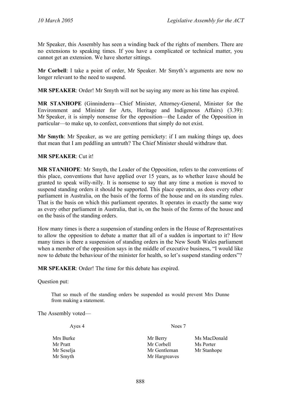Mr Speaker, this Assembly has seen a winding back of the rights of members. There are no extensions to speaking times. If you have a complicated or technical matter, you cannot get an extension. We have shorter sittings.

**Mr Corbell**: I take a point of order, Mr Speaker. Mr Smyth's arguments are now no longer relevant to the need to suspend.

**MR SPEAKER**: Order! Mr Smyth will not be saying any more as his time has expired.

**MR STANHOPE** (Ginninderra—Chief Minister, Attorney-General, Minister for the Environment and Minister for Arts, Heritage and Indigenous Affairs) (3.39): Mr Speaker, it is simply nonsense for the opposition—the Leader of the Opposition in particular—to make up, to confect, conventions that simply do not exist.

**Mr Smyth**: Mr Speaker, as we are getting pernickety: if I am making things up, does that mean that I am peddling an untruth? The Chief Minister should withdraw that.

#### **MR SPEAKER**: Cut it!

**MR STANHOPE**: Mr Smyth, the Leader of the Opposition, refers to the conventions of this place, conventions that have applied over 15 years, as to whether leave should be granted to speak willy-nilly. It is nonsense to say that any time a motion is moved to suspend standing orders it should be supported. This place operates, as does every other parliament in Australia, on the basis of the forms of the house and on its standing rules. That is the basis on which this parliament operates. It operates in exactly the same way as every other parliament in Australia, that is, on the basis of the forms of the house and on the basis of the standing orders.

How many times is there a suspension of standing orders in the House of Representatives to allow the opposition to debate a matter that all of a sudden is important to it? How many times is there a suspension of standing orders in the New South Wales parliament when a member of the opposition says in the middle of executive business, "I would like now to debate the behaviour of the minister for health, so let's suspend standing orders"?

**MR SPEAKER**: Order! The time for this debate has expired.

Question put:

That so much of the standing orders be suspended as would prevent Mrs Dunne from making a statement.

The Assembly voted—

Ayes 4 Noes 7

Mrs Burke Mrs Burke Mrs Mrs MacDonald Mr Pratt Mr Corbell Ms Porter Mr Seselja Mr Gentleman Mr Stanhope Mr Smyth Mr Hargreaves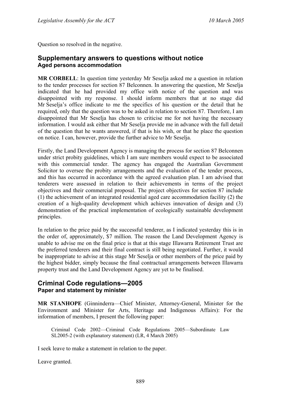Question so resolved in the negative.

# **Supplementary answers to questions without notice Aged persons accommodation**

**MR CORBELL**: In question time yesterday Mr Seselja asked me a question in relation to the tender processes for section 87 Belconnen. In answering the question, Mr Seselja indicated that he had provided my office with notice of the question and was disappointed with my response. I should inform members that at no stage did Mr Seselja's office indicate to me the specifics of his question or the detail that he required, only that the question was to be asked in relation to section 87. Therefore, I am disappointed that Mr Seselja has chosen to criticise me for not having the necessary information. I would ask either that Mr Seselja provide me in advance with the full detail of the question that he wants answered, if that is his wish, or that he place the question on notice. I can, however, provide the further advice to Mr Seselja.

Firstly, the Land Development Agency is managing the process for section 87 Belconnen under strict probity guidelines, which I am sure members would expect to be associated with this commercial tender. The agency has engaged the Australian Government Solicitor to oversee the probity arrangements and the evaluation of the tender process, and this has occurred in accordance with the agreed evaluation plan. I am advised that tenderers were assessed in relation to their achievements in terms of the project objectives and their commercial proposal. The project objectives for section 87 include (1) the achievement of an integrated residential aged care accommodation facility (2) the creation of a high-quality development which achieves innovation of design and (3) demonstration of the practical implementation of ecologically sustainable development principles.

In relation to the price paid by the successful tenderer, as I indicated yesterday this is in the order of, approximately, \$7 million. The reason the Land Development Agency is unable to advise me on the final price is that at this stage Illawarra Retirement Trust are the preferred tenderers and their final contract is still being negotiated. Further, it would be inappropriate to advise at this stage Mr Seselja or other members of the price paid by the highest bidder, simply because the final contractual arrangements between Illawarra property trust and the Land Development Agency are yet to be finalised.

### **Criminal Code regulations—2005 Paper and statement by minister**

**MR STANHOPE** (Ginninderra—Chief Minister, Attorney-General, Minister for the Environment and Minister for Arts, Heritage and Indigenous Affairs): For the information of members, I present the following paper:

Criminal Code 2002—Criminal Code Regulations 2005—Subordinate Law SL2005-2 (with explanatory statement) (LR, 4 March 2005)

I seek leave to make a statement in relation to the paper.

Leave granted.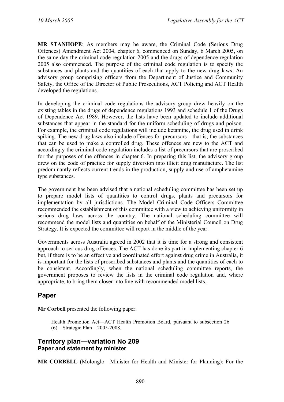**MR STANHOPE**: As members may be aware, the Criminal Code (Serious Drug Offences) Amendment Act 2004, chapter 6, commenced on Sunday, 6 March 2005, on the same day the criminal code regulation 2005 and the drugs of dependence regulation 2005 also commenced. The purpose of the criminal code regulation is to specify the substances and plants and the quantities of each that apply to the new drug laws. An advisory group comprising officers from the Department of Justice and Community Safety, the Office of the Director of Public Prosecutions, ACT Policing and ACT Health developed the regulations.

In developing the criminal code regulations the advisory group drew heavily on the existing tables in the drugs of dependence regulations 1993 and schedule 1 of the Drugs of Dependence Act 1989. However, the lists have been updated to include additional substances that appear in the standard for the uniform scheduling of drugs and poison. For example, the criminal code regulations will include ketamine, the drug used in drink spiking. The new drug laws also include offences for precursors—that is, the substances that can be used to make a controlled drug. These offences are new to the ACT and accordingly the criminal code regulation includes a list of precursors that are proscribed for the purposes of the offences in chapter 6. In preparing this list, the advisory group drew on the code of practice for supply diversion into illicit drug manufacture. The list predominantly reflects current trends in the production, supply and use of amphetamine type substances.

The government has been advised that a national scheduling committee has been set up to prepare model lists of quantities to control drugs, plants and precursors for implementation by all jurisdictions. The Model Criminal Code Officers Committee recommended the establishment of this committee with a view to achieving uniformity in serious drug laws across the country. The national scheduling committee will recommend the model lists and quantities on behalf of the Ministerial Council on Drug Strategy. It is expected the committee will report in the middle of the year.

Governments across Australia agreed in 2002 that it is time for a strong and consistent approach to serious drug offences. The ACT has done its part in implementing chapter 6 but, if there is to be an effective and coordinated effort against drug crime in Australia, it is important for the lists of proscribed substances and plants and the quantities of each to be consistent. Accordingly, when the national scheduling committee reports, the government proposes to review the lists in the criminal code regulation and, where appropriate, to bring them closer into line with recommended model lists.

# **Paper**

**Mr Corbell** presented the following paper:

Health Promotion Act—ACT Health Promotion Board, pursuant to subsection 26 (6)—Strategic Plan—2005-2008.

### **Territory plan—variation No 209 Paper and statement by minister**

**MR CORBELL** (Molonglo—Minister for Health and Minister for Planning): For the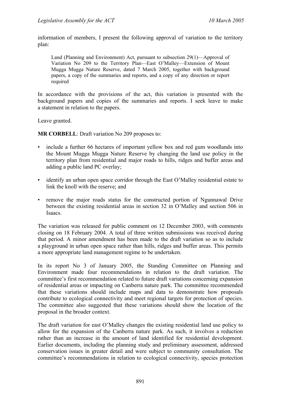information of members, I present the following approval of variation to the territory plan:

Land (Planning and Environment) Act, pursuant to subsection 29(1)—Approval of Variation No 209 to the Territory Plan—East O'Malley—Extension of Mount Mugga Mugga Nature Reserve, dated 7 March 2005, together with background papers, a copy of the summaries and reports, and a copy of any direction or report required

In accordance with the provisions of the act, this variation is presented with the background papers and copies of the summaries and reports. I seek leave to make a statement in relation to the papers.

Leave granted.

**MR CORBELL**: Draft variation No 209 proposes to:

- include a further 66 hectares of important yellow box and red gum woodlands into the Mount Mugga Mugga Nature Reserve by changing the land use policy in the territory plan from residential and major roads to hills, ridges and buffer areas and adding a public land PC overlay;
- identify an urban open space corridor through the East O'Malley residential estate to link the knoll with the reserve; and
- remove the major roads status for the constructed portion of Ngunnawal Drive between the existing residential areas in section 32 in O'Malley and section 506 in Isaacs.

The variation was released for public comment on 12 December 2003, with comments closing on 18 February 2004. A total of three written submissions was received during that period. A minor amendment has been made to the draft variation so as to include a playground in urban open space rather than hills, ridges and buffer areas. This permits a more appropriate land management regime to be undertaken.

In its report No 3 of January 2005, the Standing Committee on Planning and Environment made four recommendations in relation to the draft variation. The committee's first recommendation related to future draft variations concerning expansion of residential areas or impacting on Canberra nature park. The committee recommended that these variations should include maps and data to demonstrate how proposals contribute to ecological connectivity and meet regional targets for protection of species. The committee also suggested that these variations should show the location of the proposal in the broader context.

The draft variation for east O'Malley changes the existing residential land use policy to allow for the expansion of the Canberra nature park. As such, it involves a reduction rather than an increase in the amount of land identified for residential development. Earlier documents, including the planning study and preliminary assessment, addressed conservation issues in greater detail and were subject to community consultation. The committee's recommendations in relation to ecological connectivity, species protection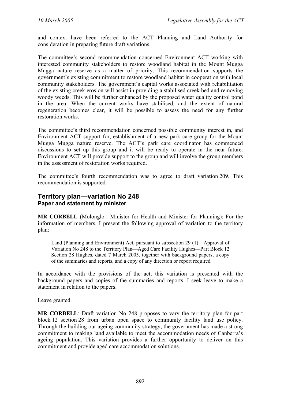and context have been referred to the ACT Planning and Land Authority for consideration in preparing future draft variations.

The committee's second recommendation concerned Environment ACT working with interested community stakeholders to restore woodland habitat in the Mount Mugga Mugga nature reserve as a matter of priority. This recommendation supports the government's existing commitment to restore woodland habitat in cooperation with local community stakeholders. The government's capital works associated with rehabilitation of the existing creek erosion will assist in providing a stabilised creek bed and removing woody weeds. This will be further enhanced by the proposed water quality control pond in the area. When the current works have stabilised, and the extent of natural regeneration becomes clear, it will be possible to assess the need for any further restoration works.

The committee's third recommendation concerned possible community interest in, and Environment ACT support for, establishment of a new park care group for the Mount Mugga Mugga nature reserve. The ACT's park care coordinator has commenced discussions to set up this group and it will be ready to operate in the near future. Environment ACT will provide support to the group and will involve the group members in the assessment of restoration works required.

The committee's fourth recommendation was to agree to draft variation 209. This recommendation is supported.

# **Territory plan—variation No 248 Paper and statement by minister**

**MR CORBELL** (Molonglo—Minister for Health and Minister for Planning): For the information of members, I present the following approval of variation to the territory plan:

Land (Planning and Environment) Act, pursuant to subsection 29 (1)—Approval of Variation No 248 to the Territory Plan—Aged Care Facility Hughes—Part Block 12 Section 28 Hughes, dated 7 March 2005, together with background papers, a copy of the summaries and reports, and a copy of any direction or report required

In accordance with the provisions of the act, this variation is presented with the background papers and copies of the summaries and reports. I seek leave to make a statement in relation to the papers.

Leave granted.

**MR CORBELL**: Draft variation No 248 proposes to vary the territory plan for part block 12 section 28 from urban open space to community facility land use policy. Through the building our ageing community strategy, the government has made a strong commitment to making land available to meet the accommodation needs of Canberra's ageing population. This variation provides a further opportunity to deliver on this commitment and provide aged care accommodation solutions.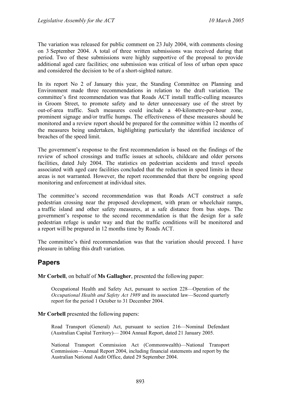The variation was released for public comment on 23 July 2004, with comments closing on 3 September 2004. A total of three written submissions was received during that period. Two of these submissions were highly supportive of the proposal to provide additional aged care facilities; one submission was critical of loss of urban open space and considered the decision to be of a short-sighted nature.

In its report No 2 of January this year, the Standing Committee on Planning and Environment made three recommendations in relation to the draft variation. The committee's first recommendation was that Roads ACT install traffic-culling measures in Groom Street, to promote safety and to deter unnecessary use of the street by out-of-area traffic. Such measures could include a 40-kilometre-per-hour zone, prominent signage and/or traffic humps. The effectiveness of these measures should be monitored and a review report should be prepared for the committee within 12 months of the measures being undertaken, highlighting particularly the identified incidence of breaches of the speed limit.

The government's response to the first recommendation is based on the findings of the review of school crossings and traffic issues at schools, childcare and older persons facilities, dated July 2004. The statistics on pedestrian accidents and travel speeds associated with aged care facilities concluded that the reduction in speed limits in these areas is not warranted. However, the report recommended that there be ongoing speed monitoring and enforcement at individual sites.

The committee's second recommendation was that Roads ACT construct a safe pedestrian crossing near the proposed development, with pram or wheelchair ramps, a traffic island and other safety measures, at a safe distance from bus stops. The government's response to the second recommendation is that the design for a safe pedestrian refuge is under way and that the traffic conditions will be monitored and a report will be prepared in 12 months time by Roads ACT.

The committee's third recommendation was that the variation should proceed. I have pleasure in tabling this draft variation.

# **Papers**

**Mr Corbell**, on behalf of **Ms Gallagher**, presented the following paper:

Occupational Health and Safety Act, pursuant to section 228—Operation of the *Occupational Health and Safety Act 1989* and its associated law—Second quarterly report for the period 1 October to 31 December 2004.

#### **Mr Corbell** presented the following papers:

Road Transport (General) Act, pursuant to section 216—Nominal Defendant (Australian Capital Territory)— 2004 Annual Report, dated 21 January 2005.

National Transport Commission Act (Commonwealth)—National Transport Commission—Annual Report 2004, including financial statements and report by the Australian National Audit Office, dated 29 September 2004.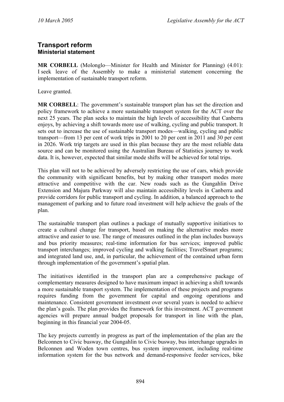# **Transport reform Ministerial statement**

**MR CORBELL** (Molonglo—Minister for Health and Minister for Planning) (4.01): I seek leave of the Assembly to make a ministerial statement concerning the implementation of sustainable transport reform.

Leave granted.

**MR CORBELL**: The government's sustainable transport plan has set the direction and policy framework to achieve a more sustainable transport system for the ACT over the next 25 years. The plan seeks to maintain the high levels of accessibility that Canberra enjoys, by achieving a shift towards more use of walking, cycling and public transport. It sets out to increase the use of sustainable transport modes—walking, cycling and public transport—from 13 per cent of work trips in 2001 to 20 per cent in 2011 and 30 per cent in 2026. Work trip targets are used in this plan because they are the most reliable data source and can be monitored using the Australian Bureau of Statistics journey to work data. It is, however, expected that similar mode shifts will be achieved for total trips.

This plan will not to be achieved by adversely restricting the use of cars, which provide the community with significant benefits, but by making other transport modes more attractive and competitive with the car. New roads such as the Gungahlin Drive Extension and Majura Parkway will also maintain accessibility levels in Canberra and provide corridors for public transport and cycling. In addition, a balanced approach to the management of parking and to future road investment will help achieve the goals of the plan.

The sustainable transport plan outlines a package of mutually supportive initiatives to create a cultural change for transport, based on making the alternative modes more attractive and easier to use. The range of measures outlined in the plan includes busways and bus priority measures; real-time information for bus services; improved public transport interchanges; improved cycling and walking facilities; TravelSmart programs; and integrated land use, and, in particular, the achievement of the contained urban form through implementation of the government's spatial plan.

The initiatives identified in the transport plan are a comprehensive package of complementary measures designed to have maximum impact in achieving a shift towards a more sustainable transport system. The implementation of these projects and programs requires funding from the government for capital and ongoing operations and maintenance. Consistent government investment over several years is needed to achieve the plan's goals. The plan provides the framework for this investment. ACT government agencies will prepare annual budget proposals for transport in line with the plan, beginning in this financial year 2004-05.

The key projects currently in progress as part of the implementation of the plan are the Belconnen to Civic busway, the Gungahlin to Civic busway, bus interchange upgrades in Belconnen and Woden town centres, bus system improvement, including real-time information system for the bus network and demand-responsive feeder services, bike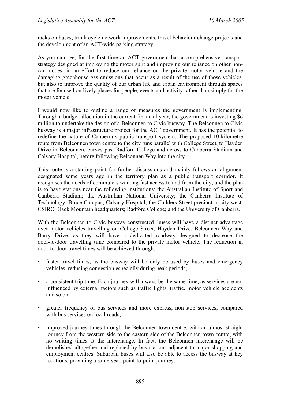racks on buses, trunk cycle network improvements, travel behaviour change projects and the development of an ACT-wide parking strategy.

As you can see, for the first time an ACT government has a comprehensive transport strategy designed at improving the motor split and improving our reliance on other noncar modes, in an effort to reduce our reliance on the private motor vehicle and the damaging greenhouse gas emissions that occur as a result of the use of those vehicles, but also to improve the quality of our urban life and urban environment through spaces that are focused on lively places for people, events and activity rather than simply for the motor vehicle.

I would now like to outline a range of measures the government is implementing. Through a budget allocation in the current financial year, the government is investing \$6 million to undertake the design of a Belconnen to Civic busway. The Belconnen to Civic busway is a major infrastructure project for the ACT government. It has the potential to redefine the nature of Canberra's public transport system. The proposed 10-kilometre route from Belconnen town centre to the city runs parallel with College Street, to Hayden Drive in Belconnen, curves past Radford College and across to Canberra Stadium and Calvary Hospital, before following Belconnen Way into the city.

This route is a starting point for further discussions and mainly follows an alignment designated some years ago in the territory plan as a public transport corridor. It recognises the needs of commuters wanting fast access to and from the city, and the plan is to have stations near the following institutions: the Australian Institute of Sport and Canberra Stadium; the Australian National University; the Canberra Institute of Technology, Bruce Campus; Calvary Hospital; the Childers Street precinct in city west; CSIRO Black Mountain headquarters; Radford College; and the University of Canberra.

With the Belconnen to Civic busway constructed, buses will have a distinct advantage over motor vehicles travelling on College Street, Hayden Drive, Belconnen Way and Barry Drive, as they will have a dedicated roadway designed to decrease the door-to-door travelling time compared to the private motor vehicle. The reduction in door-to-door travel times will be achieved through:

- faster travel times, as the busway will be only be used by buses and emergency vehicles, reducing congestion especially during peak periods;
- a consistent trip time. Each journey will always be the same time, as services are not influenced by external factors such as traffic lights, traffic, motor vehicle accidents and so on;
- greater frequency of bus services and more express, non-stop services, compared with bus services on local roads;
- improved journey times through the Belconnen town centre, with an almost straight journey from the western side to the eastern side of the Belconnen town centre, with no waiting times at the interchange. In fact, the Belconnen interchange will be demolished altogether and replaced by bus stations adjacent to major shopping and employment centres. Suburban buses will also be able to access the busway at key locations, providing a same-seat, point-to-point journey.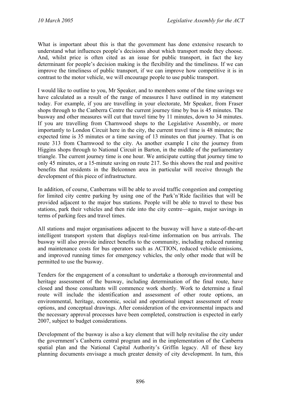What is important about this is that the government has done extensive research to understand what influences people's decisions about which transport mode they choose. And, whilst price is often cited as an issue for public transport, in fact the key determinant for people's decision making is the flexibility and the timeliness. If we can improve the timeliness of public transport, if we can improve how competitive it is in contrast to the motor vehicle, we will encourage people to use public transport.

I would like to outline to you, Mr Speaker, and to members some of the time savings we have calculated as a result of the range of measures I have outlined in my statement today. For example, if you are travelling in your electorate, Mr Speaker, from Fraser shops through to the Canberra Centre the current journey time by bus is 45 minutes. The busway and other measures will cut that travel time by 11 minutes, down to 34 minutes. If you are travelling from Charnwood shops to the Legislative Assembly, or more importantly to London Circuit here in the city, the current travel time is 48 minutes; the expected time is 35 minutes or a time saving of 13 minutes on that journey. That is on route 313 from Charnwood to the city. As another example I cite the journey from Higgins shops through to National Circuit in Barton, in the middle of the parliamentary triangle. The current journey time is one hour. We anticipate cutting that journey time to only 45 minutes, or a 15-minute saving on route 217. So this shows the real and positive benefits that residents in the Belconnen area in particular will receive through the development of this piece of infrastructure.

In addition, of course, Canberrans will be able to avoid traffic congestion and competing for limited city centre parking by using one of the Park'n'Ride facilities that will be provided adjacent to the major bus stations. People will be able to travel to these bus stations, park their vehicles and then ride into the city centre—again, major savings in terms of parking fees and travel times.

All stations and major organisations adjacent to the busway will have a state-of-the-art intelligent transport system that displays real-time information on bus arrivals. The busway will also provide indirect benefits to the community, including reduced running and maintenance costs for bus operators such as ACTION, reduced vehicle emissions, and improved running times for emergency vehicles, the only other mode that will be permitted to use the busway.

Tenders for the engagement of a consultant to undertake a thorough environmental and heritage assessment of the busway, including determination of the final route, have closed and those consultants will commence work shortly. Work to determine a final route will include the identification and assessment of other route options, an environmental, heritage, economic, social and operational impact assessment of route options, and conceptual drawings. After consideration of the environmental impacts and the necessary approval processes have been completed, construction is expected in early 2007, subject to budget considerations.

Development of the busway is also a key element that will help revitalise the city under the government's Canberra central program and in the implementation of the Canberra spatial plan and the National Capital Authority's Griffin legacy. All of these key planning documents envisage a much greater density of city development. In turn, this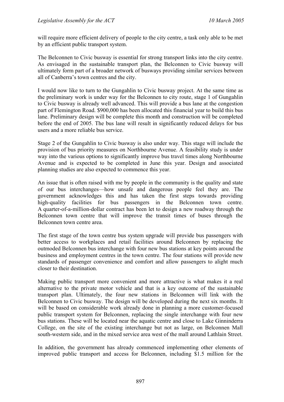will require more efficient delivery of people to the city centre, a task only able to be met by an efficient public transport system.

The Belconnen to Civic busway is essential for strong transport links into the city centre. As envisaged in the sustainable transport plan, the Belconnen to Civic busway will ultimately form part of a broader network of busways providing similar services between all of Canberra's town centres and the city.

I would now like to turn to the Gungahlin to Civic busway project. At the same time as the preliminary work is under way for the Belconnen to city route, stage 1 of Gungahlin to Civic busway is already well advanced. This will provide a bus lane at the congestion part of Flemington Road. \$900,000 has been allocated this financial year to build this bus lane. Preliminary design will be complete this month and construction will be completed before the end of 2005. The bus lane will result in significantly reduced delays for bus users and a more reliable bus service.

Stage 2 of the Gungahlin to Civic busway is also under way. This stage will include the provision of bus priority measures on Northbourne Avenue. A feasibility study is under way into the various options to significantly improve bus travel times along Northbourne Avenue and is expected to be completed in June this year. Design and associated planning studies are also expected to commence this year.

An issue that is often raised with me by people in the community is the quality and state of our bus interchanges—how unsafe and dangerous people feel they are. The government acknowledges this and has taken the first steps towards providing high-quality facilities for bus passengers in the Belconnen town centre. A quarter-of-a-million-dollar contract has been let to design a new roadway through the Belconnen town centre that will improve the transit times of buses through the Belconnen town centre area.

The first stage of the town centre bus system upgrade will provide bus passengers with better access to workplaces and retail facilities around Belconnen by replacing the outmoded Belconnen bus interchange with four new bus stations at key points around the business and employment centres in the town centre. The four stations will provide new standards of passenger convenience and comfort and allow passengers to alight much closer to their destination.

Making public transport more convenient and more attractive is what makes it a real alternative to the private motor vehicle and that is a key outcome of the sustainable transport plan. Ultimately, the four new stations in Belconnen will link with the Belconnen to Civic busway. The design will be developed during the next six months. It will be based on considerable work already done in planning a more customer-focused public transport system for Belconnen, replacing the single interchange with four new bus stations. These will be located near the aquatic centre and close to Lake Ginninderra College, on the site of the existing interchange but not as large, on Belconnen Mall south-western side, and in the mixed service area west of the mall around Lathlain Street.

In addition, the government has already commenced implementing other elements of improved public transport and access for Belconnen, including \$1.5 million for the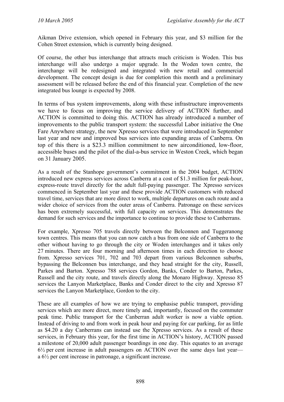Aikman Drive extension, which opened in February this year, and \$3 million for the Cohen Street extension, which is currently being designed.

Of course, the other bus interchange that attracts much criticism is Woden. This bus interchange will also undergo a major upgrade. In the Woden town centre, the interchange will be redesigned and integrated with new retail and commercial development. The concept design is due for completion this month and a preliminary assessment will be released before the end of this financial year. Completion of the new integrated bus lounge is expected by 2008.

In terms of bus system improvements, along with these infrastructure improvements we have to focus on improving the service delivery of ACTION further, and ACTION is committed to doing this. ACTION has already introduced a number of improvements to the public transport system: the successful Labor initiative the One Fare Anywhere strategy, the new Xpresso services that were introduced in September last year and new and improved bus services into expanding areas of Canberra. On top of this there is a \$23.3 million commitment to new airconditioned, low-floor, accessible buses and the pilot of the dial-a-bus service in Weston Creek, which began on 31 January 2005.

As a result of the Stanhope government's commitment in the 2004 budget, ACTION introduced new express services across Canberra at a cost of \$1.3 million for peak-hour, express-route travel directly for the adult full-paying passenger. The Xpresso services commenced in September last year and these provide ACTION customers with reduced travel time, services that are more direct to work, multiple departures on each route and a wider choice of services from the outer areas of Canberra. Patronage on these services has been extremely successful, with full capacity on services. This demonstrates the demand for such services and the importance to continue to provide these to Canberrans.

For example, Xpresso 705 travels directly between the Belconnen and Tuggeranong town centres. This means that you can now catch a bus from one side of Canberra to the other without having to go through the city or Woden interchanges and it takes only 27 minutes. There are four morning and afternoon times in each direction to choose from. Xpresso services 701, 702 and 703 depart from various Belconnen suburbs, bypassing the Belconnen bus interchange, and they head straight for the city, Russell, Parkes and Barton. Xpresso 788 services Gordon, Banks, Conder to Barton, Parkes, Russell and the city route, and travels directly along the Monaro Highway. Xpresso 85 services the Lanyon Marketplace, Banks and Conder direct to the city and Xpresso 87 services the Lanyon Marketplace, Gordon to the city.

These are all examples of how we are trying to emphasise public transport, providing services which are more direct, more timely and, importantly, focused on the commuter peak time. Public transport for the Canberran adult worker is now a viable option. Instead of driving to and from work in peak hour and paying for car parking, for as little as \$4.20 a day Canberrans can instead use the Xpresso services. As a result of these services, in February this year, for the first time in ACTION's history, ACTION passed a milestone of 20,000 adult passenger boardings in one day. This equates to an average  $6\frac{1}{2}$  per cent increase in adult passengers on ACTION over the same days last year a 6½ per cent increase in patronage, a significant increase.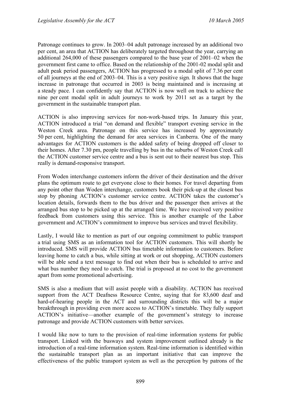Patronage continues to grow. In 2003–04 adult patronage increased by an additional two per cent, an area that ACTION has deliberately targeted throughout the year, carrying an additional 264,000 of these passengers compared to the base year of 2001–02 when the government first came to office. Based on the relationship of the 2001-02 modal split and adult peak period passengers, ACTION has progressed to a modal split of 7.36 per cent of all journeys at the end of 2003–04. This is a very positive sign. It shows that the huge increase in patronage that occurred in 2003 is being maintained and is increasing at a steady pace. I can confidently say that ACTION is now well on track to achieve the nine per cent modal split in adult journeys to work by 2011 set as a target by the government in the sustainable transport plan.

ACTION is also improving services for non-work-based trips. In January this year, ACTION introduced a trial "on demand and flexible" transport evening service in the Weston Creek area. Patronage on this service has increased by approximately 50 per cent, highlighting the demand for area services in Canberra. One of the many advantages for ACTION customers is the added safety of being dropped off closer to their homes. After 7.30 pm, people travelling by bus in the suburbs of Weston Creek call the ACTION customer service centre and a bus is sent out to their nearest bus stop. This really is demand-responsive transport.

From Woden interchange customers inform the driver of their destination and the driver plans the optimum route to get everyone close to their homes. For travel departing from any point other than Woden interchange, customers book their pick-up at the closest bus stop by phoning ACTION's customer service centre. ACTION takes the customer's location details, forwards them to the bus driver and the passenger then arrives at the arranged bus stop to be picked up at the arranged time. We have received very positive feedback from customers using this service. This is another example of the Labor government and ACTION's commitment to improve bus services and travel flexibility.

Lastly, I would like to mention as part of our ongoing commitment to public transport a trial using SMS as an information tool for ACTION customers. This will shortly be introduced. SMS will provide ACTION bus timetable information to customers. Before leaving home to catch a bus, while sitting at work or out shopping, ACTION customers will be able send a text message to find out when their bus is scheduled to arrive and what bus number they need to catch. The trial is proposed at no cost to the government apart from some promotional advertising.

SMS is also a medium that will assist people with a disability. ACTION has received support from the ACT Deafness Resource Centre, saying that for 83,600 deaf and hard-of-hearing people in the ACT and surrounding districts this will be a major breakthrough in providing even more access to ACTION's timetable. They fully support ACTION's initiative—another example of the government's strategy to increase patronage and provide ACTION customers with better services.

I would like now to turn to the provision of real-time information systems for public transport. Linked with the busways and system improvement outlined already is the introduction of a real-time information system. Real-time information is identified within the sustainable transport plan as an important initiative that can improve the effectiveness of the public transport system as well as the perception by patrons of the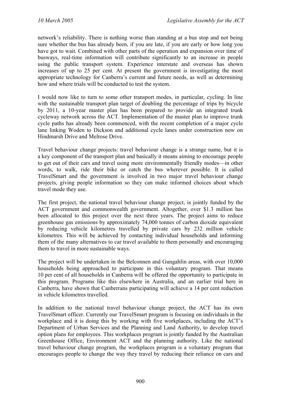network's reliability. There is nothing worse than standing at a bus stop and not being sure whether the bus has already been, if you are late, if you are early or how long you have got to wait. Combined with other parts of the operation and expansion over time of busways, real-time information will contribute significantly to an increase in people using the public transport system. Experience interstate and overseas has shown increases of up to 25 per cent. At present the government is investigating the most appropriate technology for Canberra's current and future needs, as well as determining how and where trials will be conducted to test the system.

I would now like to turn to some other transport modes, in particular, cycling. In line with the sustainable transport plan target of doubling the percentage of trips by bicycle by 2011, a 10-year master plan has been prepared to provide an integrated trunk cycleway network across the ACT. Implementation of the master plan to improve trunk cycle paths has already been commenced, with the recent completion of a major cycle lane linking Woden to Dickson and additional cycle lanes under construction now on Hindmarsh Drive and Melrose Drive.

Travel behaviour change projects: travel behaviour change is a strange name, but it is a key component of the transport plan and basically it means aiming to encourage people to get out of their cars and travel using more environmentally friendly modes—in other words, to walk, ride their bike or catch the bus wherever possible. It is called TravelSmart and the government is involved in two major travel behaviour change projects, giving people information so they can make informed choices about which travel mode they use.

The first project, the national travel behaviour change project, is jointly funded by the ACT government and commonwealth government. Altogether, over \$1.3 million has been allocated to this project over the next three years. The project aims to reduce greenhouse gas emissions by approximately 74,000 tonnes of carbon dioxide equivalent by reducing vehicle kilometres travelled by private cars by 232 million vehicle kilometres. This will be achieved by contacting individual households and informing them of the many alternatives to car travel available to them personally and encouraging them to travel in more sustainable ways.

The project will be undertaken in the Belconnen and Gungahlin areas, with over 10,000 households being approached to participate in this voluntary program. That means 10 per cent of all households in Canberra will be offered the opportunity to participate in this program. Programs like this elsewhere in Australia, and an earlier trial here in Canberra, have shown that Canberrans participating will achieve a 14 per cent reduction in vehicle kilometres travelled.

In addition to the national travel behaviour change project, the ACT has its own TravelSmart officer. Currently our TravelSmart program is focusing on individuals in the workplace and it is doing this by working with five workplaces, including the ACT's Department of Urban Services and the Planning and Land Authority, to develop travel option plans for employees. This workplaces program is jointly funded by the Australian Greenhouse Office, Environment ACT and the planning authority. Like the national travel behaviour change program, the workplaces program is a voluntary program that encourages people to change the way they travel by reducing their reliance on cars and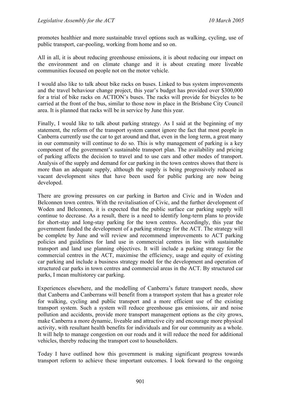promotes healthier and more sustainable travel options such as walking, cycling, use of public transport, car-pooling, working from home and so on.

All in all, it is about reducing greenhouse emissions, it is about reducing our impact on the environment and on climate change and it is about creating more liveable communities focused on people not on the motor vehicle.

I would also like to talk about bike racks on buses. Linked to bus system improvements and the travel behaviour change project, this year's budget has provided over \$300,000 for a trial of bike racks on ACTION's buses. The racks will provide for bicycles to be carried at the front of the bus, similar to those now in place in the Brisbane City Council area. It is planned that racks will be in service by June this year.

Finally, I would like to talk about parking strategy. As I said at the beginning of my statement, the reform of the transport system cannot ignore the fact that most people in Canberra currently use the car to get around and that, even in the long term, a great many in our community will continue to do so. This is why management of parking is a key component of the government's sustainable transport plan. The availability and pricing of parking affects the decision to travel and to use cars and other modes of transport. Analysis of the supply and demand for car parking in the town centres shows that there is more than an adequate supply, although the supply is being progressively reduced as vacant development sites that have been used for public parking are now being developed.

There are growing pressures on car parking in Barton and Civic and in Woden and Belconnen town centres. With the revitalisation of Civic, and the further development of Woden and Belconnen, it is expected that the public surface car parking supply will continue to decrease. As a result, there is a need to identify long-term plans to provide for short-stay and long-stay parking for the town centres. Accordingly, this year the government funded the development of a parking strategy for the ACT. The strategy will be complete by June and will review and recommend improvements to ACT parking policies and guidelines for land use in commercial centres in line with sustainable transport and land use planning objectives. It will include a parking strategy for the commercial centres in the ACT, maximise the efficiency, usage and equity of existing car parking and include a business strategy model for the development and operation of structured car parks in town centres and commercial areas in the ACT. By structured car parks, I mean multistorey car parking.

Experiences elsewhere, and the modelling of Canberra's future transport needs, show that Canberra and Canberrans will benefit from a transport system that has a greater role for walking, cycling and public transport and a more efficient use of the existing transport system. Such a system will reduce greenhouse gas emissions, air and noise pollution and accidents, provide more transport management options as the city grows, make Canberra a more dynamic, liveable and attractive city and encourage more physical activity, with resultant health benefits for individuals and for our community as a whole. It will help to manage congestion on our roads and it will reduce the need for additional vehicles, thereby reducing the transport cost to householders.

Today I have outlined how this government is making significant progress towards transport reform to achieve these important outcomes. I look forward to the ongoing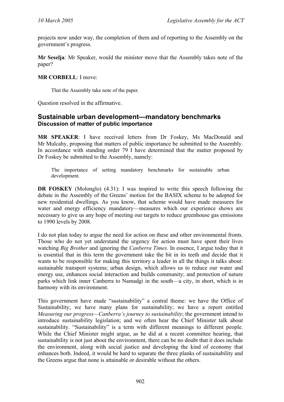projects now under way, the completion of them and of reporting to the Assembly on the government's progress.

**Mr Seselja**: Mr Speaker, would the minister move that the Assembly takes note of the paper?

#### **MR CORBELL**: I move:

That the Assembly take note of the paper.

Question resolved in the affirmative.

# **Sustainable urban development—mandatory benchmarks Discussion of matter of public importance**

**MR SPEAKER**: I have received letters from Dr Foskey, Ms MacDonald and Mr Mulcahy, proposing that matters of public importance be submitted to the Assembly. In accordance with standing order 79 I have determined that the matter proposed by Dr Foskey be submitted to the Assembly, namely:

The importance of setting mandatory benchmarks for sustainable urban development.

**DR FOSKEY** (Molonglo) (4.31): I was inspired to write this speech following the debate in the Assembly of the Greens' motion for the BASIX scheme to be adopted for new residential dwellings. As you know, that scheme would have made measures for water and energy efficiency mandatory—measures which our experience shows are necessary to give us any hope of meeting our targets to reduce greenhouse gas emissions to 1990 levels by 2008.

I do not plan today to argue the need for action on these and other environmental fronts. Those who do not yet understand the urgency for action must have spent their lives watching *Big Brother* and ignoring the *Canberra Times.* In essence, I argue today that it is essential that in this term the government take the bit in its teeth and decide that it wants to be responsible for making this territory a leader in all the things it talks about: sustainable transport systems; urban design, which allows us to reduce our water and energy use, enhances social interaction and builds community; and protection of nature parks which link inner Canberra to Namadgi in the south—a city, in short, which is in harmony with its environment.

This government have made "sustainability" a central theme: we have the Office of Sustainability; we have many plans for sustainability; we have a report entitled *Measuring our progress—Canberra's journey to sustainability*; the government intend to introduce sustainability legislation; and we often hear the Chief Minister talk about sustainability. "Sustainability" is a term with different meanings to different people. While the Chief Minister might argue, as he did at a recent committee hearing, that sustainability is not just about the environment, there can be no doubt that it does include the environment, along with social justice and developing the kind of economy that enhances both. Indeed, it would be hard to separate the three planks of sustainability and the Greens argue that none is attainable or desirable without the others.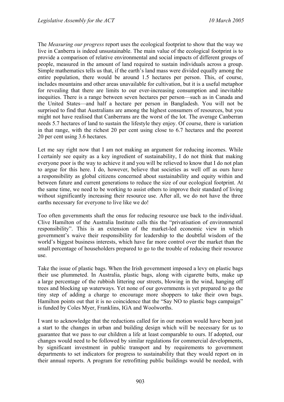The *Measuring our progress* report uses the ecological footprint to show that the way we live in Canberra is indeed unsustainable. The main value of the ecological footprint is to provide a comparison of relative environmental and social impacts of different groups of people, measured in the amount of land required to sustain individuals across a group. Simple mathematics tells us that, if the earth's land mass were divided equally among the entire population, there would be around 1.5 hectares per person. This, of course, includes mountains and other areas unavailable for cultivation, but it is a useful metaphor for revealing that there are limits to our ever-increasing consumption and inevitable inequities. There is a range between seven hectares per person—such as in Canada and the United States—and half a hectare per person in Bangladesh. You will not be surprised to find that Australians are among the highest consumers of resources, but you might not have realised that Canberrans are the worst of the lot. The average Canberran needs 5.7 hectares of land to sustain the lifestyle they enjoy. Of course, there is variation in that range, with the richest 20 per cent using close to 6.7 hectares and the poorest 20 per cent using 3.6 hectares.

Let me say right now that I am not making an argument for reducing incomes. While I certainly see equity as a key ingredient of sustainability, I do not think that making everyone poor is the way to achieve it and you will be relieved to know that I do not plan to argue for this here. I do, however, believe that societies as well off as ours have a responsibility as global citizens concerned about sustainability and equity within and between future and current generations to reduce the size of our ecological footprint. At the same time, we need to be working to assist others to improve their standard of living without significantly increasing their resource use. After all, we do not have the three earths necessary for everyone to live like we do!

Too often governments shaft the onus for reducing resource use back to the individual. Clive Hamilton of the Australia Institute calls this the "privatisation of environmental responsibility". This is an extension of the market-led economic view in which government's waive their responsibility for leadership to the doubtful wisdom of the world's biggest business interests, which have far more control over the market than the small percentage of householders prepared to go to the trouble of reducing their resource use.

Take the issue of plastic bags. When the Irish government imposed a levy on plastic bags their use plummeted. In Australia, plastic bags, along with cigarette butts, make up a large percentage of the rubbish littering our streets, blowing in the wind, hanging off trees and blocking up waterways. Yet none of our governments is yet prepared to go the tiny step of adding a charge to encourage more shoppers to take their own bags. Hamilton points out that it is no coincidence that the "Say NO to plastic bags campaign" is funded by Coles Myer, Franklins, IGA and Woolworths.

I want to acknowledge that the reductions called for in our motion would have been just a start to the changes in urban and building design which will be necessary for us to guarantee that we pass to our children a life at least comparable to ours. If adopted, our changes would need to be followed by similar regulations for commercial developments, by significant investment in public transport and by requirements to government departments to set indicators for progress to sustainability that they would report on in their annual reports. A program for retrofitting public buildings would be needed, with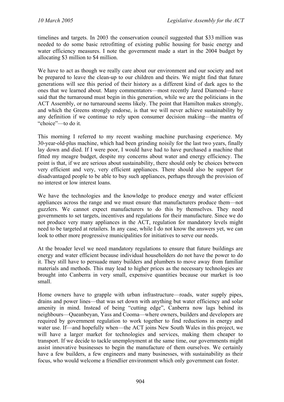timelines and targets. In 2003 the conservation council suggested that \$33 million was needed to do some basic retrofitting of existing public housing for basic energy and water efficiency measures. I note the government made a start in the 2004 budget by allocating \$3 million to \$4 million.

We have to act as though we really care about our environment and our society and not be prepared to leave the clean-up to our children and theirs. We might find that future generations will see this period of their history as a different kind of dark ages to the ones that we learned about. Many commentators—most recently Jared Diamond—have said that the turnaround must begin in this generation, while we are the politicians in the ACT Assembly, or no turnaround seems likely. The point that Hamilton makes strongly, and which the Greens strongly endorse, is that we will never achieve sustainability by any definition if we continue to rely upon consumer decision making—the mantra of "choice"—to do it.

This morning I referred to my recent washing machine purchasing experience. My 30-year-old-plus machine, which had been grinding noisily for the last two years, finally lay down and died. If I were poor, I would have had to have purchased a machine that fitted my meagre budget, despite my concerns about water and energy efficiency. The point is that, if we are serious about sustainability, there should only be choices between very efficient and very, very efficient appliances. There should also be support for disadvantaged people to be able to buy such appliances, perhaps through the provision of no interest or low interest loans.

We have the technologies and the knowledge to produce energy and water efficient appliances across the range and we must ensure that manufacturers produce them—not guzzlers. We cannot expect manufacturers to do this by themselves. They need governments to set targets, incentives and regulations for their manufacture. Since we do not produce very many appliances in the ACT, regulation for mandatory levels might need to be targeted at retailers. In any case, while I do not know the answers yet, we can look to other more progressive municipalities for initiatives to serve our needs.

At the broader level we need mandatory regulations to ensure that future buildings are energy and water efficient because individual householders do not have the power to do it. They still have to persuade many builders and plumbers to move away from familiar materials and methods. This may lead to higher prices as the necessary technologies are brought into Canberra in very small, expensive quantities because our market is too small.

Home owners have to grapple with urban infrastructure—roads, water supply pipes, drains and power lines—that was set down with anything but water efficiency and solar amenity in mind. Instead of being "cutting edge", Canberra now lags behind its neighbours—Queanbeyan, Yass and Cooma—where owners, builders and developers are required by government regulation to work together to find reductions in energy and water use. If—and hopefully when—the ACT joins New South Wales in this project, we will have a larger market for technologies and services, making them cheaper to transport. If we decide to tackle unemployment at the same time, our governments might assist innovative businesses to begin the manufacture of them ourselves. We certainly have a few builders, a few engineers and many businesses, with sustainability as their focus, who would welcome a friendlier environment which only government can foster.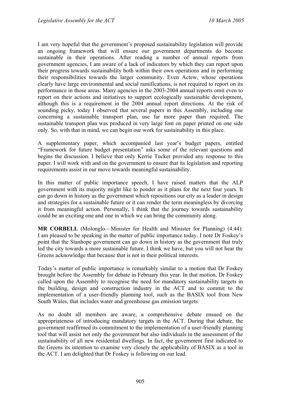I am very hopeful that the government's proposed sustainability legislation will provide an ongoing framework that will ensure our government departments do become sustainable in their operations. After reading a number of annual reports from government agencies, I am aware of a lack of indicators by which they can report upon their progress towards sustainability both within their own operations and in performing their responsibilities towards the larger community. Even Actew, whose operations clearly have large environmental and social ramifications, is not required to report on its performance in those areas. Many agencies in the 2003-2004 annual reports omit even to report on their actions and initiatives to support ecologically sustainable development, although this is a requirement in the 2004 annual report directions. At the risk of sounding picky, today I observed that several papers in this Assembly, including one concerning a sustainable transport plan, use far more paper than required. The sustainable transport plan was produced in very large font on paper printed on one side only. So, with that in mind, we can begin our work for sustainability in this place.

A supplementary paper, which accompanied last year's budget papers, entitled "Framework for future budget presentation" asks some of the relevant questions and begins the discussion. I believe that only Kerrie Tucker provided any response to this paper. I will work with and on the government to ensure that its legislation and reporting requirements assist in our move towards meaningful sustainability.

In this matter of public importance speech, I have raised matters that the ALP government with its majority might like to ponder as it plans for the next four years. It can go down in history as the government which repositions our city as a leader in design and strategies for a sustainable future or it can render the term meaningless by divorcing it from meaningful action. Personally, I think that the journey towards sustainability could be an exciting one and one in which we can bring the community along.

**MR CORBELL** (Molonglo—Minister for Health and Minister for Planning) (4.44): I am pleased to be speaking in the matter of public importance today. I note Dr Foskey's point that the Stanhope government can go down in history as the government that truly led the city towards a more sustainable future. I think we have, but you will not hear the Greens acknowledge that because that is not in their political interests.

Today's matter of public importance is remarkably similar to a motion that Dr Foskey brought before the Assembly for debate in February this year. In that motion, Dr Foskey called upon the Assembly to recognise the need for mandatory sustainability targets in the building, design and construction industry in the ACT and to commit to the implementation of a user-friendly planning tool, such as the BASIX tool from New South Wales, that includes water and greenhouse gas emission targets.

As no doubt all members are aware, a comprehensive debate ensued on the appropriateness of introducing mandatory targets in the ACT. During that debate, the government reaffirmed its commitment to the implementation of a user-friendly planning tool that will assist not only the government but also individuals in the assessment of the sustainability of all new residential dwellings. In fact, the government first indicated to the Greens its intention to examine very closely the applicability of BASIX as a tool in the ACT. I am delighted that Dr Foskey is following on our lead.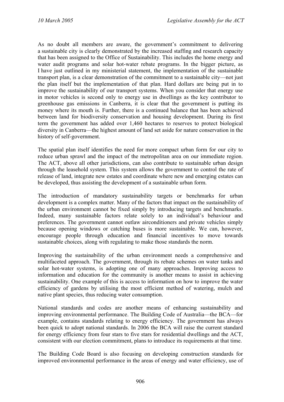As no doubt all members are aware, the government's commitment to delivering a sustainable city is clearly demonstrated by the increased staffing and research capacity that has been assigned to the Office of Sustainability. This includes the home energy and water audit programs and solar hot-water rebate programs. In the bigger picture, as I have just outlined in my ministerial statement, the implementation of the sustainable transport plan, is a clear demonstration of the commitment to a sustainable city—not just the plan itself but the implementation of that plan. Hard dollars are being put in to improve the sustainability of our transport systems. When you consider that energy use in motor vehicles is second only to energy use in dwellings as the key contributor to greenhouse gas emissions in Canberra, it is clear that the government is putting its money where its mouth is. Further, there is a continued balance that has been achieved between land for biodiversity conservation and housing development. During its first term the government has added over 1,460 hectares to reserves to protect biological diversity in Canberra—the highest amount of land set aside for nature conservation in the history of self-government.

The spatial plan itself identifies the need for more compact urban form for our city to reduce urban sprawl and the impact of the metropolitan area on our immediate region. The ACT, above all other jurisdictions, can also contribute to sustainable urban design through the leasehold system. This system allows the government to control the rate of release of land, integrate new estates and coordinate where new and emerging estates can be developed, thus assisting the development of a sustainable urban form.

The introduction of mandatory sustainability targets or benchmarks for urban development is a complex matter. Many of the factors that impact on the sustainability of the urban environment cannot be fixed simply by introducing targets and benchmarks. Indeed, many sustainable factors relate solely to an individual's behaviour and preferences. The government cannot outlaw airconditioners and private vehicles simply because opening windows or catching buses is more sustainable. We can, however, encourage people through education and financial incentives to move towards sustainable choices, along with regulating to make those standards the norm.

Improving the sustainability of the urban environment needs a comprehensive and multifaceted approach. The government, through its rebate schemes on water tanks and solar hot-water systems, is adopting one of many approaches. Improving access to information and education for the community is another means to assist in achieving sustainability. One example of this is access to information on how to improve the water efficiency of gardens by utilising the most efficient method of watering, mulch and native plant species, thus reducing water consumption.

National standards and codes are another means of enhancing sustainability and improving environmental performance. The Building Code of Australia—the BCA—for example, contains standards relating to energy efficiency. The government has always been quick to adopt national standards. In 2006 the BCA will raise the current standard for energy efficiency from four stars to five stars for residential dwellings and the ACT, consistent with our election commitment, plans to introduce its requirements at that time.

The Building Code Board is also focusing on developing construction standards for improved environmental performance in the areas of energy and water efficiency, use of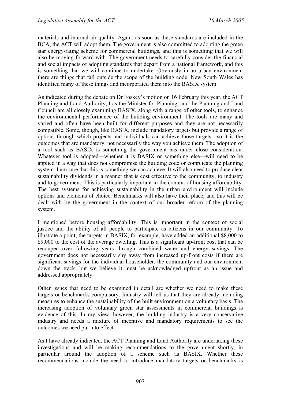materials and internal air quality. Again, as soon as these standards are included in the BCA, the ACT will adopt them. The government is also committed to adopting the green star energy-rating scheme for commercial buildings, and this is something that we will also be moving forward with. The government needs to carefully consider the financial and social impacts of adopting standards that depart from a national framework, and this is something that we will continue to undertake. Obviously in an urban environment there are things that fall outside the scope of the building code. New South Wales has identified many of these things and incorporated them into the BASIX system.

As indicated during the debate on Dr Foskey's motion on 16 February this year, the ACT Planning and Land Authority, I as the Minister for Planning, and the Planning and Land Council are all closely examining BASIX, along with a range of other tools, to enhance the environmental performance of the building environment. The tools are many and varied and often have been built for different purposes and they are not necessarily compatible. Some, though, like BASIX, include mandatory targets but provide a range of options through which projects and individuals can achieve those targets—so it is the outcomes that are mandatory, not necessarily the way you achieve them. The adoption of a tool such as BASIX is something the government has under close consideration. Whatever tool is adopted—whether it is BASIX or something else—will need to be applied in a way that does not compromise the building code or complicate the planning system. I am sure that this is something we can achieve. It will also need to produce clear sustainability dividends in a manner that is cost effective to the community, to industry and to government. This is particularly important in the context of housing affordability. The best systems for achieving sustainability in the urban environment will include options and elements of choice. Benchmarks will also have their place, and this will be dealt with by the government in the context of our broader reform of the planning system.

I mentioned before housing affordability. This is important in the context of social justice and the ability of all people to participate as citizens in our community. To illustrate a point, the targets in BASIX, for example, have added an additional \$8,000 to \$9,000 to the cost of the average dwelling. This is a significant up-front cost that can be recouped over following years through combined water and energy savings. The government does not necessarily shy away from increased up-front costs if there are significant savings for the individual householder, the community and our environment down the track, but we believe it must be acknowledged upfront as an issue and addressed appropriately.

Other issues that need to be examined in detail are whether we need to make these targets or benchmarks compulsory. Industry will tell us that they are already including measures to enhance the sustainability of the built environment on a voluntary basis. The increasing adoption of voluntary green star assessments in commercial buildings is evidence of this. In my view, however, the building industry is a very conservative industry and needs a mixture of incentive and mandatory requirements to see the outcomes we need put into effect.

As I have already indicated, the ACT Planning and Land Authority are undertaking these investigations and will be making recommendations to the government shortly, in particular around the adoption of a scheme such as BASIX. Whether these recommendations include the need to introduce mandatory targets or benchmarks is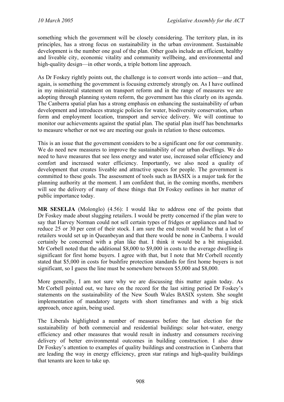something which the government will be closely considering. The territory plan, in its principles, has a strong focus on sustainability in the urban environment. Sustainable development is the number one goal of the plan. Other goals include an efficient, healthy and liveable city, economic vitality and community wellbeing, and environmental and high-quality design—in other words, a triple bottom line approach.

As Dr Foskey rightly points out, the challenge is to convert words into action—and that, again, is something the government is focusing extremely strongly on. As I have outlined in my ministerial statement on transport reform and in the range of measures we are adopting through planning system reform, the government has this clearly on its agenda. The Canberra spatial plan has a strong emphasis on enhancing the sustainability of urban development and introduces strategic policies for water, biodiversity conservation, urban form and employment location, transport and service delivery. We will continue to monitor our achievements against the spatial plan. The spatial plan itself has benchmarks to measure whether or not we are meeting our goals in relation to these outcomes.

This is an issue that the government considers to be a significant one for our community. We do need new measures to improve the sustainability of our urban dwellings. We do need to have measures that see less energy and water use, increased solar efficiency and comfort and increased water efficiency. Importantly, we also need a quality of development that creates liveable and attractive spaces for people. The government is committed to these goals. The assessment of tools such as BASIX is a major task for the planning authority at the moment. I am confident that, in the coming months, members will see the delivery of many of these things that Dr Foskey outlines in her matter of public importance today.

**MR SESELJA** (Molonglo) (4.56): I would like to address one of the points that Dr Foskey made about slugging retailers. I would be pretty concerned if the plan were to say that Harvey Norman could not sell certain types of fridges or appliances and had to reduce 25 or 30 per cent of their stock. I am sure the end result would be that a lot of retailers would set up in Queanbeyan and that there would be none in Canberra. I would certainly be concerned with a plan like that. I think it would be a bit misguided. Mr Corbell noted that the additional \$8,000 to \$9,000 in costs to the average dwelling is significant for first home buyers. I agree with that, but I note that Mr Corbell recently stated that \$5,000 in costs for bushfire protection standards for first home buyers is not significant, so I guess the line must be somewhere between \$5,000 and \$8,000.

More generally, I am not sure why we are discussing this matter again today. As Mr Corbell pointed out, we have on the record for the last sitting period Dr Foskey's statements on the sustainability of the New South Wales BASIX system. She sought implementation of mandatory targets with short timeframes and with a big stick approach, once again, being used.

The Liberals highlighted a number of measures before the last election for the sustainability of both commercial and residential buildings: solar hot-water, energy efficiency and other measures that would result in industry and consumers receiving delivery of better environmental outcomes in building construction. I also draw Dr Foskey's attention to examples of quality buildings and construction in Canberra that are leading the way in energy efficiency, green star ratings and high-quality buildings that tenants are keen to take up.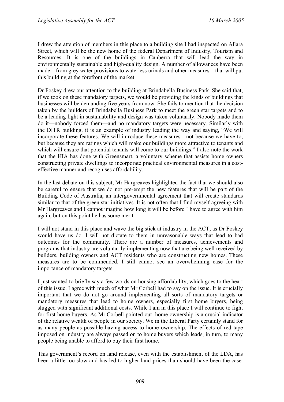I drew the attention of members in this place to a building site I had inspected on Allara Street, which will be the new home of the federal Department of Industry, Tourism and Resources. It is one of the buildings in Canberra that will lead the way in environmentally sustainable and high-quality design. A number of allowances have been made—from grey water provisions to waterless urinals and other measures—that will put this building at the forefront of the market.

Dr Foskey drew our attention to the building at Brindabella Business Park. She said that, if we took on these mandatory targets, we would be providing the kinds of buildings that businesses will be demanding five years from now. She fails to mention that the decision taken by the builders of Brindabella Business Park to meet the green star targets and to be a leading light in sustainability and design was taken voluntarily. Nobody made them do it—nobody forced them—and no mandatory targets were necessary. Similarly with the DITR building, it is an example of industry leading the way and saying, "We will incorporate these features. We will introduce these measures—not because we have to, but because they are ratings which will make our buildings more attractive to tenants and which will ensure that potential tenants will come to our buildings." I also note the work that the HIA has done with Greensmart, a voluntary scheme that assists home owners constructing private dwellings to incorporate practical environmental measures in a costeffective manner and recognises affordability.

In the last debate on this subject, Mr Hargreaves highlighted the fact that we should also be careful to ensure that we do not pre-empt the new features that will be part of the Building Code of Australia, an intergovernmental agreement that will create standards similar to that of the green star initiatives. It is not often that I find myself agreeing with Mr Hargreaves and I cannot imagine how long it will be before I have to agree with him again, but on this point he has some merit.

I will not stand in this place and wave the big stick at industry in the ACT, as Dr Foskey would have us do. I will not dictate to them in unreasonable ways that lead to bad outcomes for the community. There are a number of measures, achievements and programs that industry are voluntarily implementing now that are being well received by builders, building owners and ACT residents who are constructing new homes. These measures are to be commended. I still cannot see an overwhelming case for the importance of mandatory targets.

I just wanted to briefly say a few words on housing affordability, which goes to the heart of this issue. I agree with much of what Mr Corbell had to say on the issue. It is crucially important that we do not go around implementing all sorts of mandatory targets or mandatory measures that lead to home owners, especially first home buyers, being slugged with significant additional costs. While I am in this place I will continue to fight for first home buyers. As Mr Corbell pointed out, home ownership is a crucial indicator of the relative wealth of people in our society. We in the Liberal Party certainly stand for as many people as possible having access to home ownership. The effects of red tape imposed on industry are always passed on to home buyers which leads, in turn, to many people being unable to afford to buy their first home.

This government's record on land release, even with the establishment of the LDA, has been a little too slow and has led to higher land prices than should have been the case.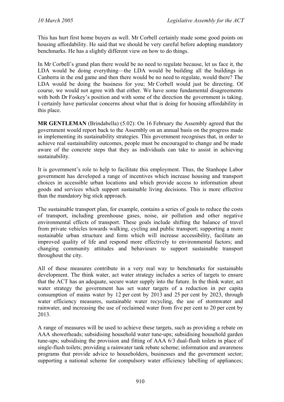This has hurt first home buyers as well. Mr Corbell certainly made some good points on housing affordability. He said that we should be very careful before adopting mandatory benchmarks. He has a slightly different view on how to do things.

In Mr Corbell's grand plan there would be no need to regulate because, let us face it, the LDA would be doing everything—the LDA would be building all the buildings in Canberra in the end game and then there would be no need to regulate, would there? The LDA would be doing the business for you; Mr Corbell would just be directing. Of course, we would not agree with that either. We have some fundamental disagreements with both Dr Foskey's position and with some of the direction the government is taking. I certainly have particular concerns about what that is doing for housing affordability in this place.

**MR GENTLEMAN** (Brindabella) (5.02): On 16 February the Assembly agreed that the government would report back to the Assembly on an annual basis on the progress made in implementing its sustainability strategies. This government recognises that, in order to achieve real sustainability outcomes, people must be encouraged to change and be made aware of the concrete steps that they as individuals can take to assist in achieving sustainability.

It is government's role to help to facilitate this employment. Thus, the Stanhope Labor government has developed a range of incentives which increase housing and transport choices in accessible urban locations and which provide access to information about goods and services which support sustainable living decisions. This is more effective than the mandatory big stick approach.

The sustainable transport plan, for example, contains a series of goals to reduce the costs of transport, including greenhouse gases, noise, air pollution and other negative environmental effects of transport. These goals include shifting the balance of travel from private vehicles towards walking, cycling and public transport; supporting a more sustainable urban structure and form which will increase accessibility, facilitate an improved quality of life and respond more effectively to environmental factors; and changing community attitudes and behaviours to support sustainable transport throughout the city.

All of these measures contribute in a very real way to benchmarks for sustainable development. The think water, act water strategy includes a series of targets to ensure that the ACT has an adequate, secure water supply into the future. In the think water, act water strategy the government has set water targets of a reduction in per capita consumption of mains water by 12 per cent by 2013 and 25 per cent by 2023, through water efficiency measures, sustainable water recycling, the use of stormwater and rainwater, and increasing the use of reclaimed water from five per cent to 20 per cent by 2013.

A range of measures will be used to achieve these targets, such as providing a rebate on AAA showerheads; subsidising household water tune-ups; subsidising household garden tune-ups; subsidising the provision and fitting of AAA 6/3 dual-flush toilets in place of single-flush toilets; providing a rainwater tank rebate scheme; information and awareness programs that provide advice to householders, businesses and the government sector; supporting a national scheme for compulsory water efficiency labelling of appliances;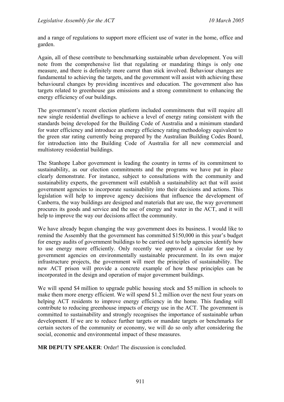and a range of regulations to support more efficient use of water in the home, office and garden.

Again, all of these contribute to benchmarking sustainable urban development. You will note from the comprehensive list that regulating or mandating things is only one measure, and there is definitely more carrot than stick involved. Behaviour changes are fundamental to achieving the targets, and the government will assist with achieving these behavioural changes by providing incentives and education. The government also has targets related to greenhouse gas emissions and a strong commitment to enhancing the energy efficiency of our buildings.

The government's recent election platform included commitments that will require all new single residential dwellings to achieve a level of energy rating consistent with the standards being developed for the Building Code of Australia and a minimum standard for water efficiency and introduce an energy efficiency rating methodology equivalent to the green star rating currently being prepared by the Australian Building Codes Board, for introduction into the Building Code of Australia for all new commercial and multistorey residential buildings.

The Stanhope Labor government is leading the country in terms of its commitment to sustainability, as our election commitments and the programs we have put in place clearly demonstrate. For instance, subject to consultations with the community and sustainability experts, the government will establish a sustainability act that will assist government agencies to incorporate sustainability into their decisions and actions. This legislation will help to improve agency decisions that influence the development of Canberra, the way buildings are designed and materials that are use, the way government procures its goods and service and the use of energy and water in the ACT, and it will help to improve the way our decisions affect the community.

We have already begun changing the way government does its business. I would like to remind the Assembly that the government has committed \$150,000 in this year's budget for energy audits of government buildings to be carried out to help agencies identify how to use energy more efficiently. Only recently we approved a circular for use by government agencies on environmentally sustainable procurement. In its own major infrastructure projects, the government will meet the principles of sustainability. The new ACT prison will provide a concrete example of how these principles can be incorporated in the design and operation of major government buildings.

We will spend \$4 million to upgrade public housing stock and \$5 million in schools to make them more energy efficient. We will spend \$1.2 million over the next four years on helping ACT residents to improve energy efficiency in the home. This funding will contribute to reducing greenhouse impacts of energy use in the ACT. The government is committed to sustainability and strongly recognises the importance of sustainable urban development. If we are to reduce further targets or mandate targets or benchmarks for certain sectors of the community or economy, we will do so only after considering the social, economic and environmental impact of these measures.

**MR DEPUTY SPEAKER**: Order! The discussion is concluded.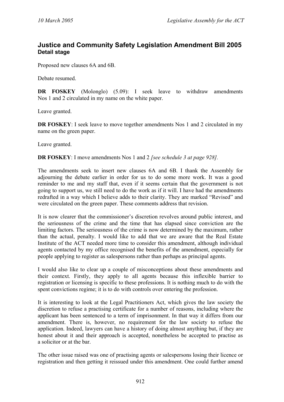# **Justice and Community Safety Legislation Amendment Bill 2005 Detail stage**

Proposed new clauses 6A and 6B.

Debate resumed.

**DR FOSKEY** (Molonglo) (5.09): I seek leave to withdraw amendments Nos 1 and 2 circulated in my name on the white paper.

Leave granted.

**DR FOSKEY**: I seek leave to move together amendments Nos 1 and 2 circulated in my name on the green paper.

Leave granted.

**DR FOSKEY**: I move amendments Nos 1 and 2 *[see schedule 3 at page 928].* 

The amendments seek to insert new clauses 6A and 6B. I thank the Assembly for adjourning the debate earlier in order for us to do some more work. It was a good reminder to me and my staff that, even if it seems certain that the government is not going to support us, we still need to do the work as if it will. I have had the amendments redrafted in a way which I believe adds to their clarity. They are marked "Revised" and were circulated on the green paper. These comments address that revision.

It is now clearer that the commissioner's discretion revolves around public interest, and the seriousness of the crime and the time that has elapsed since conviction are the limiting factors. The seriousness of the crime is now determined by the maximum, rather than the actual, penalty. I would like to add that we are aware that the Real Estate Institute of the ACT needed more time to consider this amendment, although individual agents contacted by my office recognised the benefits of the amendment, especially for people applying to register as salespersons rather than perhaps as principal agents.

I would also like to clear up a couple of misconceptions about these amendments and their context. Firstly, they apply to all agents because this inflexible barrier to registration or licensing is specific to these professions. It is nothing much to do with the spent convictions regime; it is to do with controls over entering the profession.

It is interesting to look at the Legal Practitioners Act, which gives the law society the discretion to refuse a practising certificate for a number of reasons, including where the applicant has been sentenced to a term of imprisonment. In that way it differs from our amendment. There is, however, no requirement for the law society to refuse the application. Indeed, lawyers can have a history of doing almost anything but, if they are honest about it and their approach is accepted, nonetheless be accepted to practise as a solicitor or at the bar.

The other issue raised was one of practising agents or salespersons losing their licence or registration and then getting it reissued under this amendment. One could further amend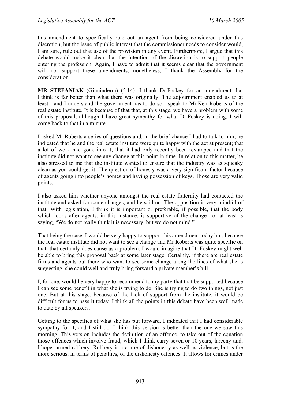this amendment to specifically rule out an agent from being considered under this discretion, but the issue of public interest that the commissioner needs to consider would, I am sure, rule out that use of the provision in any event. Furthermore, I argue that this debate would make it clear that the intention of the discretion is to support people entering the profession. Again, I have to admit that it seems clear that the government will not support these amendments; nonetheless, I thank the Assembly for the consideration.

**MR STEFANIAK** (Ginninderra) (5.14): I thank Dr Foskey for an amendment that I think is far better than what there was originally. The adjournment enabled us to at least—and I understand the government has to do so—speak to Mr Ken Roberts of the real estate institute. It is because of that that, at this stage, we have a problem with some of this proposal, although I have great sympathy for what Dr Foskey is doing. I will come back to that in a minute.

I asked Mr Roberts a series of questions and, in the brief chance I had to talk to him, he indicated that he and the real estate institute were quite happy with the act at present; that a lot of work had gone into it; that it had only recently been revamped and that the institute did not want to see any change at this point in time. In relation to this matter, he also stressed to me that the institute wanted to ensure that the industry was as squeaky clean as you could get it. The question of honesty was a very significant factor because of agents going into people's homes and having possession of keys. Those are very valid points.

I also asked him whether anyone amongst the real estate fraternity had contacted the institute and asked for some changes, and he said no. The opposition is very mindful of that. With legislation, I think it is important or preferable, if possible, that the body which looks after agents, in this instance, is supportive of the change—or at least is saying, "We do not really think it is necessary, but we do not mind."

That being the case, I would be very happy to support this amendment today but, because the real estate institute did not want to see a change and Mr Roberts was quite specific on that, that certainly does cause us a problem. I would imagine that Dr Foskey might well be able to bring this proposal back at some later stage. Certainly, if there are real estate firms and agents out there who want to see some change along the lines of what she is suggesting, she could well and truly bring forward a private member's bill.

I, for one, would be very happy to recommend to my party that that be supported because I can see some benefit in what she is trying to do. She is trying to do two things, not just one. But at this stage, because of the lack of support from the institute, it would be difficult for us to pass it today. I think all the points in this debate have been well made to date by all speakers.

Getting to the specifics of what she has put forward, I indicated that I had considerable sympathy for it, and I still do. I think this version is better than the one we saw this morning. This version includes the definition of an offence, to take out of the equation those offences which involve fraud, which I think carry seven or 10 years, larceny and, I hope, armed robbery. Robbery is a crime of dishonesty as well as violence, but is the more serious, in terms of penalties, of the dishonesty offences. It allows for crimes under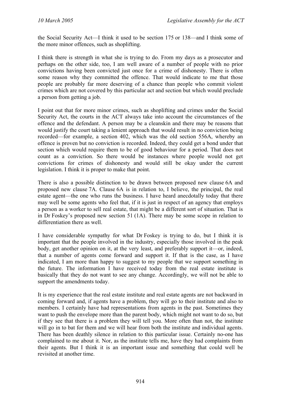the Social Security Act—I think it used to be section 175 or 138—and I think some of the more minor offences, such as shoplifting.

I think there is strength in what she is trying to do. From my days as a prosecutor and perhaps on the other side, too, I am well aware of a number of people with no prior convictions having been convicted just once for a crime of dishonesty. There is often some reason why they committed the offence. That would indicate to me that those people are probably far more deserving of a chance than people who commit violent crimes which are not covered by this particular act and section but which would preclude a person from getting a job.

I point out that for more minor crimes, such as shoplifting and crimes under the Social Security Act, the courts in the ACT always take into account the circumstances of the offence and the defendant. A person may be a cleanskin and there may be reasons that would justify the court taking a lenient approach that would result in no conviction being recorded—for example, a section 402, which was the old section 556A, whereby an offence is proven but no conviction is recorded. Indeed, they could get a bond under that section which would require them to be of good behaviour for a period. That does not count as a conviction. So there would be instances where people would not get convictions for crimes of dishonesty and would still be okay under the current legislation. I think it is proper to make that point.

There is also a possible distinction to be drawn between proposed new clause 6A and proposed new clause 7A. Clause 6A is in relation to, I believe, the principal, the real estate agent—the one who runs the business. I have heard anecdotally today that there may well be some agents who feel that, if it is just in respect of an agency that employs a person as a worker to sell real estate, that might be a different sort of situation. That is in Dr Foskey's proposed new section 51 (1A). There may be some scope in relation to differentiation there as well.

I have considerable sympathy for what Dr Foskey is trying to do, but I think it is important that the people involved in the industry, especially those involved in the peak body, get another opinion on it, at the very least, and preferably support it—or, indeed, that a number of agents come forward and support it. If that is the case, as I have indicated, I am more than happy to suggest to my people that we support something in the future. The information I have received today from the real estate institute is basically that they do not want to see any change. Accordingly, we will not be able to support the amendments today.

It is my experience that the real estate institute and real estate agents are not backward in coming forward and, if agents have a problem, they will go to their institute and also to members. I certainly have had representations from agents in the past. Sometimes they want to push the envelope more than the parent body, which might not want to do so, but if they see that there is a problem they will tell you. More often than not, the institute will go in to bat for them and we will hear from both the institute and individual agents. There has been deathly silence in relation to this particular issue. Certainly no-one has complained to me about it. Nor, as the institute tells me, have they had complaints from their agents. But I think it is an important issue and something that could well be revisited at another time.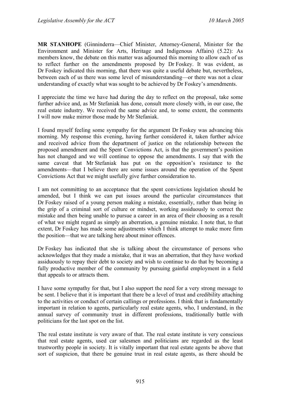**MR STANHOPE** (Ginninderra—Chief Minister, Attorney-General, Minister for the Environment and Minister for Arts, Heritage and Indigenous Affairs) (5.22): As members know, the debate on this matter was adjourned this morning to allow each of us to reflect further on the amendments proposed by Dr Foskey. It was evident, as Dr Foskey indicated this morning, that there was quite a useful debate but, nevertheless, between each of us there was some level of misunderstanding—or there was not a clear understanding of exactly what was sought to be achieved by Dr Foskey's amendments.

I appreciate the time we have had during the day to reflect on the proposal, take some further advice and, as Mr Stefaniak has done, consult more closely with, in our case, the real estate industry. We received the same advice and, to some extent, the comments I will now make mirror those made by Mr Stefaniak.

I found myself feeling some sympathy for the argument Dr Foskey was advancing this morning. My response this evening, having further considered it, taken further advice and received advice from the department of justice on the relationship between the proposed amendment and the Spent Convictions Act, is that the government's position has not changed and we will continue to oppose the amendments. I say that with the same caveat that Mr Stefaniak has put on the opposition's resistance to the amendments—that I believe there are some issues around the operation of the Spent Convictions Act that we might usefully give further consideration to.

I am not committing to an acceptance that the spent convictions legislation should be amended, but I think we can put issues around the particular circumstances that Dr Foskey raised of a young person making a mistake, essentially, rather than being in the grip of a criminal sort of culture or mindset, working assiduously to correct the mistake and then being unable to pursue a career in an area of their choosing as a result of what we might regard as simply an aberration, a genuine mistake. I note that, to that extent, Dr Foskey has made some adjustments which I think attempt to make more firm the position—that we are talking here about minor offences.

Dr Foskey has indicated that she is talking about the circumstance of persons who acknowledges that they made a mistake, that it was an aberration, that they have worked assiduously to repay their debt to society and wish to continue to do that by becoming a fully productive member of the community by pursuing gainful employment in a field that appeals to or attracts them.

I have some sympathy for that, but I also support the need for a very strong message to be sent. I believe that it is important that there be a level of trust and credibility attaching to the activities or conduct of certain callings or professions. I think that is fundamentally important in relation to agents, particularly real estate agents, who, I understand, in the annual survey of community trust in different professions, traditionally battle with politicians for the last spot on the list.

The real estate institute is very aware of that. The real estate institute is very conscious that real estate agents, used car salesmen and politicians are regarded as the least trustworthy people in society. It is vitally important that real estate agents be above that sort of suspicion, that there be genuine trust in real estate agents, as there should be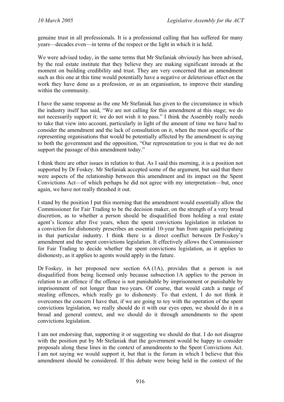genuine trust in all professionals. It is a professional calling that has suffered for many years—decades even—in terms of the respect or the light in which it is held.

We were advised today, in the same terms that Mr Stefaniak obviously has been advised, by the real estate institute that they believe they are making significant inroads at the moment on building credibility and trust. They are very concerned that an amendment such as this one at this time would potentially have a negative or deleterious effect on the work they have done as a profession, or as an organisation, to improve their standing within the community.

I have the same response as the one Mr Stefaniak has given to the circumstance in which the industry itself has said, "We are not calling for this amendment at this stage; we do not necessarily support it; we do not wish it to pass." I think the Assembly really needs to take that view into account, particularly in light of the amount of time we have had to consider the amendment and the lack of consultation on it, when the most specific of the representing organisations that would be potentially affected by the amendment is saying to both the government and the opposition, "Our representation to you is that we do not support the passage of this amendment today."

I think there are other issues in relation to that. As I said this morning, it is a position not supported by Dr Foskey. Mr Stefaniak accepted some of the argument, but said that there were aspects of the relationship between this amendment and its impact on the Spent Convictions Act—of which perhaps he did not agree with my interpretation—but, once again, we have not really thrashed it out.

I stand by the position I put this morning that the amendment would essentially allow the Commissioner for Fair Trading to be the decision maker, on the strength of a very broad discretion, as to whether a person should be disqualified from holding a real estate agent's licence after five years, when the spent convictions legislation in relation to a conviction for dishonesty prescribes an essential 10-year ban from again participating in that particular industry. I think there is a direct conflict between Dr Foskey's amendment and the spent convictions legislation. It effectively allows the Commissioner for Fair Trading to decide whether the spent convictions legislation, as it applies to dishonesty, as it applies to agents would apply in the future.

Dr Foskey, in her proposed new section 6A (1A), provides that a person is not disqualified from being licensed only because subsection 1A applies to the person in relation to an offence if the offence is not punishable by imprisonment or punishable by imprisonment of not longer than two years. Of course, that would catch a range of stealing offences, which really go to dishonesty. To that extent, I do not think it overcomes the concern I have that, if we are going to toy with the operation of the spent convictions legislation, we really should do it with our eyes open, we should do it in a broad and general context, and we should do it through amendments to the spent convictions legislation.

I am not endorsing that, supporting it or suggesting we should do that. I do not disagree with the position put by Mr Stefaniak that the government would be happy to consider proposals along these lines in the context of amendments to the Spent Convictions Act. I am not saying we would support it, but that is the forum in which I believe that this amendment should be considered. If this debate were being held in the context of the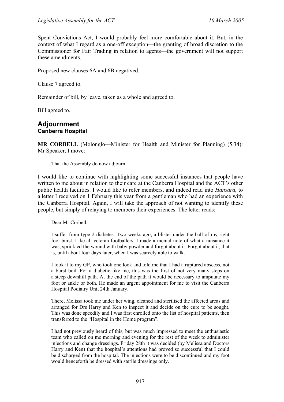Spent Convictions Act, I would probably feel more comfortable about it. But, in the context of what I regard as a one-off exception—the granting of broad discretion to the Commissioner for Fair Trading in relation to agents—the government will not support these amendments.

Proposed new clauses 6A and 6B negatived.

Clause 7 agreed to.

Remainder of bill, by leave, taken as a whole and agreed to.

Bill agreed to.

#### **Adjournment Canberra Hospital**

**MR CORBELL** (Molonglo—Minister for Health and Minister for Planning) (5.34): Mr Speaker, I move:

That the Assembly do now adjourn.

I would like to continue with highlighting some successful instances that people have written to me about in relation to their care at the Canberra Hospital and the ACT's other public health facilities. I would like to refer members, and indeed read into *Hansard*, to a letter I received on 1 February this year from a gentleman who had an experience with the Canberra Hospital. Again, I will take the approach of not wanting to identify these people, but simply of relaying to members their experiences. The letter reads:

Dear Mr Corbell,

I suffer from type 2 diabetes. Two weeks ago, a blister under the ball of my right foot burst. Like all veteran footballers, I made a mental note of what a nuisance it was, sprinkled the wound with baby powder and forgot about it. Forgot about it, that is, until about four days later, when I was scarcely able to walk.

I took it to my GP, who took one look and told me that I had a ruptured abscess, not a burst boil. For a diabetic like me, this was the first of not very many steps on a steep downhill path. At the end of the path it would be necessary to amputate my foot or ankle or both. He made an urgent appointment for me to visit the Canberra Hospital Podiatry Unit 24th January.

There, Melissa took me under her wing, cleaned and sterilised the affected areas and arranged for Drs Harry and Ken to inspect it and decide on the cure to be sought. This was done speedily and I was first enrolled onto the list of hospital patients, then transferred to the "Hospital in the Home program".

I had not previously heard of this, but was much impressed to meet the enthusiastic team who called on me morning and evening for the rest of the week to administer injections and change dressings. Friday 28th it was decided (by Melissa and Doctors Harry and Ken) that the hospital's attentions had proved so successful that I could be discharged from the hospital. The injections were to be discontinued and my foot would henceforth be dressed with sterile dressings only.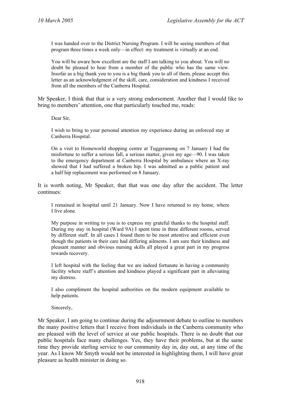I was handed over to the District Nursing Program. I will be seeing members of that program three times a week only—in effect: my treatment is virtually at an end.

You will be aware how excellent are the staff I am talking to you about. You will no doubt be pleased to hear from a member of the public who has the same view. Insofar as a big thank you to you is a big thank you to all of them, please accept this letter as an acknowledgment of the skill, care, consideration and kindness I received from all the members of the Canberra Hospital.

Mr Speaker, I think that that is a very strong endorsement. Another that I would like to bring to members' attention, one that particularly touched me, reads:

Dear Sir,

I wish to bring to your personal attention my experience during an enforced stay at Canberra Hospital.

On a visit to Homeworld shopping centre at Tuggeranong on 7 January I had the misfortune to suffer a serious fall, a serious matter, given my age—90. I was taken to the emergency department at Canberra Hospital by ambulance where an X-ray showed that I had suffered a broken hip. I was admitted as a public patient and a half hip replacement was performed on 8 January.

It is worth noting, Mr Speaker, that that was one day after the accident. The letter continues:

I remained in hospital until 21 January. Now I have returned to my home, where I live alone.

My purpose in writing to you is to express my grateful thanks to the hospital staff. During my stay in hospital (Ward 9A) I spent time in three different rooms, served by different staff. In all cases I found them to be most attentive and efficient even though the patients in their care had differing ailments. I am sure their kindness and pleasant manner and obvious nursing skills all played a great part in my progress towards recovery.

I left hospital with the feeling that we are indeed fortunate in having a community facility where staff's attention and kindness played a significant part in alleviating my distress.

I also compliment the hospital authorities on the modern equipment available to help patients.

Sincerely,

Mr Speaker, I am going to continue during the adjournment debate to outline to members the many positive letters that I receive from individuals in the Canberra community who are pleased with the level of service at our public hospitals. There is no doubt that our public hospitals face many challenges. Yes, they have their problems, but at the same time they provide sterling service to our community day in, day out, at any time of the year. As I know Mr Smyth would not be interested in highlighting them, I will have great pleasure as health minister in doing so.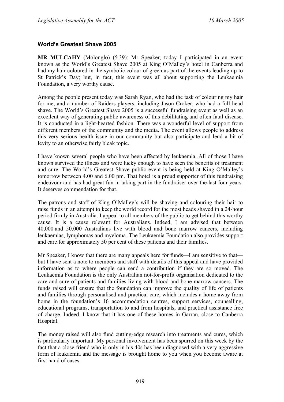## **World's Greatest Shave 2005**

**MR MULCAHY** (Molonglo) (5.39): Mr Speaker, today I participated in an event known as the World's Greatest Shave 2005 at King O'Malley's hotel in Canberra and had my hair coloured in the symbolic colour of green as part of the events leading up to St Patrick's Day; but, in fact, this event was all about supporting the Leukaemia Foundation, a very worthy cause.

Among the people present today was Sarah Ryan, who had the task of colouring my hair for me, and a number of Raiders players, including Jason Croker, who had a full head shave. The World's Greatest Shave 2005 is a successful fundraising event as well as an excellent way of generating public awareness of this debilitating and often fatal disease. It is conducted in a light-hearted fashion. There was a wonderful level of support from different members of the community and the media. The event allows people to address this very serious health issue in our community but also participate and lend a bit of levity to an otherwise fairly bleak topic.

I have known several people who have been affected by leukaemia. All of those I have known survived the illness and were lucky enough to have seen the benefits of treatment and cure. The World's Greatest Shave public event is being held at King O'Malley's tomorrow between 4.00 and 6.00 pm. That hotel is a proud supporter of this fundraising endeavour and has had great fun in taking part in the fundraiser over the last four years. It deserves commendation for that.

The patrons and staff of King O'Malley's will be shaving and colouring their hair to raise funds in an attempt to keep the world record for the most heads shaved in a 24-hour period firmly in Australia. I appeal to all members of the public to get behind this worthy cause. It is a cause relevant for Australians. Indeed, I am advised that between 40,000 and 50,000 Australians live with blood and bone marrow cancers, including leukaemias, lymphomas and myeloma. The Leukaemia Foundation also provides support and care for approximately 50 per cent of these patients and their families.

Mr Speaker, I know that there are many appeals here for funds—I am sensitive to that but I have sent a note to members and staff with details of this appeal and have provided information as to where people can send a contribution if they are so moved. The Leukaemia Foundation is the only Australian not-for-profit organisation dedicated to the care and cure of patients and families living with blood and bone marrow cancers. The funds raised will ensure that the foundation can improve the quality of life of patients and families through personalised and practical care, which includes a home away from home in the foundation's 16 accommodation centres, support services, counselling, educational programs, transportation to and from hospitals, and practical assistance free of charge. Indeed, I know that it has one of these homes in Garran, close to Canberra Hospital.

The money raised will also fund cutting-edge research into treatments and cures, which is particularly important. My personal involvement has been spurred on this week by the fact that a close friend who is only in his 40s has been diagnosed with a very aggressive form of leukaemia and the message is brought home to you when you become aware at first hand of cases.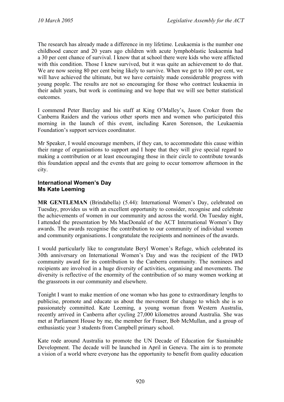The research has already made a difference in my lifetime. Leukaemia is the number one childhood cancer and 20 years ago children with acute lymphoblastic leukaemia had a 30 per cent chance of survival. I know that at school there were kids who were afflicted with this condition. Those I knew survived, but it was quite an achievement to do that. We are now seeing 80 per cent being likely to survive. When we get to 100 per cent, we will have achieved the ultimate, but we have certainly made considerable progress with young people. The results are not so encouraging for those who contract leukaemia in their adult years, but work is continuing and we hope that we will see better statistical outcomes.

I commend Peter Barclay and his staff at King O'Malley's, Jason Croker from the Canberra Raiders and the various other sports men and women who participated this morning in the launch of this event, including Karen Sorenson, the Leukaemia Foundation's support services coordinator.

Mr Speaker, I would encourage members, if they can, to accommodate this cause within their range of organisations to support and I hope that they will give special regard to making a contribution or at least encouraging those in their circle to contribute towards this foundation appeal and the events that are going to occur tomorrow afternoon in the city.

## **International Women's Day Ms Kate Leeming**

**MR GENTLEMAN** (Brindabella) (5.44): International Women's Day, celebrated on Tuesday, provides us with an excellent opportunity to consider, recognise and celebrate the achievements of women in our community and across the world. On Tuesday night, I attended the presentation by Ms MacDonald of the ACT International Women's Day awards. The awards recognise the contribution to our community of individual women and community organisations. I congratulate the recipients and nominees of the awards.

I would particularly like to congratulate Beryl Women's Refuge, which celebrated its 30th anniversary on International Women's Day and was the recipient of the IWD community award for its contribution to the Canberra community. The nominees and recipients are involved in a huge diversity of activities, organising and movements. The diversity is reflective of the enormity of the contribution of so many women working at the grassroots in our community and elsewhere.

Tonight I want to make mention of one woman who has gone to extraordinary lengths to publicise, promote and educate us about the movement for change to which she is so passionately committed. Kate Leeming, a young woman from Western Australia, recently arrived in Canberra after cycling 27,000 kilometres around Australia. She was met at Parliament House by me, the member for Fraser, Bob McMullan, and a group of enthusiastic year 3 students from Campbell primary school.

Kate rode around Australia to promote the UN Decade of Education for Sustainable Development. The decade will be launched in April in Geneva. The aim is to promote a vision of a world where everyone has the opportunity to benefit from quality education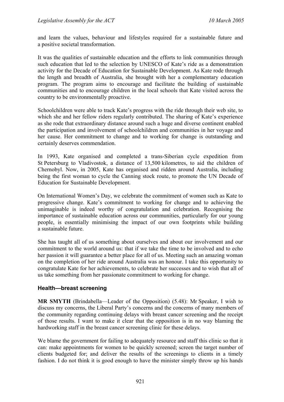and learn the values, behaviour and lifestyles required for a sustainable future and a positive societal transformation.

It was the qualities of sustainable education and the efforts to link communities through such education that led to the selection by UNESCO of Kate's ride as a demonstration activity for the Decade of Education for Sustainable Development. As Kate rode through the length and breadth of Australia, she brought with her a complementary education program. The program aims to encourage and facilitate the building of sustainable communities and to encourage children in the local schools that Kate visited across the country to be environmentally proactive.

Schoolchildren were able to track Kate's progress with the ride through their web site, to which she and her fellow riders regularly contributed. The sharing of Kate's experience as she rode that extraordinary distance around such a huge and diverse continent enabled the participation and involvement of schoolchildren and communities in her voyage and her cause. Her commitment to change and to working for change is outstanding and certainly deserves commendation.

In 1993, Kate organised and completed a trans-Siberian cycle expedition from St Petersburg to Vladivostok, a distance of 13,500 kilometres, to aid the children of Chernobyl. Now, in 2005, Kate has organised and ridden around Australia, including being the first woman to cycle the Canning stock route, to promote the UN Decade of Education for Sustainable Development.

On International Women's Day, we celebrate the commitment of women such as Kate to progressive change. Kate's commitment to working for change and to achieving the unimaginable is indeed worthy of congratulation and celebration. Recognising the importance of sustainable education across our communities, particularly for our young people, is essentially minimising the impact of our own footprints while building a sustainable future.

She has taught all of us something about ourselves and about our involvement and our commitment to the world around us: that if we take the time to be involved and to echo her passion it will guarantee a better place for all of us. Meeting such an amazing woman on the completion of her ride around Australia was an honour. I take this opportunity to congratulate Kate for her achievements, to celebrate her successes and to wish that all of us take something from her passionate commitment to working for change.

### **Health—breast screening**

**MR SMYTH** (Brindabella—Leader of the Opposition) (5.48): Mr Speaker, I wish to discuss my concerns, the Liberal Party's concerns and the concerns of many members of the community regarding continuing delays with breast cancer screening and the receipt of those results. I want to make it clear that the opposition is in no way blaming the hardworking staff in the breast cancer screening clinic for these delays.

We blame the government for failing to adequately resource and staff this clinic so that it can: make appointments for women to be quickly screened; screen the target number of clients budgeted for; and deliver the results of the screenings to clients in a timely fashion. I do not think it is good enough to have the minister simply throw up his hands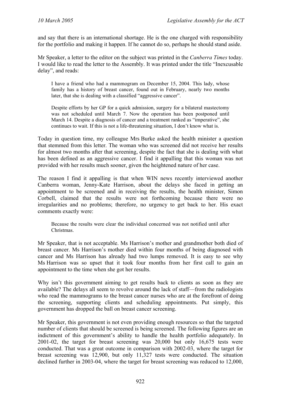and say that there is an international shortage. He is the one charged with responsibility for the portfolio and making it happen. If he cannot do so, perhaps he should stand aside.

Mr Speaker, a letter to the editor on the subject was printed in the *Canberra Times* today. I would like to read the letter to the Assembly. It was printed under the title "Inexcusable delay", and reads:

I have a friend who had a mammogram on December 15, 2004. This lady, whose family has a history of breast cancer, found out in February, nearly two months later, that she is dealing with a classified "aggressive cancer".

Despite efforts by her GP for a quick admission, surgery for a bilateral mastectomy was not scheduled until March 7. Now the operation has been postponed until March 14. Despite a diagnosis of cancer and a treatment ranked as "imperative", she continues to wait. If this is not a life-threatening situation, I don't know what is.

Today in question time, my colleague Mrs Burke asked the health minister a question that stemmed from this letter. The woman who was screened did not receive her results for almost two months after that screening, despite the fact that she is dealing with what has been defined as an aggressive cancer. I find it appalling that this woman was not provided with her results much sooner, given the heightened nature of her case.

The reason I find it appalling is that when WIN news recently interviewed another Canberra woman, Jenny-Kate Harrison, about the delays she faced in getting an appointment to be screened and in receiving the results, the health minister, Simon Corbell, claimed that the results were not forthcoming because there were no irregularities and no problems; therefore, no urgency to get back to her. His exact comments exactly were:

Because the results were clear the individual concerned was not notified until after Christmas.

Mr Speaker, that is not acceptable. Ms Harrison's mother and grandmother both died of breast cancer. Ms Harrison's mother died within four months of being diagnosed with cancer and Ms Harrison has already had two lumps removed. It is easy to see why Ms Harrison was so upset that it took four months from her first call to gain an appointment to the time when she got her results.

Why isn't this government aiming to get results back to clients as soon as they are available? The delays all seem to revolve around the lack of staff—from the radiologists who read the mammograms to the breast cancer nurses who are at the forefront of doing the screening, supporting clients and scheduling appointments. Put simply, this government has dropped the ball on breast cancer screening.

Mr Speaker, this government is not even providing enough resources so that the targeted number of clients that should be screened is being screened. The following figures are an indictment of this government's ability to handle the health portfolio adequately. In 2001-02, the target for breast screening was 20,000 but only 16,675 tests were conducted. That was a great outcome in comparison with 2002-03, where the target for breast screening was 12,900, but only 11,327 tests were conducted. The situation declined further in 2003-04, where the target for breast screening was reduced to 12,000,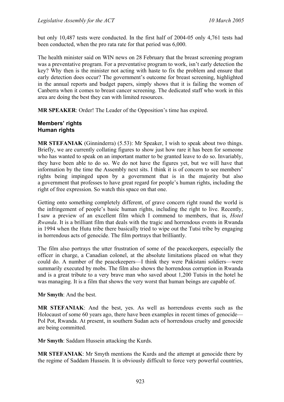but only 10,487 tests were conducted. In the first half of 2004-05 only 4,761 tests had been conducted, when the pro rata rate for that period was 6,000.

The health minister said on WIN news on 28 February that the breast screening program was a preventative program. For a preventative program to work, isn't early detection the key? Why then is the minister not acting with haste to fix the problem and ensure that early detection does occur? The government's outcome for breast screening, highlighted in the annual reports and budget papers, simply shows that it is failing the women of Canberra when it comes to breast cancer screening. The dedicated staff who work in this area are doing the best they can with limited resources.

**MR SPEAKER**: Order! The Leader of the Opposition's time has expired.

#### **Members' rights Human rights**

**MR STEFANIAK** (Ginninderra) (5.53): Mr Speaker, I wish to speak about two things. Briefly, we are currently collating figures to show just how rare it has been for someone who has wanted to speak on an important matter to be granted leave to do so. Invariably, they have been able to do so. We do not have the figures yet, but we will have that information by the time the Assembly next sits. I think it is of concern to see members' rights being impinged upon by a government that is in the majority but also a government that professes to have great regard for people's human rights, including the right of free expression. So watch this space on that one.

Getting onto something completely different, of grave concern right round the world is the infringement of people's basic human rights, including the right to live. Recently, I saw a preview of an excellent film which I commend to members, that is, *Hotel Rwanda*. It is a brilliant film that deals with the tragic and horrendous events in Rwanda in 1994 when the Hutu tribe there basically tried to wipe out the Tutsi tribe by engaging in horrendous acts of genocide. The film portrays that brilliantly.

The film also portrays the utter frustration of some of the peacekeepers, especially the officer in charge, a Canadian colonel, at the absolute limitations placed on what they could do. A number of the peacekeepers—I think they were Pakistani soldiers—were summarily executed by mobs. The film also shows the horrendous corruption in Rwanda and is a great tribute to a very brave man who saved about 1,200 Tutsis in the hotel he was managing. It is a film that shows the very worst that human beings are capable of.

**Mr Smyth**: And the best.

**MR STEFANIAK**: And the best, yes. As well as horrendous events such as the Holocaust of some 60 years ago, there have been examples in recent times of genocide— Pol Pot, Rwanda. At present, in southern Sudan acts of horrendous cruelty and genocide are being committed.

**Mr Smyth**: Saddam Hussein attacking the Kurds.

**MR STEFANIAK**: Mr Smyth mentions the Kurds and the attempt at genocide there by the regime of Saddam Hussein. It is obviously difficult to force very powerful countries,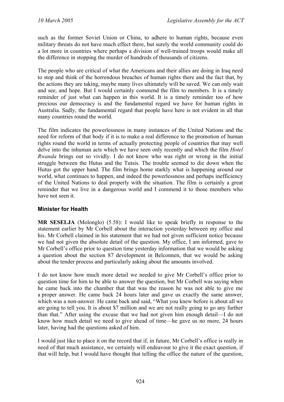such as the former Soviet Union or China, to adhere to human rights, because even military threats do not have much effect there, but surely the world community could do a lot more in countries where perhaps a division of well-trained troops would make all the difference in stopping the murder of hundreds of thousands of citizens.

The people who are critical of what the Americans and their allies are doing in Iraq need to stop and think of the horrendous breaches of human rights there and the fact that, by the actions they are taking, maybe many lives ultimately will be saved. We can only wait and see, and hope. But I would certainly commend the film to members. It is a timely reminder of just what can happen in this world. It is a timely reminder too of how precious our democracy is and the fundamental regard we have for human rights in Australia. Sadly, the fundamental regard that people have here is not evident in all that many countries round the world.

The film indicates the powerlessness in many instances of the United Nations and the need for reform of that body if it is to make a real difference to the promotion of human rights round the world in terms of actually protecting people of countries that may well delve into the inhuman acts which we have seen only recently and which the film *Hotel Rwanda* brings out so vividly. I do not know who was right or wrong in the initial struggle between the Hutus and the Tutsis. The trouble seemed to die down when the Hutus got the upper hand. The film brings home starkly what is happening around our world, what continues to happen, and indeed the powerlessness and perhaps inefficiency of the United Nations to deal properly with the situation. The film is certainly a great reminder that we live in a dangerous world and I commend it to those members who have not seen it.

## **Minister for Health**

**MR SESELJA** (Molonglo) (5.58): I would like to speak briefly in response to the statement earlier by Mr Corbell about the interaction yesterday between my office and his. Mr Corbell claimed in his statement that we had not given sufficient notice because we had not given the absolute detail of the question. My office, I am informed, gave to Mr Corbell's office prior to question time yesterday information that we would be asking a question about the section 87 development in Belconnen, that we would be asking about the tender process and particularly asking about the amounts involved.

I do not know how much more detail we needed to give Mr Corbell's office prior to question time for him to be able to answer the question, but Mr Corbell was saying when he came back into the chamber that that was the reason he was not able to give me a proper answer. He came back 24 hours later and gave us exactly the same answer, which was a non-answer. He came back and said, "What you knew before is about all we are going to tell you. It is about \$7 million and we are not really going to go any further than that." After using the excuse that we had not given him enough detail—I do not know how much detail we need to give ahead of time—he gave us no more, 24 hours later, having had the questions asked of him.

I would just like to place it on the record that if, in future, Mr Corbell's office is really in need of that much assistance, we certainly will endeavour to give it the exact question, if that will help, but I would have thought that telling the office the nature of the question,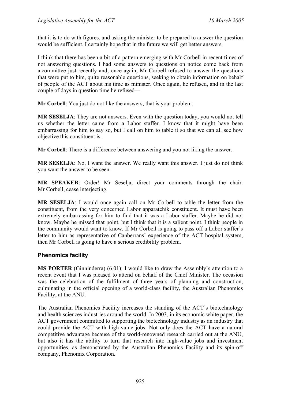that it is to do with figures, and asking the minister to be prepared to answer the question would be sufficient. I certainly hope that in the future we will get better answers.

I think that there has been a bit of a pattern emerging with Mr Corbell in recent times of not answering questions. I had some answers to questions on notice come back from a committee just recently and, once again, Mr Corbell refused to answer the questions that were put to him, quite reasonable questions, seeking to obtain information on behalf of people of the ACT about his time as minister. Once again, he refused, and in the last couple of days in question time he refused—

**Mr Corbell**: You just do not like the answers; that is your problem.

**MR SESELJA**: They are not answers. Even with the question today, you would not tell us whether the letter came from a Labor staffer. I know that it might have been embarrassing for him to say so, but I call on him to table it so that we can all see how objective this constituent is.

**Mr Corbell**: There is a difference between answering and you not liking the answer.

**MR SESELJA**: No, I want the answer. We really want this answer. I just do not think you want the answer to be seen.

**MR SPEAKER**: Order! Mr Seselja, direct your comments through the chair. Mr Corbell, cease interjecting.

**MR SESELJA**: I would once again call on Mr Corbell to table the letter from the constituent, from the very concerned Labor apparatchik constituent. It must have been extremely embarrassing for him to find that it was a Labor staffer. Maybe he did not know. Maybe he missed that point, but I think that it is a salient point. I think people in the community would want to know. If Mr Corbell is going to pass off a Labor staffer's letter to him as representative of Canberrans' experience of the ACT hospital system, then Mr Corbell is going to have a serious credibility problem.

## **Phenomics facility**

**MS PORTER** (Ginninderra) (6.01): I would like to draw the Assembly's attention to a recent event that I was pleased to attend on behalf of the Chief Minister. The occasion was the celebration of the fulfilment of three years of planning and construction, culminating in the official opening of a world-class facility, the Australian Phenomics Facility, at the ANU.

The Australian Phenomics Facility increases the standing of the ACT's biotechnology and health sciences industries around the world. In 2003, in its economic white paper, the ACT government committed to supporting the biotechnology industry as an industry that could provide the ACT with high-value jobs. Not only does the ACT have a natural competitive advantage because of the world-renowned research carried out at the ANU, but also it has the ability to turn that research into high-value jobs and investment opportunities, as demonstrated by the Australian Phenomics Facility and its spin-off company, Phenomix Corporation.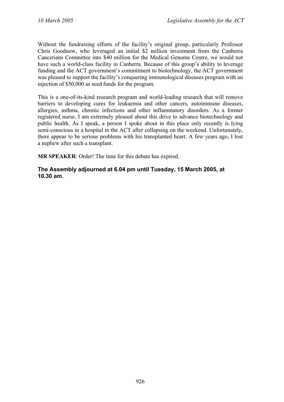Without the fundraising efforts of the facility's original group, particularly Professor Chris Goodnow, who leveraged an initial \$2 million investment from the Canberra Cancerians Committee into \$40 million for the Medical Genome Centre, we would not have such a world-class facility in Canberra. Because of this group's ability to leverage funding and the ACT government's commitment to biotechnology, the ACT government was pleased to support the facility's conquering immunological diseases program with an injection of \$50,000 as seed funds for the program.

This is a one-of-its-kind research program and world-leading research that will remove barriers to developing cures for leukaemia and other cancers, autoimmune diseases, allergies, asthma, chronic infections and other inflammatory disorders. As a former registered nurse, I am extremely pleased about this drive to advance biotechnology and public health. As I speak, a person I spoke about in this place only recently is lying semi-conscious in a hospital in the ACT after collapsing on the weekend. Unfortunately, there appear to be serious problems with his transplanted heart. A few years ago, I lost a nephew after such a transplant.

**MR SPEAKER**: Order! The time for this debate has expired.

### **The Assembly adjourned at 6.04 pm until Tuesday, 15 March 2005, at 10.30 am.**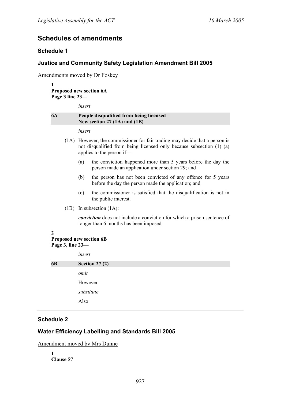# **Schedules of amendments**

### **Schedule 1**

### **Justice and Community Safety Legislation Amendment Bill 2005**

Amendments moved by Dr Foskey

**1 Proposed new section 6A Page 3 line 23—** 

*insert* 

#### **6A People disqualified from being licensed New section 27 (1A) and (1B)**

*insert* 

- (1A) However, the commissioner for fair trading may decide that a person is not disqualified from being licensed only because subsection (1) (a) applies to the person if—
	- (a) the conviction happened more than 5 years before the day the person made an application under section 29; and
	- (b) the person has not been convicted of any offence for 5 years before the day the person made the application; and
	- (c) the commissioner is satisfied that the disqualification is not in the public interest.
- (1B) In subsection (1A):

*conviction* does not include a conviction for which a prison sentence of longer than 6 months has been imposed.

#### **2**

#### **Proposed new section 6B Page 3, line 23—**

|            | insert          |
|------------|-----------------|
| 6 <b>B</b> | Section $27(2)$ |
|            | omit            |
|            | However         |
|            | substitute      |
|            | Also            |
|            |                 |

### **Schedule 2**

## **Water Efficiency Labelling and Standards Bill 2005**

Amendment moved by Mrs Dunne

**1 Clause 57**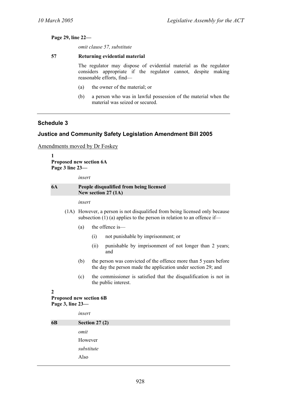**Page 29, line 22—** 

*omit clause 57, substitute* 

#### **57 Returning evidential material**

The regulator may dispose of evidential material as the regulator considers appropriate if the regulator cannot, despite making reasonable efforts, find—

- (a) the owner of the material; or
- (b) a person who was in lawful possession of the material when the material was seized or secured.

## **Schedule 3**

## **Justice and Community Safety Legislation Amendment Bill 2005**

Amendments moved by Dr Foskey

**1 Proposed new section 6A Page 3 line 23—** 

*insert* 

#### **6A People disqualified from being licensed New section 27 (1A)**

*insert* 

- (1A) However, a person is not disqualified from being licensed only because subsection  $(1)$  (a) applies to the person in relation to an offence if—
	- (a) the offence is—
		- (i) not punishable by imprisonment; or
		- (ii) punishable by imprisonment of not longer than 2 years; and
	- (b) the person was convicted of the offence more than 5 years before the day the person made the application under section 29; and
	- (c) the commissioner is satisfied that the disqualification is not in the public interest.

**2 Proposed new section 6B Page 3, line 23—** 

*insert* 

| <b>6B</b> | Section 27 $(2)$ |
|-----------|------------------|
|           | omit             |
|           | However          |
|           | substitute       |
|           | Also             |
|           |                  |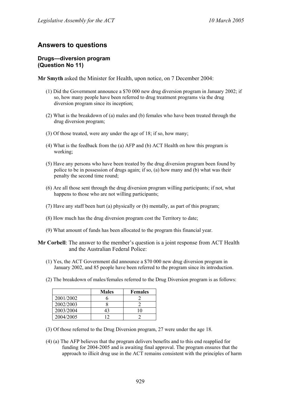# **Answers to questions**

#### **Drugs—diversion program (Question No 11)**

**Mr Smyth** asked the Minister for Health, upon notice, on 7 December 2004:

- (1) Did the Government announce a \$70 000 new drug diversion program in January 2002; if so, how many people have been referred to drug treatment programs via the drug diversion program since its inception;
- (2) What is the breakdown of (a) males and (b) females who have been treated through the drug diversion program;
- (3) Of those treated, were any under the age of 18; if so, how many;
- (4) What is the feedback from the (a) AFP and (b) ACT Health on how this program is working;
- (5) Have any persons who have been treated by the drug diversion program been found by police to be in possession of drugs again; if so, (a) how many and (b) what was their penalty the second time round;
- (6) Are all those sent through the drug diversion program willing participants; if not, what happens to those who are not willing participants;
- (7) Have any staff been hurt (a) physically or (b) mentally, as part of this program;
- (8) How much has the drug diversion program cost the Territory to date;
- (9) What amount of funds has been allocated to the program this financial year.

**Mr Corbell**: The answer to the member's question is a joint response from ACT Health and the Australian Federal Police:

- (1) Yes, the ACT Government did announce a \$70 000 new drug diversion program in January 2002, and 85 people have been referred to the program since its introduction.
- (2) The breakdown of males/females referred to the Drug Diversion program is as follows:

|           | <b>Males</b> | <b>Females</b> |
|-----------|--------------|----------------|
| 2001/2002 |              |                |
| 2002/2003 |              |                |
| 2003/2004 | 43           |                |
| 2004/2005 | ി            |                |

- (3) Of those referred to the Drug Diversion program, 27 were under the age 18.
- (4) (a) The AFP believes that the program delivers benefits and to this end reapplied for funding for 2004-2005 and is awaiting final approval. The program ensures that the approach to illicit drug use in the ACT remains consistent with the principles of harm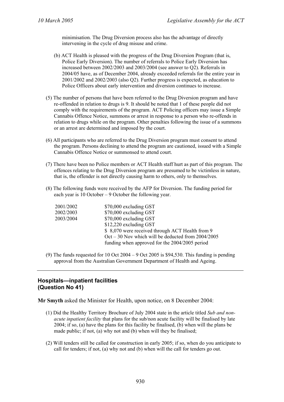minimisation. The Drug Diversion process also has the advantage of directly intervening in the cycle of drug misuse and crime.

- (b) ACT Health is pleased with the progress of the Drug Diversion Program (that is, Police Early Diversion). The number of referrals to Police Early Diversion has increased between 2002/2003 and 2003/2004 (see answer to Q2). Referrals in 2004/05 have, as of December 2004, already exceeded referrals for the entire year in 2001/2002 and 2002/2003 (also Q2). Further progress is expected, as education to Police Officers about early intervention and diversion continues to increase.
- (5) The number of persons that have been referred to the Drug Diversion program and have re-offended in relation to drugs is 9. It should be noted that 1 of these people did not comply with the requirements of the program. ACT Policing officers may issue a Simple Cannabis Offence Notice, summons or arrest in response to a person who re-offends in relation to drugs while on the program. Other penalties following the issue of a summons or an arrest are determined and imposed by the court.
- (6) All participants who are referred to the Drug Diversion program must consent to attend the program. Persons declining to attend the program are cautioned, issued with a Simple Cannabis Offence Notice or summonsed to attend court.
- (7) There have been no Police members or ACT Health staff hurt as part of this program. The offences relating to the Drug Diversion program are presumed to be victimless in nature, that is, the offender is not directly causing harm to others, only to themselves.
- (8) The following funds were received by the AFP for Diversion. The funding period for each year is 10 October – 9 October the following year.

| 2001/2002 | \$70,000 excluding GST                                 |
|-----------|--------------------------------------------------------|
| 2002/2003 | \$70,000 excluding GST                                 |
| 2003/2004 | \$70,000 excluding GST                                 |
|           | \$12,220 excluding GST                                 |
|           | \$ 8,070 were received through ACT Health from 9       |
|           | $Oct - 30$ Nov which will be deducted from $2004/2005$ |
|           | funding when approved for the 2004/2005 period         |

(9) The funds requested for  $10$  Oct  $2004 - 9$  Oct  $2005$  is \$94,530. This funding is pending approval from the Australian Government Department of Health and Ageing.

## **Hospitals—inpatient facilities (Question No 41)**

**Mr Smyth** asked the Minister for Health, upon notice, on 8 December 2004:

- (1) Did the Healthy Territory Brochure of July 2004 state in the article titled *Sub and nonacute inpatient facility* that plans for the sub/non acute facility will be finalised by late 2004; if so, (a) have the plans for this facility be finalised, (b) when will the plans be made public; if not, (a) why not and (b) when will they be finalised;
- (2) Will tenders still be called for construction in early 2005; if so, when do you anticipate to call for tenders; if not, (a) why not and (b) when will the call for tenders go out.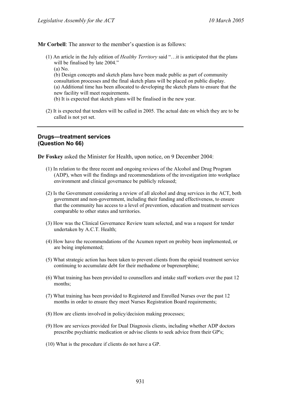**Mr Corbell**: The answer to the member's question is as follows:

- (1) An article in the July edition of *Healthy Territory* said "…it is anticipated that the plans will be finalised by late 2004."
	- (a) No.

(b) Design concepts and sketch plans have been made public as part of community consultation processes and the final sketch plans will be placed on public display. (a) Additional time has been allocated to developing the sketch plans to ensure that the new facility will meet requirements.

- (b) It is expected that sketch plans will be finalised in the new year.
- (2) It is expected that tenders will be called in 2005. The actual date on which they are to be called is not yet set.

#### **Drugs—treatment services (Question No 66)**

**Dr Foskey** asked the Minister for Health, upon notice, on 9 December 2004:

- (1) In relation to the three recent and ongoing reviews of the Alcohol and Drug Program (ADP), when will the findings and recommendations of the investigation into workplace environment and clinical governance be publicly released;
- (2) Is the Government considering a review of all alcohol and drug services in the ACT, both government and non-government, including their funding and effectiveness, to ensure that the community has access to a level of prevention, education and treatment services comparable to other states and territories.
- (3) How was the Clinical Governance Review team selected, and was a request for tender undertaken by A.C.T. Health;
- (4) How have the recommendations of the Acumen report on probity been implemented, or are being implemented;
- (5) What strategic action has been taken to prevent clients from the opioid treatment service continuing to accumulate debt for their methadone or buprenorphine;
- (6) What training has been provided to counsellors and intake staff workers over the past 12 months;
- (7) What training has been provided to Registered and Enrolled Nurses over the past 12 months in order to ensure they meet Nurses Registration Board requirements;
- (8) How are clients involved in policy/decision making processes;
- (9) How are services provided for Dual Diagnosis clients, including whether ADP doctors prescribe psychiatric medication or advise clients to seek advice from their GP's;
- (10) What is the procedure if clients do not have a GP.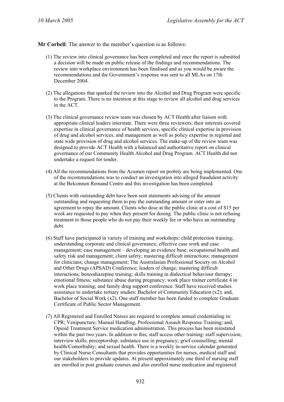**Mr Corbell**: The answer to the member's question is as follows:

- (1) The review into clinical governance has been completed and once the report is submitted a decision will be made on public release of the findings and recommendations. The review into workplace environment has been finalised and as you would be aware the recommendations and the Government's response was sent to all MLAs on 17th December 2004.
- (2) The allegations that sparked the review into the Alcohol and Drug Program were specific to the Program. There is no intention at this stage to review all alcohol and drug services in the ACT.
- (3) The clinical governance review team was chosen by ACT Health after liaison with appropriate clinical leaders interstate. There were three reviewers; their interests covered expertise in clinical governance of health services, specific clinical expertise in provision of drug and alcohol services, and management as well as policy expertise in regional and state wide provision of drug and alcohol services. The make-up of the review team was designed to provide ACT Health with a balanced and authoritative report on clinical governance of our Community Health Alcohol and Drug Program. ACT Health did not undertake a request for tender.
- (4) All the recommendations from the Acumen report on probity are being implemented. One of the recommendations was to conduct an investigation into alleged fraudulent activity at the Belconnen Remand Centre and this investigation has been completed.
- (5) Clients with outstanding debt have been sent statements advising of the amount outstanding and requesting them to pay the outstanding amount or enter into an agreement to repay the amount. Clients who dose at the public clinic at a cost of \$15 per week are requested to pay when they present for dosing. The public clinic is not refusing treatment to those people who do not pay their weekly fee or who have an outstanding debt.
- (6) Staff have participated in variety of training and workshops: child protection training; understanding corporate and clinical governance; effective case work and case management; case management – developing an evidence base; occupational health and safety risk and management; client safety; mastering difficult interactions; management for clinicians; change management; The Australasian Professional Society on Alcohol and Other Drugs (APSAD) Conference; leaders of change; mastering difficult interactions; benzodiazepine training; skills training in dialectical behaviour therapy; emotional fitness; substance abuse during pregnancy; work place trainer certificate 4 in work place training; and family drug support conference. Staff have received studies assistance to undertake tertiary studies: Bachelor of Community Education (x2); and, Bachelor of Social Work (x2). One staff member has been funded to complete Graduate Certificate of Public Sector Management.
- (7) All Registered and Enrolled Nurses are required to complete annual credentialing in: CPR; Venipuncture; Manual Handling; Professional Assault Response Training; and, Opioid Treatment Service medication administration. This process has been reinstated within the past two years. In addition to this, staff access other training: staff supervision; interview skills; preceptorship; substance use in pregnancy; grief counselling; mental health/Comorbidity; and sexual health. There is a weekly in-service calendar generated by Clinical Nurse Consultants that provides opportunities for nurses, medical staff and our stakeholders to provide updates. At present approximately one third of nursing staff are enrolled in post graduate courses and also enrolled nurse medication and registered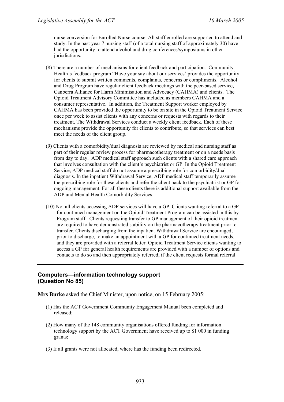nurse conversion for Enrolled Nurse course. All staff enrolled are supported to attend and study. In the past year 7 nursing staff (of a total nursing staff of approximately 30) have had the opportunity to attend alcohol and drug conferences/symposiums in other jurisdictions.

- (8) There are a number of mechanisms for client feedback and participation. Community Health's feedback program "Have your say about our services' provides the opportunity for clients to submit written comments, complaints, concerns or compliments. Alcohol and Drug Program have regular client feedback meetings with the peer-based service, Canberra Alliance for Harm Minimisation and Advocacy (CAHMA) and clients. The Opioid Treatment Advisory Committee has included as members CAHMA and a consumer representative. In addition, the Treatment Support worker employed by CAHMA has been provided the opportunity to be on site in the Opioid Treatment Service once per week to assist clients with any concerns or requests with regards to their treatment. The Withdrawal Services conduct a weekly client feedback. Each of these mechanisms provide the opportunity for clients to contribute, so that services can best meet the needs of the client group.
- (9) Clients with a comorbidity/dual diagnosis are reviewed by medical and nursing staff as part of their regular review process for pharmacotherapy treatment or on a needs basis from day to day. ADP medical staff approach such clients with a shared care approach that involves consultation with the client's psychiatrist or GP. In the Opioid Treatment Service, ADP medical staff do not assume a prescribing role for comorbidity/dual diagnosis. In the inpatient Withdrawal Service, ADP medical staff temporarily assume the prescribing role for these clients and refer the client back to the psychiatrist or GP for ongoing management. For all these clients there is additional support available from the ADP and Mental Health Comorbidity Services.
- (10) Not all clients accessing ADP services will have a GP. Clients wanting referral to a GP for continued management on the Opioid Treatment Program can be assisted in this by Program staff. Clients requesting transfer to GP management of their opioid treatment are required to have demonstrated stability on the pharmacotherapy treatment prior to transfer. Clients discharging from the inpatient Withdrawal Service are encouraged, prior to discharge, to make an appointment with a GP for continued treatment needs, and they are provided with a referral letter. Opioid Treatment Service clients wanting to access a GP for general health requirements are provided with a number of options and contacts to do so and then appropriately referred, if the client requests formal referral.

#### **Computers—information technology support (Question No 85)**

**Mrs Burke** asked the Chief Minister, upon notice, on 15 February 2005:

- (1) Has the ACT Government Community Engagement Manual been completed and released;
- (2) How many of the 148 community organisations offered funding for information technology support by the ACT Government have received up to \$1 000 in funding grants;
- (3) If all grants were not allocated, where has the funding been redirected.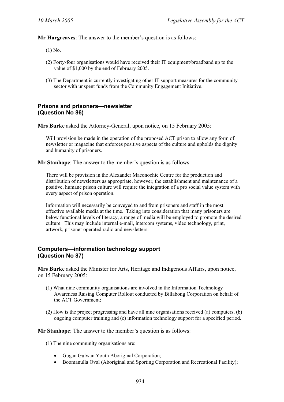**Mr Hargreaves**: The answer to the member's question is as follows:

- (1) No.
- (2) Forty-four organisations would have received their IT equipment/broadband up to the value of \$1,000 by the end of February 2005.
- (3) The Department is currently investigating other IT support measures for the community sector with unspent funds from the Community Engagement Initiative.

#### **Prisons and prisoners—newsletter (Question No 86)**

**Mrs Burke** asked the Attorney-General, upon notice, on 15 February 2005:

Will provision be made in the operation of the proposed ACT prison to allow any form of newsletter or magazine that enforces positive aspects of the culture and upholds the dignity and humanity of prisoners.

**Mr Stanhope**: The answer to the member's question is as follows:

There will be provision in the Alexander Maconochie Centre for the production and distribution of newsletters as appropriate, however, the establishment and maintenance of a positive, humane prison culture will require the integration of a pro social value system with every aspect of prison operation.

Information will necessarily be conveyed to and from prisoners and staff in the most effective available media at the time. Taking into consideration that many prisoners are below functional levels of literacy, a range of media will be employed to promote the desired culture. This may include internal e-mail, intercom systems, video technology, print, artwork, prisoner operated radio and newsletters.

### **Computers—information technology support (Question No 87)**

**Mrs Burke** asked the Minister for Arts, Heritage and Indigenous Affairs, upon notice, on 15 February 2005:

- (1) What nine community organisations are involved in the Information Technology Awareness Raising Computer Rollout conducted by Billabong Corporation on behalf of the ACT Government;
- (2) How is the project progressing and have all nine organisations received (a) computers, (b) ongoing computer training and (c) information technology support for a specified period.

**Mr Stanhope**: The answer to the member's question is as follows:

(1) The nine community organisations are:

- Gugan Gulwan Youth Aboriginal Corporation;
- Boomanulla Oval (Aboriginal and Sporting Corporation and Recreational Facility);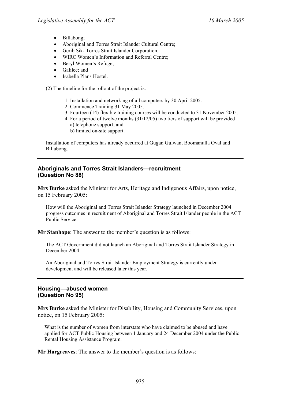- Billabong;
- Aboriginal and Torres Strait Islander Cultural Centre;
- Gerib Sik- Torres Strait Islander Corporation;
- WIRC Women's Information and Referral Centre:
- Beryl Women's Refuge;
- Galilee; and
- Isabella Plans Hostel.

(2) The timeline for the rollout of the project is:

- 1. Installation and networking of all computers by 30 April 2005.
- 2. Commence Training 31 May 2005.
- 3. Fourteen (14) flexible training courses will be conducted to 31 November 2005.
- 4. For a period of twelve months (31/12/05) two tiers of support will be provided a) telephone support; and
	- b) limited on-site support.

Installation of computers has already occurred at Gugan Gulwan, Boomanulla Oval and Billabong.

### **Aboriginals and Torres Strait Islanders—recruitment (Question No 88)**

**Mrs Burke** asked the Minister for Arts, Heritage and Indigenous Affairs, upon notice, on 15 February 2005:

How will the Aboriginal and Torres Strait Islander Strategy launched in December 2004 progress outcomes in recruitment of Aboriginal and Torres Strait Islander people in the ACT Public Service.

**Mr Stanhope**: The answer to the member's question is as follows:

The ACT Government did not launch an Aboriginal and Torres Strait Islander Strategy in December 2004.

An Aboriginal and Torres Strait Islander Employment Strategy is currently under development and will be released later this year.

#### **Housing—abused women (Question No 95)**

**Mrs Burke** asked the Minister for Disability, Housing and Community Services, upon notice, on 15 February 2005:

What is the number of women from interstate who have claimed to be abused and have applied for ACT Public Housing between 1 January and 24 December 2004 under the Public Rental Housing Assistance Program.

**Mr Hargreaves**: The answer to the member's question is as follows: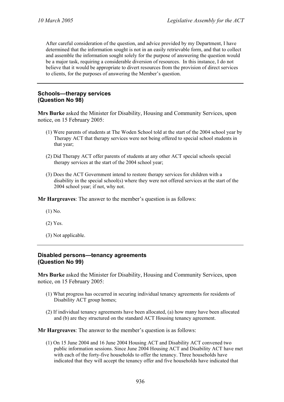After careful consideration of the question, and advice provided by my Department, I have determined that the information sought is not in an easily retrievable form, and that to collect and assemble the information sought solely for the purpose of answering the question would be a major task, requiring a considerable diversion of resources. In this instance, I do not believe that it would be appropriate to divert resources from the provision of direct services to clients, for the purposes of answering the Member's question.

#### **Schools—therapy services (Question No 98)**

**Mrs Burke** asked the Minister for Disability, Housing and Community Services, upon notice, on 15 February 2005:

- (1) Were parents of students at The Woden School told at the start of the 2004 school year by Therapy ACT that therapy services were not being offered to special school students in that year;
- (2) Did Therapy ACT offer parents of students at any other ACT special schools special therapy services at the start of the 2004 school year;
- (3) Does the ACT Government intend to restore therapy services for children with a disability in the special school(s) where they were not offered services at the start of the 2004 school year; if not, why not.

**Mr Hargreaves**: The answer to the member's question is as follows:

- (1) No.
- (2) Yes.
- (3) Not applicable.

#### **Disabled persons—tenancy agreements (Question No 99)**

**Mrs Burke** asked the Minister for Disability, Housing and Community Services, upon notice, on 15 February 2005:

- (1) What progress has occurred in securing individual tenancy agreements for residents of Disability ACT group homes;
- (2) If individual tenancy agreements have been allocated, (a) how many have been allocated and (b) are they structured on the standard ACT Housing tenancy agreement.

**Mr Hargreaves**: The answer to the member's question is as follows:

(1) On 15 June 2004 and 16 June 2004 Housing ACT and Disability ACT convened two public information sessions. Since June 2004 Housing ACT and Disability ACT have met with each of the forty-five households to offer the tenancy. Three households have indicated that they will accept the tenancy offer and five households have indicated that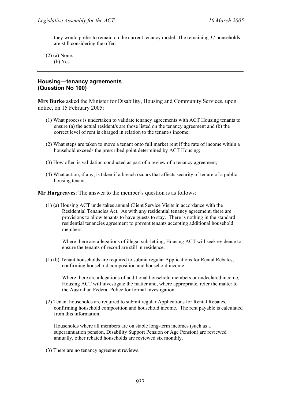they would prefer to remain on the current tenancy model. The remaining 37 households are still considering the offer.

(2) (a) None. (b) Yes.

#### **Housing—tenancy agreements (Question No 100)**

**Mrs Burke** asked the Minister for Disability, Housing and Community Services, upon notice, on 15 February 2005:

- (1) What process is undertaken to validate tenancy agreements with ACT Housing tenants to ensure (a) the actual resident/s are those listed on the tenancy agreement and (b) the correct level of rent is charged in relation to the tenant/s income;
- (2) What steps are taken to move a tenant onto full market rent if the rate of income within a household exceeds the prescribed point determined by ACT Housing;
- (3) How often is validation conducted as part of a review of a tenancy agreement;
- (4) What action, if any, is taken if a breach occurs that affects security of tenure of a public housing tenant.

**Mr Hargreaves**: The answer to the member's question is as follows:

(1) (a) Housing ACT undertakes annual Client Service Visits in accordance with the Residential Tenancies Act. As with any residential tenancy agreement, there are provisions to allow tenants to have guests to stay. There is nothing in the standard residential tenancies agreement to prevent tenants accepting additional household members.

Where there are allegations of illegal sub-letting, Housing ACT will seek evidence to ensure the tenants of record are still in residence.

(1) (b) Tenant households are required to submit regular Applications for Rental Rebates, confirming household composition and household income.

Where there are allegations of additional household members or undeclared income, Housing ACT will investigate the matter and, where appropriate, refer the matter to the Australian Federal Police for formal investigation.

(2) Tenant households are required to submit regular Applications for Rental Rebates, confirming household composition and household income. The rent payable is calculated from this information.

Households where all members are on stable long-term incomes (such as a superannuation pension, Disability Support Pension or Age Pension) are reviewed annually, other rebated households are reviewed six monthly.

(3) There are no tenancy agreement reviews.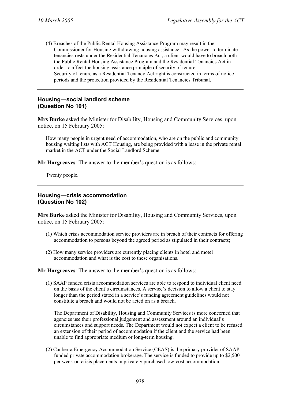(4) Breaches of the Public Rental Housing Assistance Program may result in the Commissioner for Housing withdrawing housing assistance. As the power to terminate tenancies rests under the Residential Tenancies Act, a client would have to breach both the Public Rental Housing Assistance Program and the Residential Tenancies Act in order to affect the housing assistance principle of security of tenure. Security of tenure as a Residential Tenancy Act right is constructed in terms of notice periods and the protection provided by the Residential Tenancies Tribunal.

#### **Housing—social landlord scheme (Question No 101)**

**Mrs Burke** asked the Minister for Disability, Housing and Community Services, upon notice, on 15 February 2005:

How many people in urgent need of accommodation, who are on the public and community housing waiting lists with ACT Housing, are being provided with a lease in the private rental market in the ACT under the Social Landlord Scheme.

**Mr Hargreaves**: The answer to the member's question is as follows:

Twenty people.

#### **Housing—crisis accommodation (Question No 102)**

**Mrs Burke** asked the Minister for Disability, Housing and Community Services, upon notice, on 15 February 2005:

- (1) Which crisis accommodation service providers are in breach of their contracts for offering accommodation to persons beyond the agreed period as stipulated in their contracts;
- (2) How many service providers are currently placing clients in hotel and motel accommodation and what is the cost to these organisations.

**Mr Hargreaves**: The answer to the member's question is as follows:

(1) SAAP funded crisis accommodation services are able to respond to individual client need on the basis of the client's circumstances. A service's decision to allow a client to stay longer than the period stated in a service's funding agreement guidelines would not constitute a breach and would not be acted on as a breach.

The Department of Disability, Housing and Community Services is more concerned that agencies use their professional judgement and assessment around an individual's circumstances and support needs. The Department would not expect a client to be refused an extension of their period of accommodation if the client and the service had been unable to find appropriate medium or long-term housing.

(2) Canberra Emergency Accommodation Service (CEAS) is the primary provider of SAAP funded private accommodation brokerage. The service is funded to provide up to \$2,500 per week on crisis placements in privately purchased low-cost accommodation.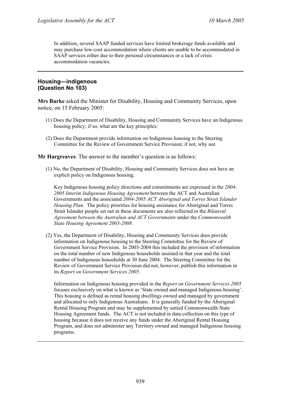In addition, several SAAP funded services have limited brokerage funds available and may purchase low-cost accommodation where clients are unable to be accommodated in SAAP services either due to their personal circumstances or a lack of crisis accommodation vacancies.

### **Housing—indigenous (Question No 103)**

**Mrs Burke** asked the Minister for Disability, Housing and Community Services, upon notice, on 15 February 2005:

- (1) Does the Department of Disability, Housing and Community Services have an Indigenous housing policy; if so, what are the key principles;
- (2) Does the Department provide information on Indigenous housing to the Steering Committee for the Review of Government Service Provision; if not, why not.

**Mr Hargreaves**: The answer to the member's question is as follows:

(1) No, the Department of Disability, Housing and Community Services does not have an explicit policy on Indigenous housing.

Key Indigenous housing policy directions and commitments are expressed in the *2004- 2005 Interim Indigenous Housing Agreement* between the ACT and Australian Governments and the associated *2004-2005 ACT Aboriginal and Torres Strait Islander Housing Plan.* The policy priorities for housing assistance for Aboriginal and Torres Strait Islander people set out in these documents are also reflected in the *Bilateral Agreement between the Australian and ACT Governments* under the *Commonwealth State Housing Agreement 2003-2008.*

(2) Yes, the Department of Disability, Housing and Community Services does provide information on Indigenous housing to the Steering Committee for the Review of Government Service Provision. In 2003-2004 this included the provision of information on the total number of new Indigenous households assisted in that year and the total number of Indigenous households at 30 June 2004. The Steering Committee for the Review of Government Service Provision did not, however, publish this information in its *Report on Government Services 2005.* 

Information on Indigenous housing provided in the *Report on Government Services 2005*  focuses exclusively on what is known as 'State owned and managed Indigenous housing'. This housing is defined as rental housing dwellings owned and managed by government and allocated to only Indigenous Australians. It is generally funded by the Aboriginal Rental Housing Program and may be supplemented by untied Commonwealth State Housing Agreement funds. The ACT is not included in data collection on this type of housing because it does not receive any funds under the Aboriginal Rental Housing Program, and does not administer any Territory owned and managed Indigenous housing programs.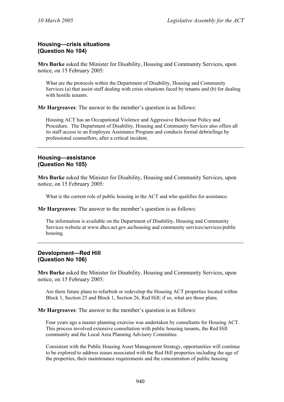### **Housing—crisis situations (Question No 104)**

**Mrs Burke** asked the Minister for Disability, Housing and Community Services, upon notice, on 15 February 2005:

What are the protocols within the Department of Disability, Housing and Community Services (a) that assist staff dealing with crisis situations faced by tenants and (b) for dealing with hostile tenants.

**Mr Hargreaves**: The answer to the member's question is as follows:

Housing ACT has an Occupational Violence and Aggressive Behaviour Policy and Procedure. The Department of Disability, Housing and Community Services also offers all its staff access to an Employee Assistance Program and conducts formal debriefings by professional counsellors, after a critical incident.

#### **Housing—assistance (Question No 105)**

**Mrs Burke** asked the Minister for Disability, Housing and Community Services, upon notice, on 15 February 2005:

What is the current role of public housing in the ACT and who qualifies for assistance.

**Mr Hargreaves**: The answer to the member's question is as follows:

The information is available on the Department of Disability, Housing and Community Services website at www.dhcs.act.gov.au/housing and community services/services/public housing.

### **Development—Red Hill (Question No 106)**

**Mrs Burke** asked the Minister for Disability, Housing and Community Services, upon notice, on 15 February 2005:

Are there future plans to refurbish or redevelop the Housing ACT properties located within Block 1, Section 25 and Block 1, Section 26, Red Hill; if so, what are those plans.

**Mr Hargreaves**: The answer to the member's question is as follows:

Four years ago a master planning exercise was undertaken by consultants for Housing ACT. This process involved extensive consultation with public housing tenants, the Red Hill community and the Local Area Planning Advisory Committee.

Consistent with the Public Housing Asset Management Strategy, opportunities will continue to be explored to address issues associated with the Red Hill properties including the age of the properties, their maintenance requirements and the concentration of public housing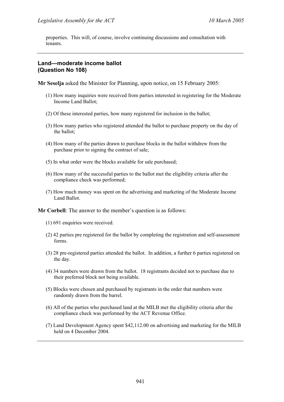properties. This will, of course, involve continuing discussions and consultation with tenants.

## **Land—moderate income ballot (Question No 108)**

**Mr Seselja** asked the Minister for Planning, upon notice, on 15 February 2005:

- (1) How many inquiries were received from parties interested in registering for the Moderate Income Land Ballot;
- (2) Of these interested parties, how many registered for inclusion in the ballot;
- (3) How many parties who registered attended the ballot to purchase property on the day of the ballot;
- (4) How many of the parties drawn to purchase blocks in the ballot withdrew from the purchase prior to signing the contract of sale;
- (5) In what order were the blocks available for sale purchased;
- (6) How many of the successful parties to the ballot met the eligibility criteria after the compliance check was performed;
- (7) How much money was spent on the advertising and marketing of the Moderate Income Land Ballot.

**Mr Corbell**: The answer to the member's question is as follows:

- (1) 691 enquiries were received.
- (2) 42 parties pre registered for the ballot by completing the registration and self-assessment forms.
- (3) 28 pre-registered parties attended the ballot. In addition, a further 6 parties registered on the day.
- (4) 34 numbers were drawn from the ballot. 18 registrants decided not to purchase due to their preferred block not being available.
- (5) Blocks were chosen and purchased by registrants in the order that numbers were randomly drawn from the barrel.
- (6) All of the parties who purchased land at the MILB met the eligibility criteria after the compliance check was performed by the ACT Revenue Office.
- (7) Land Development Agency spent \$42,112.00 on advertising and marketing for the MILB held on 4 December 2004.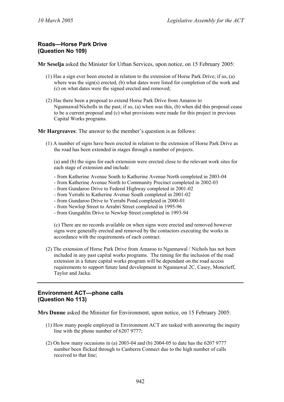### **Roads—Horse Park Drive (Question No 109)**

**Mr Seselja** asked the Minister for Urban Services, upon notice, on 15 February 2005:

- (1) Has a sign ever been erected in relation to the extension of Horse Park Drive; if so, (a) where was the sign(s) erected, (b) what dates were listed for completion of the work and (c) on what dates were the signed erected and removed;
- (2) Has there been a proposal to extend Horse Park Drive from Amaroo to Ngunnawal/Nicholls in the past; if so, (a) when was this, (b) when did this proposal cease to be a current proposal and (c) what provisions were made for this project in previous Capital Works programs.

**Mr Hargreaves**: The answer to the member's question is as follows:

(1) A number of signs have been erected in relation to the extension of Horse Park Drive as the road has been extended in stages through a number of projects.

(a) and (b) the signs for each extension were erected close to the relevant work sites for each stage of extension and include:

- from Katherine Avenue South to Katherine Avenue North completed in 2003-04
- from Katherine Avenue North to Community Precinct completed in 2002-03
- from Gundaroo Drive to Federal Highway completed in 2001-02
- from Yerrabi to Katherine Avenue South completed in 2001-02
- from Gundaroo Drive to Yerrabi Pond completed in 2000-01
- from Newlop Street to Arrabri Street completed in 1995-96
- from Gungahlin Drive to Newlop Street completed in 1993-94

(c) There are no records available on when signs were erected and removed however signs were generally erected and removed by the contactors executing the works in accordance with the requirements of each contract.

(2) The extension of Horse Park Drive from Amaroo to Ngunnawal / Nichols has not been included in any past capital works programs. The timing for the inclusion of the road extension in a future capital works program will be dependant on the road access requirements to support future land development in Ngunnawal 2C, Casey, Moncrieff, Taylor and Jacka.

## **Environment ACT—phone calls (Question No 113)**

**Mrs Dunne** asked the Minister for Environment, upon notice, on 15 February 2005:

- (1) How many people employed in Environment ACT are tasked with answering the inquiry line with the phone number of 6207 9777;
- (2) On how many occasions in (a) 2003-04 and (b) 2004-05 to date has the 6207 9777 number been flicked through to Canberra Connect due to the high number of calls received to that line;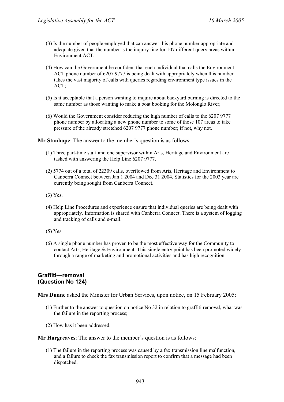- (3) Is the number of people employed that can answer this phone number appropriate and adequate given that the number is the inquiry line for 107 different query areas within Environment ACT;
- (4) How can the Government be confident that each individual that calls the Environment ACT phone number of 6207 9777 is being dealt with appropriately when this number takes the vast majority of calls with queries regarding environment type issues in the ACT;
- (5) Is it acceptable that a person wanting to inquire about backyard burning is directed to the same number as those wanting to make a boat booking for the Molonglo River;
- (6) Would the Government consider reducing the high number of calls to the 6207 9777 phone number by allocating a new phone number to some of those 107 areas to take pressure of the already stretched 6207 9777 phone number; if not, why not.

**Mr Stanhope**: The answer to the member's question is as follows:

- (1) Three part-time staff and one supervisor within Arts, Heritage and Environment are tasked with answering the Help Line 6207 9777.
- (2) 5774 out of a total of 22309 calls, overflowed from Arts, Heritage and Environment to Canberra Connect between Jan 1 2004 and Dec 31 2004. Statistics for the 2003 year are currently being sought from Canberra Connect.
- (3) Yes.
- (4) Help Line Procedures and experience ensure that individual queries are being dealt with appropriately. Information is shared with Canberra Connect. There is a system of logging and tracking of calls and e-mail.
- (5) Yes
- (6) A single phone number has proven to be the most effective way for the Community to contact Arts, Heritage  $\&$  Environment. This single entry point has been promoted widely through a range of marketing and promotional activities and has high recognition.

#### **Graffiti—removal (Question No 124)**

**Mrs Dunne** asked the Minister for Urban Services, upon notice, on 15 February 2005:

- (1) Further to the answer to question on notice No 32 in relation to graffiti removal, what was the failure in the reporting process;
- (2) How has it been addressed.

**Mr Hargreaves**: The answer to the member's question is as follows:

(1) The failure in the reporting process was caused by a fax transmission line malfunction, and a failure to check the fax transmission report to confirm that a message had been dispatched.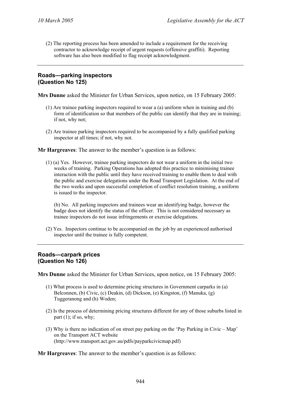(2) The reporting process has been amended to include a requirement for the receiving contractor to acknowledge receipt of urgent requests (offensive graffiti). Reporting software has also been modified to flag receipt acknowledgment.

### **Roads—parking inspectors (Question No 125)**

**Mrs Dunne** asked the Minister for Urban Services, upon notice, on 15 February 2005:

- (1) Are trainee parking inspectors required to wear a (a) uniform when in training and (b) form of identification so that members of the public can identify that they are in training; if not, why not;
- (2) Are trainee parking inspectors required to be accompanied by a fully qualified parking inspector at all times; if not, why not.

**Mr Hargreaves**: The answer to the member's question is as follows:

(1) (a) Yes. However, trainee parking inspectors do not wear a uniform in the initial two weeks of training. Parking Operations has adopted this practice to minimising trainee interaction with the public until they have received training to enable them to deal with the public and exercise delegations under the Road Transport Legislation. At the end of the two weeks and upon successful completion of conflict resolution training, a uniform is issued to the inspector.

(b) No. All parking inspectors and trainees wear an identifying badge, however the badge does not identify the status of the officer. This is not considered necessary as trainee inspectors do not issue infringements or exercise delegations.

(2) Yes. Inspectors continue to be accompanied on the job by an experienced authorised inspector until the trainee is fully competent.

#### **Roads—carpark prices (Question No 126)**

**Mrs Dunne** asked the Minister for Urban Services, upon notice, on 15 February 2005:

- (1) What process is used to determine pricing structures in Government carparks in (a) Belconnen, (b) Civic, (c) Deakin, (d) Dickson, (e) Kingston, (f) Manuka, (g) Tuggeranong and (h) Woden;
- (2) Is the process of determining pricing structures different for any of those suburbs listed in part  $(1)$ ; if so, why;
- (3) Why is there no indication of on street pay parking on the 'Pay Parking in Civic Map' on the Transport ACT website (http://www.transport.act.gov.au/pdfs/payparkcivicmap.pdf)

**Mr Hargreaves**: The answer to the member's question is as follows: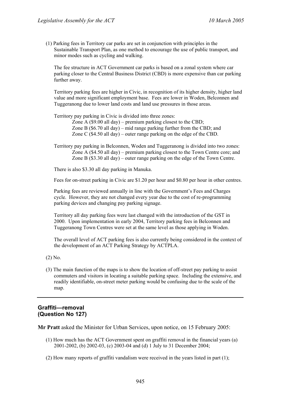(1) Parking fees in Territory car parks are set in conjunction with principles in the Sustainable Transport Plan, as one method to encourage the use of public transport, and minor modes such as cycling and walking.

The fee structure in ACT Government car parks is based on a zonal system where car parking closer to the Central Business District (CBD) is more expensive than car parking further away.

Territory parking fees are higher in Civic, in recognition of its higher density, higher land value and more significant employment base. Fees are lower in Woden, Belconnen and Tuggeranong due to lower land costs and land use pressures in those areas.

Territory pay parking in Civic is divided into three zones:

Zone A (\$9.00 all day) – premium parking closest to the CBD; Zone B (\$6.70 all day) – mid range parking further from the CBD; and Zone C (\$4.50 all day) – outer range parking on the edge of the CBD.

Territory pay parking in Belconnen, Woden and Tuggeranong is divided into two zones: Zone A (\$4.50 all day) – premium parking closest to the Town Centre core; and Zone B (\$3.30 all day) – outer range parking on the edge of the Town Centre.

There is also \$3.30 all day parking in Manuka.

Fees for on-street parking in Civic are \$1.20 per hour and \$0.80 per hour in other centres.

Parking fees are reviewed annually in line with the Government's Fees and Charges cycle. However, they are not changed every year due to the cost of re-programming parking devices and changing pay parking signage.

Territory all day parking fees were last changed with the introduction of the GST in 2000. Upon implementation in early 2004, Territory parking fees in Belconnen and Tuggeranong Town Centres were set at the same level as those applying in Woden.

The overall level of ACT parking fees is also currently being considered in the context of the development of an ACT Parking Strategy by ACTPLA.

- (2) No.
- (3) The main function of the maps is to show the location of off-street pay parking to assist commuters and visitors in locating a suitable parking space. Including the extensive, and readily identifiable, on-street meter parking would be confusing due to the scale of the map.

#### **Graffiti—removal (Question No 127)**

**Mr Pratt** asked the Minister for Urban Services, upon notice, on 15 February 2005:

- (1) How much has the ACT Government spent on graffiti removal in the financial years (a) 2001-2002, (b) 2002-03, (c) 2003-04 and (d) 1 July to 31 December 2004;
- (2) How many reports of graffiti vandalism were received in the years listed in part (1);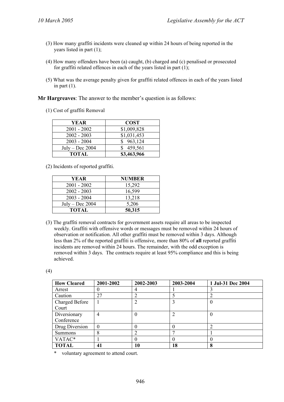- (3) How many graffiti incidents were cleaned up within 24 hours of being reported in the years listed in part (1);
- (4) How many offenders have been (a) caught, (b) charged and (c) penalised or prosecuted for graffiti related offences in each of the years listed in part (1);
- (5) What was the average penalty given for graffiti related offences in each of the years listed in part  $(1)$ .

(1) Cost of graffiti Removal

| YEAR              | <b>COST</b> |
|-------------------|-------------|
| $2001 - 2002$     | \$1,009,828 |
| $2002 - 2003$     | \$1,031,453 |
| $2003 - 2004$     | 963,124     |
| $July - Dec 2004$ | 459,561     |
| TOTAL             | \$3,463,966 |

(2) Incidents of reported graffiti.

| YEAR              | NUMBER |
|-------------------|--------|
| $2001 - 2002$     | 15,292 |
| $2002 - 2003$     | 16,599 |
| $2003 - 2004$     | 13,218 |
| $July - Dec 2004$ | 5,206  |
| TOTAL             | 50,315 |

(3) The graffiti removal contracts for government assets require all areas to be inspected weekly. Graffiti with offensive words or messages must be removed within 24 hours of observation or notification. All other graffiti must be removed within 3 days. Although less than 2% of the reported graffiti is offensive, more than 80% of **all** reported graffiti incidents are removed within 24 hours. The remainder, with the odd exception is removed within 3 days. The contracts require at least 95% compliance and this is being achieved.

(4)

| <b>How Cleared</b> | 2001-2002        | 2002-2003 | 2003-2004 | 1 Jul-31 Dec 2004 |
|--------------------|------------------|-----------|-----------|-------------------|
| Arrest             | O                | 4         |           |                   |
| Caution            | 27               |           |           | າ                 |
| Charged Before     |                  |           |           | 0                 |
| Court              |                  |           |           |                   |
| Diversionary       | 4                |           |           | $\theta$          |
| Conference         |                  |           |           |                   |
| Drug Diversion     | $\boldsymbol{0}$ |           |           | C                 |
| Summons            | 8                |           |           |                   |
| VATAC*             |                  | 0         |           | $\left( \right)$  |
| <b>TOTAL</b>       | 41               | 10        | 18        | 8                 |

\* voluntary agreement to attend court.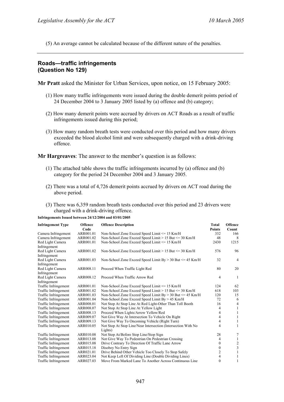(5) An average cannot be calculated because of the different nature of the penalties.

# **Roads—traffic infringements (Question No 129)**

**Mr Pratt** asked the Minister for Urban Services, upon notice, on 15 February 2005:

- (1) How many traffic infringements were issued during the double demerit points period of 24 December 2004 to 3 January 2005 listed by (a) offence and (b) category;
- (2) How many demerit points were accrued by drivers on ACT Roads as a result of traffic infringements issued during this period;
- (3) How many random breath tests were conducted over this period and how many drivers exceeded the blood alcohol limit and were subsequently charged with a drink-driving offence.

**Mr Hargreaves**: The answer to the member's question is as follows:

- (1) The attached table shows the traffic infringements incurred by (a) offence and (b) category for the period 24 December 2004 and 3 January 2005.
- (2) There was a total of 4,726 demerit points accrued by drivers on ACT road during the above period.
- (3) There was 6,359 random breath tests conducted over this period and 23 drivers were charged with a drink-driving offence.

**Infringements Issued between 24/12/2004 and 03/01/2005** 

| <b>Infringement Type</b>         | Offence<br>Code | <b>Offence Description</b>                                               | <b>Total</b><br><b>Points</b> | <b>Offence</b><br>Count |
|----------------------------------|-----------------|--------------------------------------------------------------------------|-------------------------------|-------------------------|
| Camera Infringement              | ARR001.01       | Non-School Zone Exceed Speed Limit $\leq$ 15 Km/H                        | 332                           | 166                     |
| Camera Infringement              | ARR001.02       | Non-School Zone Exceed Speed Limit > 15 But <= 30 Km/H                   | 48                            | 8                       |
| Red Light Camera<br>Infringement | ARR001.01       | Non-School Zone Exceed Speed Limit <= 15 Km/H                            | 2430                          | 1215                    |
| Red Light Camera<br>Infringement | ARR001.02       | Non-School Zone Exceed Speed Limit $> 15$ But $\leq 30$ Km/H             | 576                           | 96                      |
| Red Light Camera<br>Infringement | ARR001.03       | Non-School Zone Exceed Speed Limit $By > 30$ But $\leq 45$ Km/H          | 32                            | $\overline{4}$          |
| Red Light Camera<br>Infringement | ARR008.11       | Proceed When Traffic Light Red                                           | 80                            | 20                      |
| Red Light Camera<br>Infringement | ARR008.12       | Proceed When Traffic Arrow Red                                           | 4                             | -1                      |
| Traffic Infringement             | ARR001.01       | Non-School Zone Exceed Speed Limit <= 15 Km/H                            | 124                           | 62                      |
| Traffic Infringement             | ARR001.02       | Non-School Zone Exceed Speed Limit > 15 But <= 30 Km/H                   | 618                           | 103                     |
| Traffic Infringement             | ARR001.03       | Non-School Zone Exceed Speed Limit $By > 30$ But $\leq 45$ Km/H          | 120                           | 15                      |
| Traffic Infringement             | ARR001.04       | Non-School Zone Exceed Speed Limit By > 45 Km/H                          | 72                            | 6                       |
| Traffic Infringement             | ARR008.01       | Not Stop At Stop Line At Red Light-Other Than Toll Booth                 | 16                            | $\overline{4}$          |
| Traffic Infringement             | ARR008.07       | Not Stop At Stop Line At Yellow Light                                    | 4                             | 1                       |
| Traffic Infringement             | ARR008.13       | Proceed When Lights/Arrow Yellow/Red                                     | $\overline{4}$                | 1                       |
| Traffic Infringement             | ARR009.07       | Not Give Way At Intersection To Vehicle On Right                         | 4                             | 1                       |
| Traffic Infringement             | ARR009.13       | Not Give Way To Oncoming Vehicle (Right Turn)                            | 4                             | 1                       |
| Traffic Infringement             | ARR010.05       | Not Stop At Stop Line/Near Intersection (Intersection With No<br>Lights) | $\overline{4}$                | $\mathbf{1}$            |
| Traffic Infringement             | ARR010.08       | Not Stop At/Before Stop Line/Stop Sign                                   | 28                            | $\tau$                  |
| Traffic Infringement             | ARR013.08       | Not Give Way To Pedestrian On Pedestrian Crossing                        | 4                             | 1                       |
| Traffic Infringement             | ARR015.08       | Drive Contrary To Direction Of Traffic Lane Arrow                        | $\mathbf{0}$                  | $\frac{2}{3}$           |
| Traffic Infringement             | ARR015.18       | Disobey No Entry Sign                                                    | $\Omega$                      |                         |
| Traffic Infringement             | ARR021.01       | Drive Behind Other Vehicle Too Closely To Stop Safely                    | $\overline{c}$                | $\mathbf{1}$            |
| Traffic Infringement             | ARR023.04       | Not Keep Left Of Dividing Line (Double Dividing Lines)                   | $\overline{4}$                | 1                       |
| Traffic Infringement             | ARR027.03       | Move From Marked Lane To Another Across Continuous Line                  | $\theta$                      | $\mathbf{1}$            |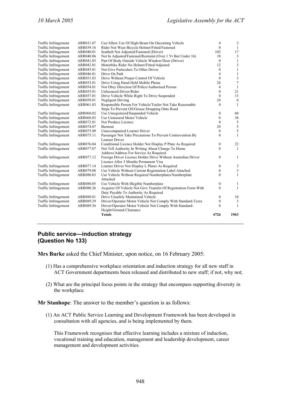| Traffic Infringement | ARR031.07 | Use/Allow Use Of High-Beam On Oncoming Vehicle                  | $\overline{4}$   | $\overline{c}$          |
|----------------------|-----------|-----------------------------------------------------------------|------------------|-------------------------|
| Traffic Infringement | ARR039.16 | Rider Not Wear Bicycle Helmet/Fitted/Fastened                   |                  | $\mathbf{1}$            |
| Traffic Infringement | ARR040.01 | Seatbelt Not Adjusted/Fastened (Driver)                         | 102              | 17                      |
| Traffic Infringement | ARR040.06 | Not In Adjusted/Fastened/Restraint (Over 1 Yr But Under 16)     |                  | $\mathfrak{Z}$          |
| Traffic Infringement | ARR041.03 | Part Of Body Outside Vehicle Window/Door (Driver)               | $\mathbf{0}$     | $\mathbf{1}$            |
| Traffic Infringement | ARR042.01 | Motorbike Rider No Helmet/Fitted/Adjusted                       | 12               | 3                       |
| Traffic Infringement | ARR045.01 | Not Give Particulars To Other Driver                            | $\mathbf{0}$     | $\,1$                   |
| Traffic Infringement | ARR046.01 | Drive On Path                                                   | 4                | $\mathbf{1}$            |
| Traffic Infringement | ARR051.03 | Drive Without Proper Control Of Vehicle                         | $\mathbf{0}$     | $\overline{\mathbf{3}}$ |
| Traffic Infringement | ARR053.01 | Drive Using Hand-Held Mobile Phone                              | 28               | $\boldsymbol{7}$        |
| Traffic Infringement | ARR054.01 | Not Obey Direction Of Police/Authorised Person                  | $\overline{4}$   | $\mathbf{1}$            |
| Traffic Infringement | ARR055.01 | Unlicenced Driver/Rider                                         | $\mathbf{0}$     | 21                      |
| Traffic Infringement | ARR057.01 | Drive Vehicle While Right To Drive Suspended                    | $\mathbf{0}$     | 13                      |
| Traffic Infringement | ARR059.01 | Negligent Driving                                               | 24               | 6                       |
| Traffic Infringement | ARR061.03 | Responsible Person For Vehicle/Trailer Not Take Reasonable      | $\theta$         | $\mathbf{1}$            |
|                      |           | Steps To Prevent Oil/Grease Dropping Onto Road                  |                  |                         |
| Traffic Infringement | ARR068.02 | Use Unregistered/Suspended Vehicle                              | $\boldsymbol{0}$ | 60                      |
| Traffic Infringement | ARR068.03 | Use Uninsured Motor Vehicle                                     | $\boldsymbol{0}$ | 38                      |
| Traffic Infringement | ARR072.01 | Not Produce Licence                                             | $\theta$         | $\sqrt{5}$              |
| Traffic Infringement | ARR074.07 | <b>Burnout</b>                                                  | 20               | $\sqrt{5}$              |
| Traffic Infringement | ARR075.09 | Unaccompanied Learner Driver                                    | $\mathbf{0}$     | 5                       |
| Traffic Infringement | ARR075.11 | Passenger Not Take Precautions To Prevent Contravention By      | $\mathbf{0}$     | $\mathbf{1}$            |
|                      |           | Learner Driver                                                  |                  |                         |
| Traffic Infringement | ARR076.04 | Conditional Licence Holder Not Display P Plate As Required      | $\boldsymbol{0}$ | 22                      |
| Traffic Infringement | ARR077.07 | Not Tell Authority In Writing About Change To Home              | $\overline{0}$   | $\mathbf{1}$            |
|                      |           | Address/Address For Service As Required                         |                  |                         |
| Traffic Infringement | ARR077.12 | Foreign Driver Licence Holder Drive Without Australian Driver   | $\mathbf{0}$     | 1                       |
|                      |           | Licence After 3 Months Permanent Visa                           |                  |                         |
| Traffic Infringement | ARR077.14 | Learner Driver Not Display L Plates As Required                 | $\boldsymbol{0}$ | $\mathfrak{Z}$          |
| Traffic Infringement | ARR079.08 | Use Vehicle Without Current Registration Label Attached         | $\mathbf{0}$     | $\mathfrak z$           |
| Traffic Infringement | ARR080.03 | Use Vehicle Without Required Numberplates/Numberplate           | $\theta$         | $\mathbf{1}$            |
|                      |           | Attached                                                        |                  |                         |
| Traffic Infringement | ARR080.05 | Use Vehicle With Illegible Numberplate                          | $\mathbf{0}$     | 1                       |
| Traffic Infringement | ARR080.26 | Acquirer Of Vehicle Not Give Transfer Of Registration Form With | $\theta$         | $\mathbf{1}$            |
|                      |           | Duty Payable To Authority As Required                           |                  |                         |
| Traffic Infringement | ARR088.01 | Drive Unsafely Maintained Vehicle                               | $\boldsymbol{0}$ | 10                      |
| Traffic Infringement | ARR089.29 | Driver/Operator Motor Vehicle Not Comply With Standard-Tyres    | $\boldsymbol{0}$ | $\mathbf{3}$            |
| Traffic Infringement | ARR089.36 | Driver/Operator Motor Vehicle Not Comply With Standard-         | $\theta$         | $\mathbf{1}$            |
|                      |           | Height/Ground Clearance                                         |                  |                         |
|                      |           | <b>Totals</b>                                                   | 4726             | 1963                    |
|                      |           |                                                                 |                  |                         |

#### **Public service—induction strategy (Question No 133)**

**Mrs Burke** asked the Chief Minister, upon notice, on 16 February 2005:

- (1) Has a comprehensive workplace orientation and induction strategy for all new staff in ACT Government departments been released and distributed to new staff; if not, why not;
- (2) What are the principal focus points in the strategy that encompass supporting diversity in the workplace.

**Mr Stanhope**: The answer to the member's question is as follows:

(1) An ACT Public Service Learning and Development Framework has been developed in consultation with all agencies, and is being implemented by them.

This Framework recognises that effective learning includes a mixture of induction, vocational training and education, management and leadership development, career management and development activities.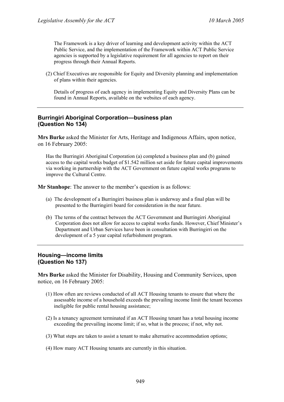The Framework is a key driver of learning and development activity within the ACT Public Service, and the implementation of the Framework within ACT Public Service agencies is supported by a legislative requirement for all agencies to report on their progress through their Annual Reports.

(2) Chief Executives are responsible for Equity and Diversity planning and implementation of plans within their agencies.

Details of progress of each agency in implementing Equity and Diversity Plans can be found in Annual Reports, available on the websites of each agency.

# **Burringiri Aboriginal Corporation—business plan (Question No 134)**

**Mrs Burke** asked the Minister for Arts, Heritage and Indigenous Affairs, upon notice, on 16 February 2005:

Has the Burringiri Aboriginal Corporation (a) completed a business plan and (b) gained access to the capital works budget of \$1.542 million set aside for future capital improvements via working in partnership with the ACT Government on future capital works programs to improve the Cultural Centre.

**Mr Stanhope**: The answer to the member's question is as follows:

- (a) The development of a Burringirri business plan is underway and a final plan will be presented to the Burringirri board for consideration in the near future.
- (b) The terms of the contract between the ACT Government and Burringirri Aboriginal Corporation does not allow for access to capital works funds. However, Chief Minister's Department and Urban Services have been in consultation with Burringirri on the development of a 5 year capital refurbishment program.

# **Housing—income limits (Question No 137)**

**Mrs Burke** asked the Minister for Disability, Housing and Community Services, upon notice, on 16 February 2005:

- (1) How often are reviews conducted of all ACT Housing tenants to ensure that where the assessable income of a household exceeds the prevailing income limit the tenant becomes ineligible for public rental housing assistance;
- (2) Is a tenancy agreement terminated if an ACT Housing tenant has a total housing income exceeding the prevailing income limit; if so, what is the process; if not, why not.
- (3) What steps are taken to assist a tenant to make alternative accommodation options;
- (4) How many ACT Housing tenants are currently in this situation.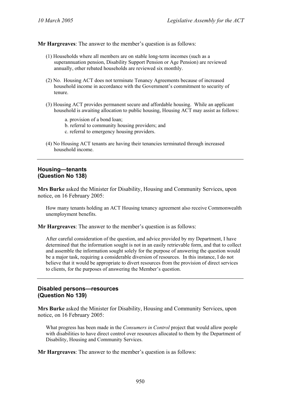- (1) Households where all members are on stable long-term incomes (such as a superannuation pension, Disability Support Pension or Age Pension) are reviewed annually, other rebated households are reviewed six monthly.
- (2) No. Housing ACT does not terminate Tenancy Agreements because of increased household income in accordance with the Government's commitment to security of tenure.
- (3) Housing ACT provides permanent secure and affordable housing. While an applicant household is awaiting allocation to public housing, Housing ACT may assist as follows:
	- a. provision of a bond loan;
	- b. referral to community housing providers; and
	- c. referral to emergency housing providers.
- (4) No Housing ACT tenants are having their tenancies terminated through increased household income.

#### **Housing—tenants (Question No 138)**

**Mrs Burke** asked the Minister for Disability, Housing and Community Services, upon notice, on 16 February 2005:

How many tenants holding an ACT Housing tenancy agreement also receive Commonwealth unemployment benefits.

**Mr Hargreaves**: The answer to the member's question is as follows:

After careful consideration of the question, and advice provided by my Department, I have determined that the information sought is not in an easily retrievable form, and that to collect and assemble the information sought solely for the purpose of answering the question would be a major task, requiring a considerable diversion of resources. In this instance, I do not believe that it would be appropriate to divert resources from the provision of direct services to clients, for the purposes of answering the Member's question.

# **Disabled persons—resources (Question No 139)**

**Mrs Burke** asked the Minister for Disability, Housing and Community Services, upon notice, on 16 February 2005:

What progress has been made in the *Consumers in Control* project that would allow people with disabilities to have direct control over resources allocated to them by the Department of Disability, Housing and Community Services.

**Mr Hargreaves**: The answer to the member's question is as follows: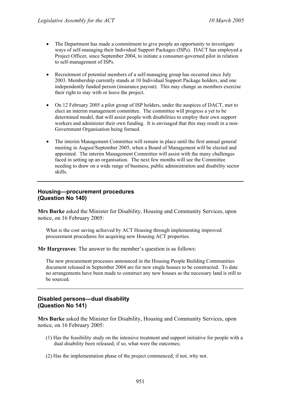- The Department has made a commitment to give people an opportunity to investigate ways of self-managing their Individual Support Packages (ISPs). DACT has employed a Project Officer, since September 2004, to initiate a consumer-governed pilot in relation to self-management of ISPs.
- Recruitment of potential members of a self-managing group has occurred since July 2003. Membership currently stands at 10 Individual Support Package holders, and one independently funded person (insurance payout). This may change as members exercise their right to stay with or leave the project.
- On 12 February 2005 a pilot group of ISP holders, under the auspices of DACT, met to elect an interim management committee. The committee will progress a yet to be determined model, that will assist people with disabilities to employ their own support workers and administer their own funding. It is envisaged that this may result in a non-Government Organisation being formed.
- The interim Management Committee will remain in place until the first annual general meeting in August/September 2005, when a Board of Management will be elected and appointed. The interim Management Committee will assist with the many challenges faced in setting up an organisation. The next few months will see the Committee needing to draw on a wide range of business, public administration and disability sector skills.

# **Housing—procurement procedures (Question No 140)**

**Mrs Burke** asked the Minister for Disability, Housing and Community Services, upon notice, on 16 February 2005:

What is the cost saving achieved by ACT Housing through implementing improved procurement procedures for acquiring new Housing ACT properties.

**Mr Hargreaves**: The answer to the member's question is as follows:

The new procurement processes announced in the Housing People Building Communities document released in September 2004 are for new single houses to be constructed. To date no arrangements have been made to construct any new houses as the necessary land is still to be sourced.

# **Disabled persons—dual disability (Question No 141)**

**Mrs Burke** asked the Minister for Disability, Housing and Community Services, upon notice, on 16 February 2005:

- (1) Has the feasibility study on the intensive treatment and support initiative for people with a dual disability been released; if so, what were the outcomes;
- (2) Has the implementation phase of the project commenced; if not, why not.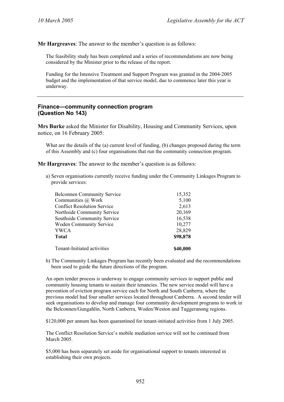The feasibility study has been completed and a series of recommendations are now being considered by the Minister prior to the release of the report.

Funding for the Intensive Treatment and Support Program was granted in the 2004-2005 budget and the implementation of that service model, due to commence later this year is underway.

#### **Finance—community connection program (Question No 143)**

**Mrs Burke** asked the Minister for Disability, Housing and Community Services, upon notice, on 16 February 2005:

What are the details of the (a) current level of funding, (b) changes proposed during the term of this Assembly and (c) four organisations that run the community connection program.

**Mr Hargreaves**: The answer to the member's question is as follows:

a) Seven organisations currently receive funding under the Community Linkages Program to provide services:

| <b>Belconnen Community Service</b> | 15,352   |
|------------------------------------|----------|
| Communities @ Work                 | 5,100    |
| <b>Conflict Resolution Service</b> | 2,613    |
| Northside Community Service        | 20,169   |
| Southside Community Service        | 16,538   |
| <b>Woden Community Service</b>     | 10,277   |
| <b>YWCA</b>                        | 28,829   |
| <b>Total</b>                       | \$98,878 |
| Tenant-Initiated activities        | \$40,000 |

b) The Community Linkages Program has recently been evaluated and the recommendations been used to guide the future directions of the program.

An open tender process is underway to engage community services to support public and community housing tenants to sustain their tenancies. The new service model will have a prevention of eviction program service each for North and South Canberra, where the previous model had four smaller services located throughout Canberra. A second tender will seek organisations to develop and manage four community development programs to work in the Belconnen/Gungahlin, North Canberra, Woden/Weston and Tuggeranong regions.

\$120,000 per annum has been quarantined for tenant-initiated activities from 1 July 2005.

The Conflict Resolution Service's mobile mediation service will not be continued from March 2005.

\$5,000 has been separately set aside for organisational support to tenants interested in establishing their own projects.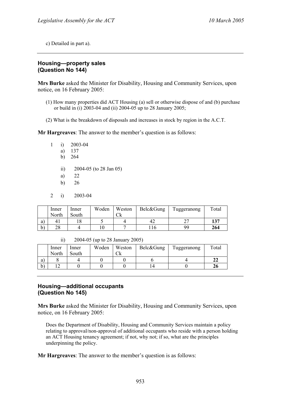c) Detailed in part a).

# **Housing—property sales (Question No 144)**

**Mrs Burke** asked the Minister for Disability, Housing and Community Services, upon notice, on 16 February 2005:

- (1) How many properties did ACT Housing (a) sell or otherwise dispose of and (b) purchase or build in (i) 2003-04 and (ii) 2004-05 up to 28 January 2005;
- (2) What is the breakdown of disposals and increases in stock by region in the A.C.T.

**Mr Hargreaves**: The answer to the member's question is as follows:

- 1 i) 2003-04
	- a) 137
	- b) 264
	- ii) 2004-05 (to 28 Jan 05)
	- a) 22
	- b) 26
- 2 i) 2003-04

|              | Inner          | Inner | Woden | Weston | Belc&Gung | Tuggeranong | Total |
|--------------|----------------|-------|-------|--------|-----------|-------------|-------|
|              | North          | South |       | ◡៱     |           |             |       |
| a)           | 4 <sub>1</sub> |       |       |        |           | <u>.</u>    | 137   |
| $b^{\prime}$ | 28             |       |       |        |           | 99          | 264   |

ii) 2004-05 (up to 28 January 2005)

|              | Inner | Inner | Woden | Weston    | Belc&Gung | Tuggeranong | Total |
|--------------|-------|-------|-------|-----------|-----------|-------------|-------|
|              | North | South |       | `lz<br>◡ឹ |           |             |       |
| a)           |       |       |       |           |           |             | 44    |
| $\mathbf{b}$ |       |       |       |           |           |             | 20    |

# **Housing—additional occupants (Question No 145)**

**Mrs Burke** asked the Minister for Disability, Housing and Community Services, upon notice, on 16 February 2005:

Does the Department of Disability, Housing and Community Services maintain a policy relating to approval/non-approval of additional occupants who reside with a person holding an ACT Housing tenancy agreement; if not, why not; if so, what are the principles underpinning the policy.

**Mr Hargreaves**: The answer to the member's question is as follows: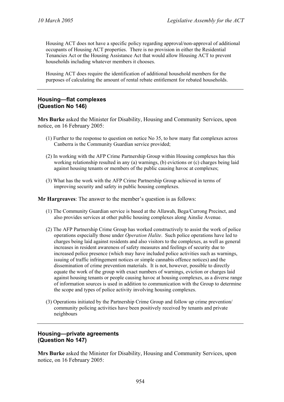Housing ACT does not have a specific policy regarding approval/non-approval of additional occupants of Housing ACT properties. There is no provision in either the Residential Tenancies Act or the Housing Assistance Act that would allow Housing ACT to prevent households including whatever members it chooses.

Housing ACT does require the identification of additional household members for the purposes of calculating the amount of rental rebate entitlement for rebated households.

# **Housing—flat complexes (Question No 146)**

**Mrs Burke** asked the Minister for Disability, Housing and Community Services, upon notice, on 16 February 2005:

- (1) Further to the response to question on notice No 35, to how many flat complexes across Canberra is the Community Guardian service provided;
- (2) In working with the AFP Crime Partnership Group within Housing complexes has this working relationship resulted in any (a) warnings, (b) evictions or (c) charges being laid against housing tenants or members of the public causing havoc at complexes;
- (3) What has the work with the AFP Crime Partnership Group achieved in terms of improving security and safety in public housing complexes.

**Mr Hargreaves**: The answer to the member's question is as follows:

- (1) The Community Guardian service is based at the Allawah, Bega/Currong Precinct, and also provides services at other public housing complexes along Ainslie Avenue.
- (2) The AFP Partnership Crime Group has worked constructively to assist the work of police operations especially those under *Operation Halite*. Such police operations have led to charges being laid against residents and also visitors to the complexes, as well as general increases in resident awareness of safety measures and feelings of security due to increased police presence (which may have included police activities such as warnings, issuing of traffic infringement notices or simple cannabis offence notices) and the dissemination of crime prevention materials. It is not, however, possible to directly equate the work of the group with exact numbers of warnings, eviction or charges laid against housing tenants or people causing havoc at housing complexes, as a diverse range of information sources is used in addition to communication with the Group to determine the scope and types of police activity involving housing complexes.
- (3) Operations initiated by the Partnership Crime Group and follow up crime prevention/ community policing activities have been positively received by tenants and private neighbours

#### **Housing—private agreements (Question No 147)**

**Mrs Burke** asked the Minister for Disability, Housing and Community Services, upon notice, on 16 February 2005: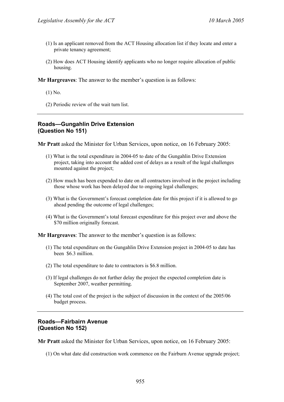- (1) Is an applicant removed from the ACT Housing allocation list if they locate and enter a private tenancy agreement;
- (2) How does ACT Housing identify applicants who no longer require allocation of public housing.

- (1) No.
- (2) Periodic review of the wait turn list.

### **Roads—Gungahlin Drive Extension (Question No 151)**

**Mr Pratt** asked the Minister for Urban Services, upon notice, on 16 February 2005:

- (1) What is the total expenditure in 2004-05 to date of the Gungahlin Drive Extension project, taking into account the added cost of delays as a result of the legal challenges mounted against the project;
- (2) How much has been expended to date on all contractors involved in the project including those whose work has been delayed due to ongoing legal challenges;
- (3) What is the Government's forecast completion date for this project if it is allowed to go ahead pending the outcome of legal challenges;
- (4) What is the Government's total forecast expenditure for this project over and above the \$70 million originally forecast.

**Mr Hargreaves**: The answer to the member's question is as follows:

- (1) The total expenditure on the Gungahlin Drive Extension project in 2004-05 to date has been \$6.3 million.
- (2) The total expenditure to date to contractors is \$6.8 million.
- (3) If legal challenges do not further delay the project the expected completion date is September 2007, weather permitting.
- (4) The total cost of the project is the subject of discussion in the context of the 2005/06 budget process.

#### **Roads—Fairbairn Avenue (Question No 152)**

**Mr Pratt** asked the Minister for Urban Services, upon notice, on 16 February 2005:

(1) On what date did construction work commence on the Fairburn Avenue upgrade project;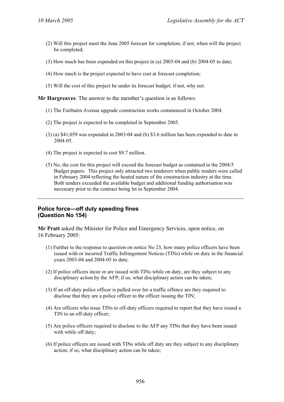- (2) Will this project meet the June 2005 forecast for completion; if not, when will the project be completed;
- (3) How much has been expended on this project in (a) 2003-04 and (b) 2004-05 to date;
- (4) How much is the project expected to have cost at forecast completion;
- (5) Will the cost of this project be under its forecast budget; if not, why not.

- (1) The Fairbairn Avenue upgrade construction works commenced in October 2004.
- (2) The project is expected to be completed in September 2005.
- (3) (a) \$41,059 was expended in 2003-04 and (b) \$3.6 million has been expended to date in 2004-05.
- (4) The project is expected to cost \$9.7 million.
- (5) No, the cost for this project will exceed the forecast budget as contained in the 2004/5 Budget papers. This project only attracted two tenderers when public tenders were called in February 2004 reflecting the heated nature of the construction industry at the time. Both tenders exceeded the available budget and additional funding authorisation was necessary prior to the contract being let in September 2004.

#### **Police force—off duty speeding fines (Question No 154)**

**Mr Pratt** asked the Minister for Police and Emergency Services, upon notice, on 16 February 2005:

- (1) Further to the response to question on notice No 23, how many police officers have been issued with or incurred Traffic Infringement Notices (TINs) while on duty in the financial years 2003-04 and 2004-05 to date;
- (2) If police officers incur or are issued with TINs while on duty, are they subject to any disciplinary action by the AFP; if so, what disciplinary action can be taken;
- (3) If an off-duty police officer is pulled over for a traffic offence are they required to disclose that they are a police officer to the officer issuing the TIN;
- (4) Are officers who issue TINs to off-duty officers required to report that they have issued a TIN to an off-duty officer;
- (5) Are police officers required to disclose to the AFP any TINs that they have been issued with while off duty;
- (6) If police officers are issued with TINs while off duty are they subject to any disciplinary action; if so, what disciplinary action can be taken;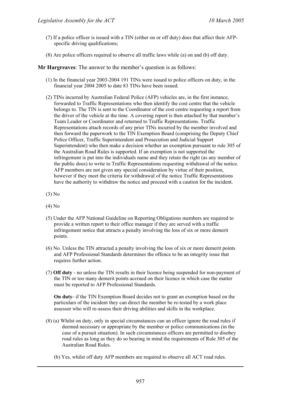- (7) If a police officer is issued with a TIN (either on or off duty) does that affect their AFPspecific driving qualifications;
- (8) Are police officers required to observe all traffic laws while (a) on and (b) off duty.

- (1) In the financial year 2003-2004 191 TINs were issued to police officers on duty, in the financial year 2004 2005 to date 83 TINs have been issued.
- (2) TINs incurred by Australian Federal Police (AFP) vehicles are, in the first instance, forwarded to Traffic Representations who then identify the cost centre that the vehicle belongs to. The TIN is sent to the Coordinator of the cost centre requesting a report from the driver of the vehicle at the time. A covering report is then attached by that member's Team Leader or Coordinator and returned to Traffic Representations. Traffic Representations attach records of any prior TINs incurred by the member involved and then forward the paperwork to the TIN Exemption Board (comprising the Deputy Chief Police Officer, Traffic Superintendent and Prosecution and Judicial Support Superintendent) who then make a decision whether an exemption pursuant to rule 305 of the Australian Road Rules is supported. If an exemption is not supported the infringement is put into the individuals name and they retain the right (as any member of the public does) to write to Traffic Representations requesting withdrawal of the notice. AFP members are not given any special consideration by virtue of their position, however if they meet the criteria for withdrawal of the notice Traffic Representations have the authority to withdraw the notice and proceed with a caution for the incident.

(3) No

- (4) No
- (5) Under the AFP National Guideline on Reporting Obligations members are required to provide a written report to their office manager if they are served with a traffic infringement notice that attracts a penalty involving the loss of six or more demerit points.
- (6) No. Unless the TIN attracted a penalty involving the loss of six or more demerit points and AFP Professional Standards determines the offence to be an integrity issue that requires further action.
- (7) **Off duty** no unless the TIN results in their licence being suspended for non-payment of the TIN or too many demerit points accrued on their licence in which case the matter must be reported to AFP Professional Standards.

**On duty**- if the TIN Exemption Board decides not to grant an exemption based on the particulars of the incident they can direct the member be re-tested by a work place assessor who will re-assess their driving abilities and skills in the workplace.

- (8) (a) Whilst on duty, only in special circumstances can an officer ignore the road rules if deemed necessary or appropriate by the member or police communications (in the case of a pursuit situation). In such circumstances officers are permitted to disobey road rules as long as they do so bearing in mind the requirements of Rule 305 of the Australian Road Rules.
	- (b) Yes, whilst off duty AFP members are required to observe all ACT road rules.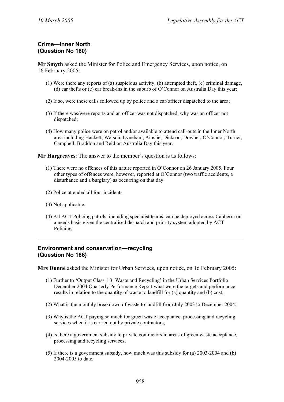# **Crime—Inner North (Question No 160)**

**Mr Smyth** asked the Minister for Police and Emergency Services, upon notice, on 16 February 2005:

- (1) Were there any reports of (a) suspicious activity, (b) attempted theft, (c) criminal damage, (d) car thefts or (e) car break-ins in the suburb of O'Connor on Australia Day this year;
- (2) If so, were these calls followed up by police and a car/officer dispatched to the area;
- (3) If there was/were reports and an officer was not dispatched, why was an officer not dispatched;
- (4) How many police were on patrol and/or available to attend call-outs in the Inner North area including Hackett, Watson, Lyneham, Ainslie, Dickson, Downer, O'Connor, Turner, Campbell, Braddon and Reid on Australia Day this year.

**Mr Hargreaves**: The answer to the member's question is as follows:

- (1) There were no offences of this nature reported in O'Connor on 26 January 2005. Four other types of offences were, however, reported at O'Connor (two traffic accidents, a disturbance and a burglary) as occurring on that day.
- (2) Police attended all four incidents.
- (3) Not applicable.
- (4) All ACT Policing patrols, including specialist teams, can be deployed across Canberra on a needs basis given the centralised despatch and priority system adopted by ACT Policing.

#### **Environment and conservation—recycling (Question No 166)**

**Mrs Dunne** asked the Minister for Urban Services, upon notice, on 16 February 2005:

- (1) Further to 'Output Class 1.3: Waste and Recycling' in the Urban Services Portfolio December 2004 Quarterly Performance Report what were the targets and performance results in relation to the quantity of waste to landfill for (a) quantity and (b) cost;
- (2) What is the monthly breakdown of waste to landfill from July 2003 to December 2004;
- (3) Why is the ACT paying so much for green waste acceptance, processing and recycling services when it is carried out by private contractors;
- (4) Is there a government subsidy to private contractors in areas of green waste acceptance, processing and recycling services;
- (5) If there is a government subsidy, how much was this subsidy for (a) 2003-2004 and (b) 2004-2005 to date.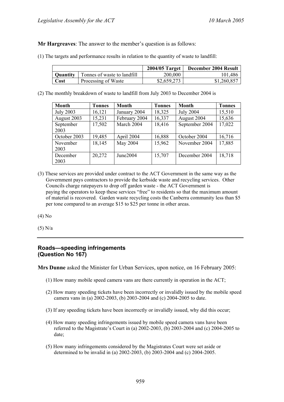(1) The targets and performance results in relation to the quantity of waste to landfill:

|      |                                             | 2004/05 Target | December 2004 Result |
|------|---------------------------------------------|----------------|----------------------|
|      | <b>Quantity</b> Tonnes of waste to landfill | 200,000        | 101,486              |
| Cost | Processing of Waste                         | \$2,659,273    | \$1,260,857          |

(2) The monthly breakdown of waste to landfill from July 2003 to December 2004 is

| <b>Month</b>     | <b>Tonnes</b> | Month         | <b>Tonnes</b> | Month            | <b>Tonnes</b> |
|------------------|---------------|---------------|---------------|------------------|---------------|
| <b>July 2003</b> | 16,121        | January 2004  | 18,325        | <b>July 2004</b> | 15,510        |
| August 2003      | 15,231        | February 2004 | 16,337        | August 2004      | 15,636        |
| September        | 17,502        | March 2004    | 18,416        | September 2004   | 17,022        |
| 2003             |               |               |               |                  |               |
| October 2003     | 19,485        | April 2004    | 16,888        | October 2004     | 16,716        |
| November         | 18,145        | May 2004      | 15,962        | November 2004    | 17,885        |
| 2003             |               |               |               |                  |               |
| December         | 20,272        | June2004      | 15,707        | December 2004    | 18,718        |
| 2003             |               |               |               |                  |               |

(3) These services are provided under contract to the ACT Government in the same way as the Government pays contractors to provide the kerbside waste and recycling services. Other Councils charge ratepayers to drop off garden waste - the ACT Government is paying the operators to keep these services "free" to residents so that the maximum amount of material is recovered. Garden waste recycling costs the Canberra community less than \$5 per tone compared to an average \$15 to \$25 per tonne in other areas.

(4) No

(5) N/a

# **Roads—speeding infringements (Question No 167)**

**Mrs Dunne** asked the Minister for Urban Services, upon notice, on 16 February 2005:

- (1) How many mobile speed camera vans are there currently in operation in the ACT;
- (2) How many speeding tickets have been incorrectly or invalidly issued by the mobile speed camera vans in (a) 2002-2003, (b) 2003-2004 and (c) 2004-2005 to date.
- (3) If any speeding tickets have been incorrectly or invalidly issued, why did this occur;
- (4) How many speeding infringements issued by mobile speed camera vans have been referred to the Magistrate's Court in (a) 2002-2003, (b) 2003-2004 and (c) 2004-2005 to date;
- (5) How many infringements considered by the Magistrates Court were set aside or determined to be invalid in (a) 2002-2003, (b) 2003-2004 and (c) 2004-2005.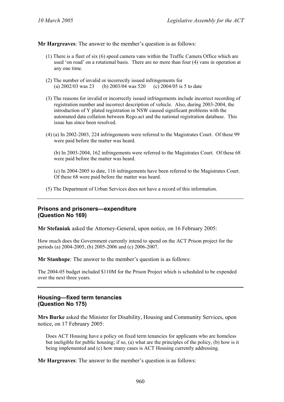- (1) There is a fleet of six (6) speed camera vans within the Traffic Camera Office which are used 'on road' on a rotational basis. There are no more than four (4) vans in operation at any one time.
- (2) The number of invalid or incorrectly issued infringements for (a) 2002/03 was 23 (b) 2003/04 was 520 (c) 2004/05 is 5 to date
- (3) The reasons for invalid or incorrectly issued infringements include incorrect recording of registration number and incorrect description of vehicle. Also, during 2003-2004, the introduction of Y plated registration in NSW caused significant problems with the automated data collation between Rego.act and the national registration database. This issue has since been resolved.
- (4) (a) In 2002-2003, 224 infringements were referred to the Magistrates Court. Of these 99 were paid before the matter was heard.

(b) In 2003-2004, 162 infringements were referred to the Magistrates Court. Of these 68 were paid before the matter was heard.

(c) In 2004-2005 to date, 116 infringements have been referred to the Magistrates Court. Of these 68 were paid before the matter was heard.

(5) The Department of Urban Services does not have a record of this information.

#### **Prisons and prisoners—expenditure (Question No 169)**

**Mr Stefaniak** asked the Attorney-General, upon notice, on 16 February 2005:

How much does the Government currently intend to spend on the ACT Prison project for the periods (a) 2004-2005, (b) 2005-2006 and (c) 2006-2007.

**Mr Stanhope**: The answer to the member's question is as follows:

The 2004-05 budget included \$110M for the Prison Project which is scheduled to be expended over the next three years.

# **Housing—fixed term tenancies (Question No 175)**

**Mrs Burke** asked the Minister for Disability, Housing and Community Services, upon notice, on 17 February 2005:

Does ACT Housing have a policy on fixed term tenancies for applicants who are homeless but ineligible for public housing; if so, (a) what are the principles of the policy, (b) how is it being implemented and (c) how many cases is ACT Housing currently addressing.

**Mr Hargreaves**: The answer to the member's question is as follows: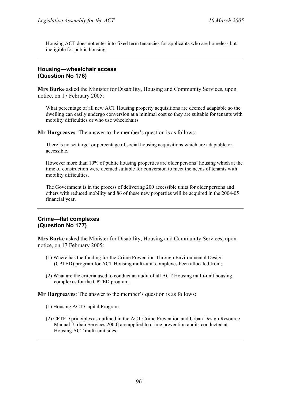Housing ACT does not enter into fixed term tenancies for applicants who are homeless but ineligible for public housing.

# **Housing—wheelchair access (Question No 176)**

**Mrs Burke** asked the Minister for Disability, Housing and Community Services, upon notice, on 17 February 2005:

What percentage of all new ACT Housing property acquisitions are deemed adaptable so the dwelling can easily undergo conversion at a minimal cost so they are suitable for tenants with mobility difficulties or who use wheelchairs.

**Mr Hargreaves**: The answer to the member's question is as follows:

There is no set target or percentage of social housing acquisitions which are adaptable or accessible.

However more than 10% of public housing properties are older persons' housing which at the time of construction were deemed suitable for conversion to meet the needs of tenants with mobility difficulties.

The Government is in the process of delivering 200 accessible units for older persons and others with reduced mobility and 86 of these new properties will be acquired in the 2004-05 financial year.

# **Crime—flat complexes (Question No 177)**

**Mrs Burke** asked the Minister for Disability, Housing and Community Services, upon notice, on 17 February 2005:

- (1) Where has the funding for the Crime Prevention Through Environmental Design (CPTED) program for ACT Housing multi-unit complexes been allocated from;
- (2) What are the criteria used to conduct an audit of all ACT Housing multi-unit housing complexes for the CPTED program.

**Mr Hargreaves**: The answer to the member's question is as follows:

- (1) Housing ACT Capital Program.
- (2) CPTED principles as outlined in the ACT Crime Prevention and Urban Design Resource Manual [Urban Services 2000] are applied to crime prevention audits conducted at Housing ACT multi unit sites.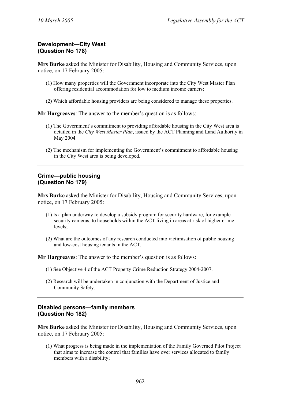# **Development—City West (Question No 178)**

**Mrs Burke** asked the Minister for Disability, Housing and Community Services, upon notice, on 17 February 2005:

- (1) How many properties will the Government incorporate into the City West Master Plan offering residential accommodation for low to medium income earners;
- (2) Which affordable housing providers are being considered to manage these properties.

**Mr Hargreaves**: The answer to the member's question is as follows:

- (1) The Government's commitment to providing affordable housing in the City West area is detailed in the *City West Master Plan*, issued by the ACT Planning and Land Authority in May 2004.
- (2) The mechanism for implementing the Government's commitment to affordable housing in the City West area is being developed.

#### **Crime—public housing (Question No 179)**

**Mrs Burke** asked the Minister for Disability, Housing and Community Services, upon notice, on 17 February 2005:

- (1) Is a plan underway to develop a subsidy program for security hardware, for example security cameras, to households within the ACT living in areas at risk of higher crime levels;
- (2) What are the outcomes of any research conducted into victimisation of public housing and low-cost housing tenants in the ACT.

**Mr Hargreaves**: The answer to the member's question is as follows:

- (1) See Objective 4 of the ACT Property Crime Reduction Strategy 2004-2007.
- (2) Research will be undertaken in conjunction with the Department of Justice and Community Safety.

# **Disabled persons—family members (Question No 182)**

**Mrs Burke** asked the Minister for Disability, Housing and Community Services, upon notice, on 17 February 2005:

(1) What progress is being made in the implementation of the Family Governed Pilot Project that aims to increase the control that families have over services allocated to family members with a disability;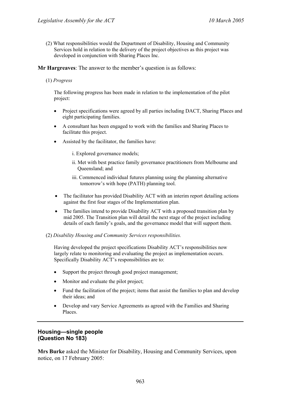(2) What responsibilities would the Department of Disability, Housing and Community Services hold in relation to the delivery of the project objectives as this project was developed in conjunction with Sharing Places Inc.

**Mr Hargreaves**: The answer to the member's question is as follows:

(1) *Progress*

The following progress has been made in relation to the implementation of the pilot project:

- Project specifications were agreed by all parties including DACT, Sharing Places and eight participating families.
- A consultant has been engaged to work with the families and Sharing Places to facilitate this project.
- Assisted by the facilitator, the families have:
	- i. Explored governance models;
	- ii. Met with best practice family governance practitioners from Melbourne and Queensland; and
	- iii. Commenced individual futures planning using the planning alternative tomorrow's with hope (PATH) planning tool.
- The facilitator has provided Disability ACT with an interim report detailing actions against the first four stages of the Implementation plan.
- The families intend to provide Disability ACT with a proposed transition plan by mid 2005. The Transition plan will detail the next stage of the project including details of each family's goals, and the governance model that will support them.

#### (2) *Disability Housing and Community Services responsibilities.*

Having developed the project specifications Disability ACT's responsibilities now largely relate to monitoring and evaluating the project as implementation occurs. Specifically Disability ACT's responsibilities are to:

- Support the project through good project management;
- Monitor and evaluate the pilot project;
- Fund the facilitation of the project; items that assist the families to plan and develop their ideas; and
- Develop and vary Service Agreements as agreed with the Families and Sharing Places.

# **Housing—single people (Question No 183)**

**Mrs Burke** asked the Minister for Disability, Housing and Community Services, upon notice, on 17 February 2005: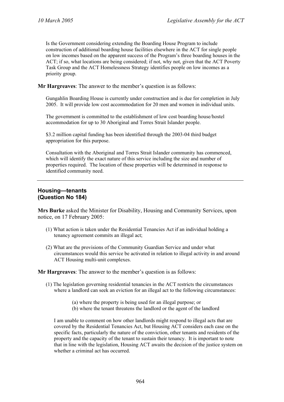Is the Government considering extending the Boarding House Program to include construction of additional boarding house facilities elsewhere in the ACT for single people on low incomes based on the apparent success of the Program's three boarding houses in the ACT; if so, what locations are being considered; if not, why not, given that the ACT Poverty Task Group and the ACT Homelessness Strategy identifies people on low incomes as a priority group.

**Mr Hargreaves**: The answer to the member's question is as follows:

Gungahlin Boarding House is currently under construction and is due for completion in July 2005. It will provide low cost accommodation for 20 men and women in individual units.

The government is committed to the establishment of low cost boarding house/hostel accommodation for up to 30 Aboriginal and Torres Strait Islander people.

\$3.2 million capital funding has been identified through the 2003-04 third budget appropriation for this purpose.

Consultation with the Aboriginal and Torres Strait Islander community has commenced, which will identify the exact nature of this service including the size and number of properties required. The location of these properties will be determined in response to identified community need.

#### **Housing—tenants (Question No 184)**

**Mrs Burke** asked the Minister for Disability, Housing and Community Services, upon notice, on 17 February 2005:

- (1) What action is taken under the Residential Tenancies Act if an individual holding a tenancy agreement commits an illegal act;
- (2) What are the provisions of the Community Guardian Service and under what circumstances would this service be activated in relation to illegal activity in and around ACT Housing multi-unit complexes.

**Mr Hargreaves**: The answer to the member's question is as follows:

- (1) The legislation governing residential tenancies in the ACT restricts the circumstances where a landlord can seek an eviction for an illegal act to the following circumstances:
	- (a) where the property is being used for an illegal purpose; or
	- (b) where the tenant threatens the landlord or the agent of the landlord

I am unable to comment on how other landlords might respond to illegal acts that are covered by the Residential Tenancies Act, but Housing ACT considers each case on the specific facts, particularly the nature of the conviction, other tenants and residents of the property and the capacity of the tenant to sustain their tenancy. It is important to note that in line with the legislation, Housing ACT awaits the decision of the justice system on whether a criminal act has occurred.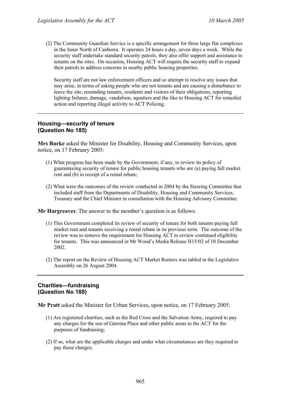(2) The Community Guardian Service is a specific arrangement for three large flat complexes in the Inner North of Canberra. It operates 24 hours a day, seven days a week. While the security staff undertake standard security patrols, they also offer support and assistance to tenants on the sites. On occasion, Housing ACT will require the security staff to expand their patrols to address concerns in nearby public housing properties.

Security staff are not law enforcement officers and so attempt to resolve any issues that may arise, in terms of asking people who are not tenants and are causing a disturbance to leave the site, reminding tenants, residents and visitors of their obligations, reporting lighting failures, damage, vandalism, squatters and the like to Housing ACT for remedial action and reporting illegal activity to ACT Policing.

### **Housing—security of tenure (Question No 185)**

**Mrs Burke** asked the Minister for Disability, Housing and Community Services, upon notice, on 17 February 2005:

- (1) What progress has been made by the Government, if any, to review its policy of guaranteeing security of tenure for public housing tenants who are (a) paying full market rent and (b) in receipt of a rental rebate;
- (2) What were the outcomes of the review conducted in 2004 by the Steering Committee that included staff from the Departments of Disability, Housing and Community Services, Treasury and the Chief Minister in consultation with the Housing Advisory Committee.

**Mr Hargreaves**: The answer to the member's question is as follows:

- (1) This Government completed its review of security of tenure for both tenants paying full market rent and tenants receiving a rental rebate in its previous term. The outcome of the review was to remove the requirement for Housing ACT to review continued eligibility for tenants. This was announced in Mr Wood's Media Release H15/02 of 10 December 2002.
- (2) The report on the Review of Housing ACT Market Renters was tabled in the Legislative Assembly on 26 August 2004.

#### **Charities—fundraising (Question No 188)**

**Mr Pratt** asked the Minister for Urban Services, upon notice, on 17 February 2005:

- (1) Are registered charities, such as the Red Cross and the Salvation Army, required to pay any charges for the use of Garema Place and other public areas in the ACT for the purposes of fundraising;
- (2) If so, what are the applicable charges and under what circumstances are they required to pay those charges;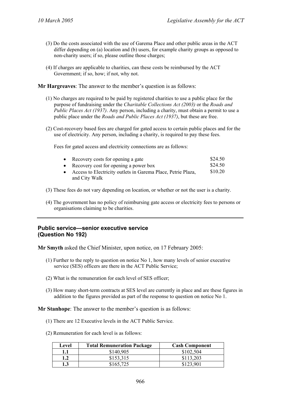- (3) Do the costs associated with the use of Garema Place and other public areas in the ACT differ depending on (a) location and (b) users, for example charity groups as opposed to non-charity users; if so, please outline those charges;
- (4) If charges are applicable to charities, can these costs be reimbursed by the ACT Government; if so, how; if not, why not.

- (1) No charges are required to be paid by registered charities to use a public place for the purpose of fundraising under the *Charitable Collections Act (2003)* or the *Roads and Public Places Act (1937)*. Any person, including a charity, must obtain a permit to use a public place under the *Roads and Public Places Act (1937)*, but these are free.
- (2) Cost-recovery based fees are charged for gated access to certain public places and for the use of electricity. Any person, including a charity, is required to pay these fees.

Fees for gated access and electricity connections are as follows:

| • Recovery costs for opening a gate                            | \$24.50 |
|----------------------------------------------------------------|---------|
| • Recovery cost for opening a power box                        | \$24.50 |
| • Access to Electricity outlets in Garema Place, Petrie Plaza, | \$10.20 |
| and City Walk                                                  |         |

- (3) These fees do not vary depending on location, or whether or not the user is a charity.
- (4) The government has no policy of reimbursing gate access or electricity fees to persons or organisations claiming to be charities.

# **Public service—senior executive service (Question No 192)**

**Mr Smyth** asked the Chief Minister, upon notice, on 17 February 2005:

- (1) Further to the reply to question on notice No 1, how many levels of senior executive service (SES) officers are there in the ACT Public Service;
- (2) What is the remuneration for each level of SES officer;
- (3) How many short-term contracts at SES level are currently in place and are these figures in addition to the figures provided as part of the response to question on notice No 1.

**Mr Stanhope**: The answer to the member's question is as follows:

- (1) There are 12 Executive levels in the ACT Public Service.
- (2) Remuneration for each level is as follows:

| Level | <b>Total Remuneration Package</b> | <b>Cash Component</b> |
|-------|-----------------------------------|-----------------------|
| 1.1   | \$140,905                         | \$102,504             |
| 1.2   | \$153.315                         | \$113,203             |
| l.3   | \$165,725                         | \$123,901             |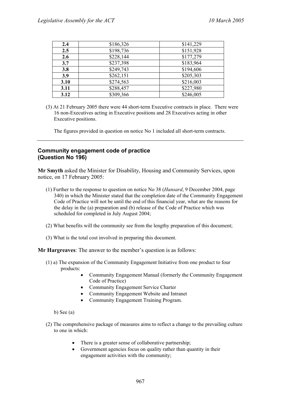| 2.4  | \$186,326 | \$141,229 |
|------|-----------|-----------|
| 2.5  | \$198,736 | \$151,928 |
| 2.6  | \$228,144 | \$177,279 |
| 3.7  | \$237,398 | \$183,964 |
| 3.8  | \$249,743 | \$194,606 |
| 3.9  | \$262,151 | \$205,303 |
| 3.10 | \$274,563 | \$216,003 |
| 3.11 | \$288,457 | \$227,980 |
| 3.12 | \$309,366 | \$246,005 |

(3) At 21 February 2005 there were 44 short-term Executive contracts in place. There were 16 non-Executives acting in Executive positions and 28 Executives acting in other Executive positions.

The figures provided in question on notice No 1 included all short-term contracts.

# **Community engagement code of practice (Question No 196)**

**Mr Smyth** asked the Minister for Disability, Housing and Community Services, upon notice, on 17 February 2005:

- (1) Further to the response to question on notice No 38 (*Hansard*, 9 December 2004, page 340) in which the Minister stated that the completion date of the Community Engagement Code of Practice will not be until the end of this financial year, what are the reasons for the delay in the (a) preparation and (b) release of the Code of Practice which was scheduled for completed in July August 2004;
- (2) What benefits will the community see from the lengthy preparation of this document;
- (3) What is the total cost involved in preparing this document.

**Mr Hargreaves**: The answer to the member's question is as follows:

- (1) a) The expansion of the Community Engagement Initiative from one product to four products:
	- Community Engagement Manual (formerly the Community Engagement Code of Practice)
	- Community Engagement Service Charter
	- Community Engagement Website and Intranet
	- Community Engagement Training Program.

b) See (a)

- (2) The comprehensive package of measures aims to reflect a change to the prevailing culture to one in which:
	- There is a greater sense of collaborative partnership;
	- Government agencies focus on quality rather than quantity in their engagement activities with the community;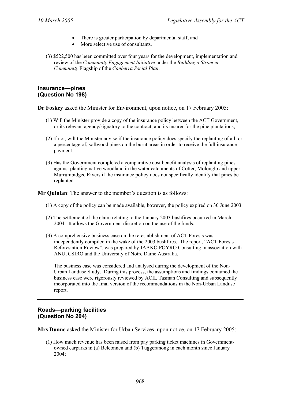- There is greater participation by departmental staff; and
- More selective use of consultants.
- (3) \$522,500 has been committed over four years for the development, implementation and review of the *Community Engagement Initiative* under the *Building a Stronger Community* Flagship of the *Canberra Social Plan*.

#### **Insurance—pines (Question No 198)**

**Dr Foskey** asked the Minister for Environment, upon notice, on 17 February 2005:

- (1) Will the Minister provide a copy of the insurance policy between the ACT Government, or its relevant agency/signatory to the contract, and its insurer for the pine plantations;
- (2) If not, will the Minister advise if the insurance policy does specify the replanting of all, or a percentage of, softwood pines on the burnt areas in order to receive the full insurance payment;
- (3) Has the Government completed a comparative cost benefit analysis of replanting pines against planting native woodland in the water catchments of Cotter, Molonglo and upper Murrumbidgee Rivers if the insurance policy does not specifically identify that pines be replanted.

**Mr Quinlan**: The answer to the member's question is as follows:

- (1) A copy of the policy can be made available, however, the policy expired on 30 June 2003.
- (2) The settlement of the claim relating to the January 2003 bushfires occurred in March 2004. It allows the Government discretion on the use of the funds.
- (3) A comprehensive business case on the re-establishment of ACT Forests was independently compiled in the wake of the 2003 bushfires. The report, "ACT Forests – Reforestation Review", was prepared by JAAKO POYRO Consulting in association with ANU, CSIRO and the University of Notre Dame Australia.

The business case was considered and analysed during the development of the Non-Urban Landuse Study. During this process, the assumptions and findings contained the business case were rigorously reviewed by ACIL Tasman Consulting and subsequently incorporated into the final version of the recommendations in the Non-Urban Landuse report.

#### **Roads—parking facilities (Question No 204)**

**Mrs Dunne** asked the Minister for Urban Services, upon notice, on 17 February 2005:

(1) How much revenue has been raised from pay parking ticket machines in Governmentowned carparks in (a) Belconnen and (b) Tuggeranong in each month since January 2004;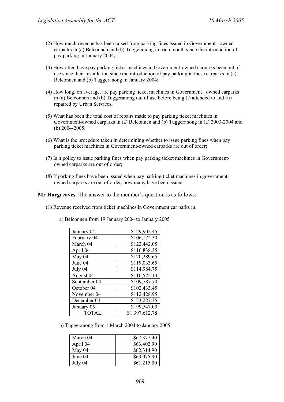- $(2)$  How much revenue has been raised from parking fines issued in Government owned carparks in (a) Belconnen and (b) Tuggeranong in each month since the introduction of pay parking in January 2004;
- (3) How often have pay parking ticket machines in Government-owned carparks been out of use since their installation since the introduction of pay parking in these carparks in (a) Belconnen and (b) Tuggeranong in January 2004;
- $(4)$  How long, on average, are pay parking ticket machines in Government owned carparks in (a) Belconnen and (b) Tuggeranong out of use before being (i) attended to and (ii) repaired by Urban Services;
- (5) What has been the total cost of repairs made to pay parking ticket machines in Government-owned carparks in (a) Belconnen and (b) Tuggeranong in (a) 2003-2004 and (b) 2004-2005;
- (6) What is the procedure taken in determining whether to issue parking fines when pay parking ticket machines in Government-owned carparks are out of order;
- (7) Is it policy to issue parking fines when pay parking ticket machines in Governmentowned carparks are out of order;
- (8) If parking fines have been issued when pay parking ticket machines in governmentowned carparks are out of order, how many have been issued.

- (1) Revenue received from ticket machines in Government car parks in:
	- a) Belconnen from 19 January 2004 to January 2005

| January 04   | \$29,902.45    |
|--------------|----------------|
| February 04  | \$106,172.30   |
| March 04     | \$122,442.05   |
| April 04     | \$116,838.35   |
| May 04       | \$120,289.65   |
| June 04      | \$119,033.65   |
| July 04      | \$114,984.75   |
| August 04    | \$110,525.13   |
| September 04 | \$109,787.70   |
| October 04   | \$102,433.45   |
| November 04  | \$112,428.95   |
| December 04  | \$133,227.35   |
| January 05   | \$99,547.00    |
| <b>TOTAL</b> | \$1,397,612.78 |

b) Tuggeranong from 1 March 2004 to January 2005

| March 04 | \$67,377.40 |
|----------|-------------|
| April 04 | \$63,402.90 |
| May 04   | \$62,314.90 |
| June 04  | \$63,075.90 |
| July 04  | \$61,215.00 |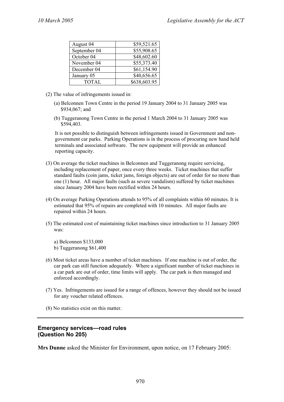| August 04    | \$59,521.65  |
|--------------|--------------|
| September 04 | \$55,908.65  |
| October 04   | \$48,602.60  |
| November 04  | \$55,373.40  |
| December 04  | \$61,154.90  |
| January 05   | \$40,656.65  |
| <b>TOTAL</b> | \$638,603.95 |

- (2) The value of infringements issued in:
	- (a) Belconnen Town Centre in the period 19 January 2004 to 31 January 2005 was \$934,067; and
	- (b) Tuggeranong Town Centre in the period 1 March 2004 to 31 January 2005 was \$594,403.

It is not possible to distinguish between infringements issued in Government and nongovernment car parks. Parking Operations is in the process of procuring new hand held terminals and associated software. The new equipment will provide an enhanced reporting capacity.

- (3) On average the ticket machines in Belconnen and Tuggeranong require servicing, including replacement of paper, once every three weeks. Ticket machines that suffer standard faults (coin jams, ticket jams, foreign objects) are out of order for no more than one (1) hour. All major faults (such as severe vandalism) suffered by ticket machines since January 2004 have been rectified within 24 hours.
- (4) On average Parking Operations attends to 95% of all complaints within 60 minutes. It is estimated that 95% of repairs are completed with 10 minutes. All major faults are repaired within 24 hours.
- (5) The estimated cost of maintaining ticket machines since introduction to 31 January 2005 was:
	- a) Belconnen \$133,000
	- b) Tuggeranong \$61,400
- (6) Most ticket areas have a number of ticket machines. If one machine is out of order, the car park can still function adequately. Where a significant number of ticket machines in a car park are out of order, time limits will apply. The car park is then managed and enforced accordingly.
- (7) Yes. Infringements are issued for a range of offences, however they should not be issued for any voucher related offences.
- (8) No statistics exist on this matter.

# **Emergency services—road rules (Question No 205)**

**Mrs Dunne** asked the Minister for Environment, upon notice, on 17 February 2005: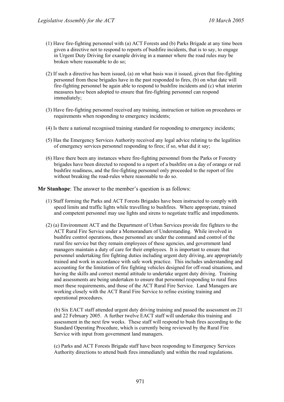- (1) Have fire-fighting personnel with (a) ACT Forests and (b) Parks Brigade at any time been given a directive not to respond to reports of bushfire incidents, that is to say, to engage in Urgent Duty Driving for example driving in a manner where the road rules may be broken where reasonable to do so;
- (2) If such a directive has been issued, (a) on what basis was it issued, given that fire-fighting personnel from these brigades have in the past responded to fires, (b) on what date will fire-fighting personnel be again able to respond to bushfire incidents and (c) what interim measures have been adopted to ensure that fire-fighting personnel can respond immediately;
- (3) Have fire-fighting personnel received any training, instruction or tuition on procedures or requirements when responding to emergency incidents;
- (4) Is there a national recognised training standard for responding to emergency incidents;
- (5) Has the Emergency Services Authority received any legal advice relating to the legalities of emergency services personnel responding to fires; if so, what did it say;
- (6) Have there been any instances where fire-fighting personnel from the Parks or Forestry brigades have been directed to respond to a report of a bushfire on a day of orange or red bushfire readiness, and the fire-fighting personnel only proceeded to the report of fire without breaking the road-rules where reasonable to do so.

**Mr Stanhope**: The answer to the member's question is as follows:

- (1) Staff forming the Parks and ACT Forests Brigades have been instructed to comply with speed limits and traffic lights while travelling to bushfires. Where appropriate, trained and competent personnel may use lights and sirens to negotiate traffic and impediments.
- (2) (a) Environment ACT and the Department of Urban Services provide fire fighters to the ACT Rural Fire Service under a Memorandum of Understanding. While involved in bushfire control operations, these personnel are under the command and control of the rural fire service but they remain employees of these agencies, and government land managers maintain a duty of care for their employees. It is important to ensure that personnel undertaking fire fighting duties including urgent duty driving, are appropriately trained and work in accordance with safe work practice. This includes understanding and accounting for the limitation of fire fighting vehicles designed for off-road situations, and having the skills and correct mental attitude to undertake urgent duty driving. Training and assessments are being undertaken to ensure that personnel responding to rural fires meet these requirements, and those of the ACT Rural Fire Service. Land Managers are working closely with the ACT Rural Fire Service to refine existing training and operational procedures.

(b) Six EACT staff attended urgent duty driving training and passed the assessment on 21 and 22 February 2005. A further twelve EACT staff will undertake this training and assessment in the next few weeks. These staff will respond to bush fires according to the Standard Operating Procedure, which is currently being reviewed by the Rural Fire Service with input from government land managers.

(c) Parks and ACT Forests Brigade staff have been responding to Emergency Services Authority directions to attend bush fires immediately and within the road regulations.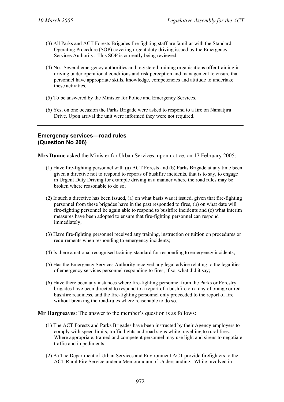- (3) All Parks and ACT Forests Brigades fire fighting staff are familiar with the Standard Operating Procedure (SOP) covering urgent duty driving issued by the Emergency Services Authority. This SOP is currently being reviewed.
- (4) No. Several emergency authorities and registered training organisations offer training in driving under operational conditions and risk perception and management to ensure that personnel have appropriate skills, knowledge, competencies and attitude to undertake these activities.
- (5) To be answered by the Minister for Police and Emergency Services.
- (6) Yes, on one occasion the Parks Brigade were asked to respond to a fire on Namatjira Drive. Upon arrival the unit were informed they were not required.

#### **Emergency services—road rules (Question No 206)**

**Mrs Dunne** asked the Minister for Urban Services, upon notice, on 17 February 2005:

- (1) Have fire-fighting personnel with (a) ACT Forests and (b) Parks Brigade at any time been given a directive not to respond to reports of bushfire incidents, that is to say, to engage in Urgent Duty Driving for example driving in a manner where the road rules may be broken where reasonable to do so;
- (2) If such a directive has been issued, (a) on what basis was it issued, given that fire-fighting personnel from these brigades have in the past responded to fires, (b) on what date will fire-fighting personnel be again able to respond to bushfire incidents and (c) what interim measures have been adopted to ensure that fire-fighting personnel can respond immediately;
- (3) Have fire-fighting personnel received any training, instruction or tuition on procedures or requirements when responding to emergency incidents;
- (4) Is there a national recognised training standard for responding to emergency incidents;
- (5) Has the Emergency Services Authority received any legal advice relating to the legalities of emergency services personnel responding to fires; if so, what did it say;
- (6) Have there been any instances where fire-fighting personnel from the Parks or Forestry brigades have been directed to respond to a report of a bushfire on a day of orange or red bushfire readiness, and the fire-fighting personnel only proceeded to the report of fire without breaking the road-rules where reasonable to do so.

#### **Mr Hargreaves**: The answer to the member's question is as follows:

- (1) The ACT Forests and Parks Brigades have been instructed by their Agency employers to comply with speed limits, traffic lights and road signs while travelling to rural fires. Where appropriate, trained and competent personnel may use light and sirens to negotiate traffic and impediments.
- (2) A) The Department of Urban Services and Environment ACT provide firefighters to the ACT Rural Fire Service under a Memorandum of Understanding. While involved in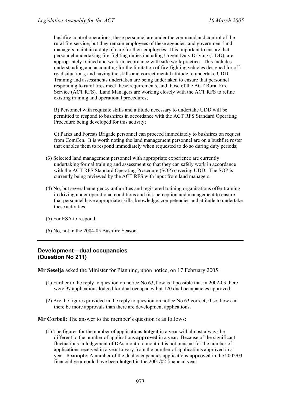bushfire control operations, these personnel are under the command and control of the rural fire service, but they remain employees of these agencies, and government land managers maintain a duty of care for their employees. It is important to ensure that personnel undertaking fire-fighting duties including Urgent Duty Driving (UDD), are appropriately trained and work in accordance with safe work practice. This includes understanding and accounting for the limitation of fire-fighting vehicles designed for offroad situations, and having the skills and correct mental attitude to undertake UDD. Training and assessments undertaken are being undertaken to ensure that personnel responding to rural fires meet these requirements, and those of the ACT Rural Fire Service (ACT RFS). Land Managers are working closely with the ACT RFS to refine existing training and operational procedures;

B) Personnel with requisite skills and attitude necessary to undertake UDD will be permitted to respond to bushfires in accordance with the ACT RFS Standard Operating Procedure being developed for this activity;

C) Parks and Forests Brigade personnel can proceed immediately to bushfires on request from ComCen. It is worth noting the land management personnel are on a bushfire roster that enables them to respond immediately when requested to do so during duty periods;

- (3) Selected land management personnel with appropriate experience are currently undertaking formal training and assessment so that they can safely work in accordance with the ACT RFS Standard Operating Procedure (SOP) covering UDD. The SOP is currently being reviewed by the ACT RFS with input from land managers.
- (4) No, but several emergency authorities and registered training organisations offer training in driving under operational conditions and risk perception and management to ensure that personnel have appropriate skills, knowledge, competencies and attitude to undertake these activities.
- (5) For ESA to respond;
- (6) No, not in the 2004-05 Bushfire Season.

# **Development—dual occupancies (Question No 211)**

**Mr Seselja** asked the Minister for Planning, upon notice, on 17 February 2005:

- (1) Further to the reply to question on notice No 63, how is it possible that in 2002-03 there were 97 applications lodged for dual occupancy but 120 dual occupancies approved;
- (2) Are the figures provided in the reply to question on notice No 63 correct; if so, how can there be more approvals than there are development applications.

**Mr Corbell**: The answer to the member's question is as follows:

(1) The figures for the number of applications **lodged** in a year will almost always be different to the number of applications **approved** in a year. Because of the significant fluctuations in lodgement of DAs month to month it is not unusual for the number of applications received in a year to vary from the number of applications approved in a year. **Example**: A number of the dual occupancies applications **approved** in the 2002/03 financial year could have been **lodged** in the 2001/02 financial year.